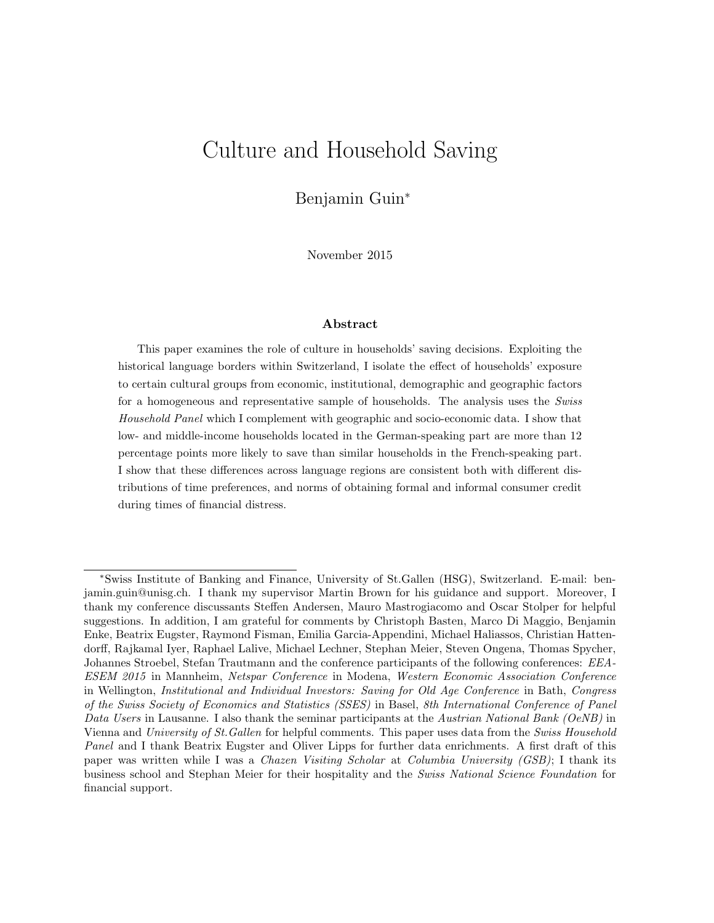# Culture and Household Saving

Benjamin Guin<sup>∗</sup>

November 2015

#### Abstract

This paper examines the role of culture in households' saving decisions. Exploiting the historical language borders within Switzerland, I isolate the effect of households' exposure to certain cultural groups from economic, institutional, demographic and geographic factors for a homogeneous and representative sample of households. The analysis uses the Swiss Household Panel which I complement with geographic and socio-economic data. I show that low- and middle-income households located in the German-speaking part are more than 12 percentage points more likely to save than similar households in the French-speaking part. I show that these differences across language regions are consistent both with different distributions of time preferences, and norms of obtaining formal and informal consumer credit during times of financial distress.

<sup>∗</sup>Swiss Institute of Banking and Finance, University of St.Gallen (HSG), Switzerland. E-mail: benjamin.guin@unisg.ch. I thank my supervisor Martin Brown for his guidance and support. Moreover, I thank my conference discussants Steffen Andersen, Mauro Mastrogiacomo and Oscar Stolper for helpful suggestions. In addition, I am grateful for comments by Christoph Basten, Marco Di Maggio, Benjamin Enke, Beatrix Eugster, Raymond Fisman, Emilia Garcia-Appendini, Michael Haliassos, Christian Hattendorff, Rajkamal Iyer, Raphael Lalive, Michael Lechner, Stephan Meier, Steven Ongena, Thomas Spycher, Johannes Stroebel, Stefan Trautmann and the conference participants of the following conferences: EEA-ESEM 2015 in Mannheim, Netspar Conference in Modena, Western Economic Association Conference in Wellington, Institutional and Individual Investors: Saving for Old Age Conference in Bath, Congress of the Swiss Society of Economics and Statistics (SSES) in Basel, 8th International Conference of Panel Data Users in Lausanne. I also thank the seminar participants at the Austrian National Bank (OeNB) in Vienna and University of St.Gallen for helpful comments. This paper uses data from the Swiss Household Panel and I thank Beatrix Eugster and Oliver Lipps for further data enrichments. A first draft of this paper was written while I was a Chazen Visiting Scholar at Columbia University (GSB); I thank its business school and Stephan Meier for their hospitality and the Swiss National Science Foundation for financial support.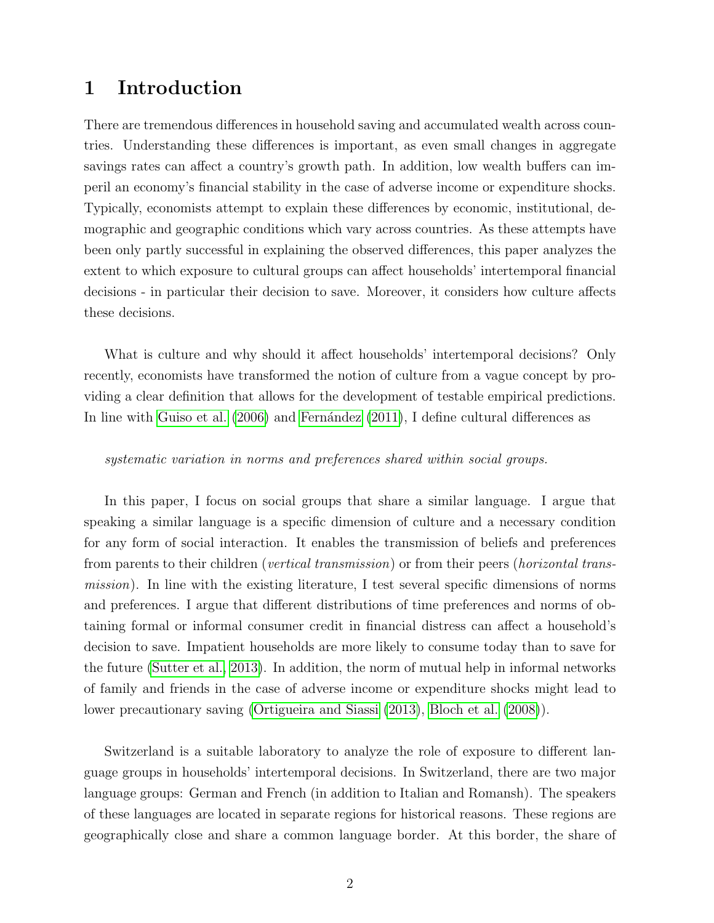## 1 Introduction

There are tremendous differences in household saving and accumulated wealth across countries. Understanding these differences is important, as even small changes in aggregate savings rates can affect a country's growth path. In addition, low wealth buffers can imperil an economy's financial stability in the case of adverse income or expenditure shocks. Typically, economists attempt to explain these differences by economic, institutional, demographic and geographic conditions which vary across countries. As these attempts have been only partly successful in explaining the observed differences, this paper analyzes the extent to which exposure to cultural groups can affect households' intertemporal financial decisions - in particular their decision to save. Moreover, it considers how culture affects these decisions.

What is culture and why should it affect households' intertemporal decisions? Only recently, economists have transformed the notion of culture from a vague concept by providing a clear definition that allows for the development of testable empirical predictions. In line with [Guiso et al.](#page-27-0)  $(2006)$  and Fernández  $(2011)$ , I define cultural differences as

#### systematic variation in norms and preferences shared within social groups.

In this paper, I focus on social groups that share a similar language. I argue that speaking a similar language is a specific dimension of culture and a necessary condition for any form of social interaction. It enables the transmission of beliefs and preferences from parents to their children *(vertical transmission)* or from their peers *(horizontal trans*mission). In line with the existing literature, I test several specific dimensions of norms and preferences. I argue that different distributions of time preferences and norms of obtaining formal or informal consumer credit in financial distress can affect a household's decision to save. Impatient households are more likely to consume today than to save for the future [\(Sutter et al., 2013\)](#page-28-0). In addition, the norm of mutual help in informal networks of family and friends in the case of adverse income or expenditure shocks might lead to lower precautionary saving [\(Ortigueira and Siassi](#page-28-1) [\(2013\)](#page-28-1), [Bloch et al.](#page-25-0) [\(2008\)](#page-25-0)).

Switzerland is a suitable laboratory to analyze the role of exposure to different language groups in households' intertemporal decisions. In Switzerland, there are two major language groups: German and French (in addition to Italian and Romansh). The speakers of these languages are located in separate regions for historical reasons. These regions are geographically close and share a common language border. At this border, the share of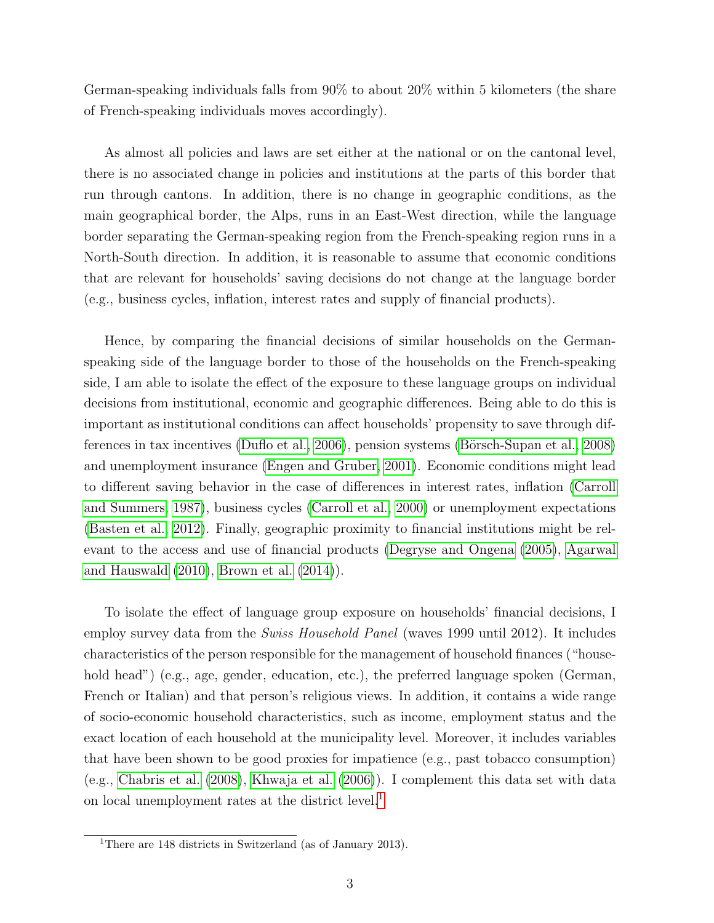German-speaking individuals falls from 90% to about 20% within 5 kilometers (the share of French-speaking individuals moves accordingly).

As almost all policies and laws are set either at the national or on the cantonal level, there is no associated change in policies and institutions at the parts of this border that run through cantons. In addition, there is no change in geographic conditions, as the main geographical border, the Alps, runs in an East-West direction, while the language border separating the German-speaking region from the French-speaking region runs in a North-South direction. In addition, it is reasonable to assume that economic conditions that are relevant for households' saving decisions do not change at the language border (e.g., business cycles, inflation, interest rates and supply of financial products).

Hence, by comparing the financial decisions of similar households on the Germanspeaking side of the language border to those of the households on the French-speaking side, I am able to isolate the effect of the exposure to these language groups on individual decisions from institutional, economic and geographic differences. Being able to do this is important as institutional conditions can affect households' propensity to save through dif-ferences in tax incentives [\(Duflo et al., 2006\)](#page-26-1), pension systems (Börsch-Supan et al., 2008) and unemployment insurance [\(Engen and Gruber, 2001\)](#page-26-2). Economic conditions might lead to different saving behavior in the case of differences in interest rates, inflation [\(Carroll](#page-26-3) [and Summers, 1987\)](#page-26-3), business cycles [\(Carroll et al., 2000\)](#page-25-2) or unemployment expectations [\(Basten et al., 2012\)](#page-25-3). Finally, geographic proximity to financial institutions might be relevant to the access and use of financial products [\(Degryse and Ongena](#page-26-4) [\(2005\)](#page-26-4), [Agarwal](#page-25-4) [and Hauswald](#page-25-4) [\(2010\)](#page-25-4), [Brown et al.](#page-25-5) [\(2014\)](#page-25-5)).

To isolate the effect of language group exposure on households' financial decisions, I employ survey data from the *Swiss Household Panel* (waves 1999 until 2012). It includes characteristics of the person responsible for the management of household finances ("household head") (e.g., age, gender, education, etc.), the preferred language spoken (German, French or Italian) and that person's religious views. In addition, it contains a wide range of socio-economic household characteristics, such as income, employment status and the exact location of each household at the municipality level. Moreover, it includes variables that have been shown to be good proxies for impatience (e.g., past tobacco consumption) (e.g., [Chabris et al.](#page-26-5) [\(2008\)](#page-26-5), [Khwaja et al.](#page-27-1) [\(2006\)](#page-27-1)). I complement this data set with data on local unemployment rates at the district level.<sup>[1](#page-2-0)</sup>

<span id="page-2-0"></span><sup>&</sup>lt;sup>1</sup>There are 148 districts in Switzerland (as of January 2013).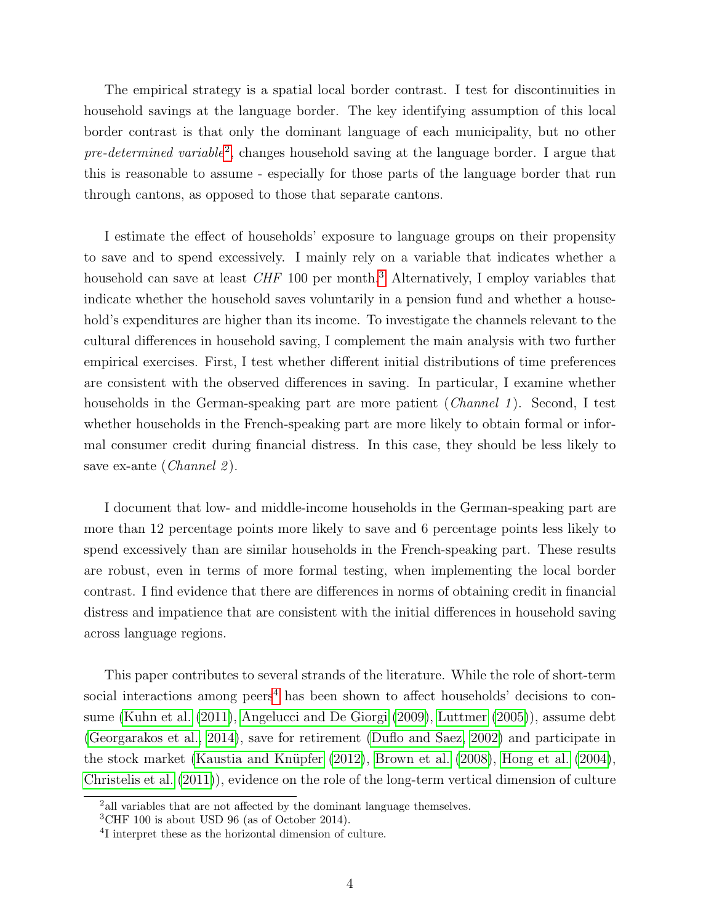The empirical strategy is a spatial local border contrast. I test for discontinuities in household savings at the language border. The key identifying assumption of this local border contrast is that only the dominant language of each municipality, but no other  $pre-determined variable<sup>2</sup>$  $pre-determined variable<sup>2</sup>$  $pre-determined variable<sup>2</sup>$ , changes household saving at the language border. I argue that this is reasonable to assume - especially for those parts of the language border that run through cantons, as opposed to those that separate cantons.

I estimate the effect of households' exposure to language groups on their propensity to save and to spend excessively. I mainly rely on a variable that indicates whether a household can save at least  $CHF$  100 per month.<sup>[3](#page-3-1)</sup> Alternatively, I employ variables that indicate whether the household saves voluntarily in a pension fund and whether a household's expenditures are higher than its income. To investigate the channels relevant to the cultural differences in household saving, I complement the main analysis with two further empirical exercises. First, I test whether different initial distributions of time preferences are consistent with the observed differences in saving. In particular, I examine whether households in the German-speaking part are more patient (*Channel 1*). Second, I test whether households in the French-speaking part are more likely to obtain formal or informal consumer credit during financial distress. In this case, they should be less likely to save ex-ante (*Channel 2*).

I document that low- and middle-income households in the German-speaking part are more than 12 percentage points more likely to save and 6 percentage points less likely to spend excessively than are similar households in the French-speaking part. These results are robust, even in terms of more formal testing, when implementing the local border contrast. I find evidence that there are differences in norms of obtaining credit in financial distress and impatience that are consistent with the initial differences in household saving across language regions.

This paper contributes to several strands of the literature. While the role of short-term social interactions among  $\mu$ eers<sup>[4](#page-3-2)</sup> has been shown to affect households' decisions to consume [\(Kuhn et al.](#page-27-2) [\(2011\)](#page-27-2), [Angelucci and De Giorgi](#page-25-6) [\(2009\)](#page-25-6), [Luttmer](#page-28-2) [\(2005\)](#page-28-2)), assume debt [\(Georgarakos et al., 2014\)](#page-26-6), save for retirement [\(Duflo and Saez, 2002\)](#page-26-7) and participate in the stock market (Kaustia and Knüpfer  $(2012)$ , [Brown et al.](#page-25-7)  $(2008)$ , [Hong et al.](#page-27-4)  $(2004)$ , [Christelis et al.](#page-26-8) [\(2011\)](#page-26-8)), evidence on the role of the long-term vertical dimension of culture

<span id="page-3-0"></span><sup>&</sup>lt;sup>2</sup> all variables that are not affected by the dominant language themselves.

<span id="page-3-1"></span> ${}^{3}$ CHF 100 is about USD 96 (as of October 2014).

<span id="page-3-2"></span><sup>4</sup> I interpret these as the horizontal dimension of culture.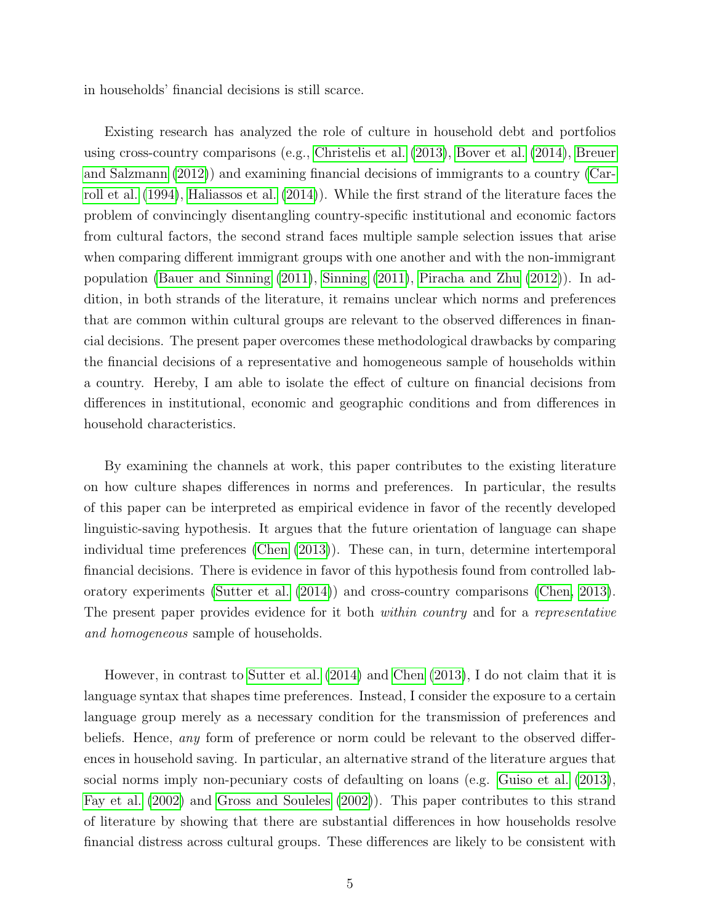in households' financial decisions is still scarce.

Existing research has analyzed the role of culture in household debt and portfolios using cross-country comparisons (e.g., [Christelis et al.](#page-26-9) [\(2013\)](#page-26-9), [Bover et al.](#page-25-8) [\(2014\)](#page-25-8), [Breuer](#page-25-9) [and Salzmann](#page-25-9) [\(2012\)](#page-25-9)) and examining financial decisions of immigrants to a country [\(Car](#page-25-10)[roll et al.](#page-25-10) [\(1994\)](#page-25-10), [Haliassos et al.](#page-27-5) [\(2014\)](#page-27-5)). While the first strand of the literature faces the problem of convincingly disentangling country-specific institutional and economic factors from cultural factors, the second strand faces multiple sample selection issues that arise when comparing different immigrant groups with one another and with the non-immigrant population [\(Bauer and Sinning](#page-25-11) [\(2011\)](#page-25-11), [Sinning](#page-28-3) [\(2011\)](#page-28-3), [Piracha and Zhu](#page-28-4) [\(2012\)](#page-28-4)). In addition, in both strands of the literature, it remains unclear which norms and preferences that are common within cultural groups are relevant to the observed differences in financial decisions. The present paper overcomes these methodological drawbacks by comparing the financial decisions of a representative and homogeneous sample of households within a country. Hereby, I am able to isolate the effect of culture on financial decisions from differences in institutional, economic and geographic conditions and from differences in household characteristics.

By examining the channels at work, this paper contributes to the existing literature on how culture shapes differences in norms and preferences. In particular, the results of this paper can be interpreted as empirical evidence in favor of the recently developed linguistic-saving hypothesis. It argues that the future orientation of language can shape individual time preferences [\(Chen](#page-26-10) [\(2013\)](#page-26-10)). These can, in turn, determine intertemporal financial decisions. There is evidence in favor of this hypothesis found from controlled laboratory experiments [\(Sutter et al.](#page-28-5) [\(2014\)](#page-28-5)) and cross-country comparisons [\(Chen, 2013\)](#page-26-10). The present paper provides evidence for it both *within country* and for a *representative* and homogeneous sample of households.

However, in contrast to [Sutter et al.](#page-28-5) [\(2014\)](#page-28-5) and [Chen](#page-26-10) [\(2013\)](#page-26-10), I do not claim that it is language syntax that shapes time preferences. Instead, I consider the exposure to a certain language group merely as a necessary condition for the transmission of preferences and beliefs. Hence, *any* form of preference or norm could be relevant to the observed differences in household saving. In particular, an alternative strand of the literature argues that social norms imply non-pecuniary costs of defaulting on loans (e.g. [Guiso et al.](#page-27-6) [\(2013\)](#page-27-6), [Fay et al.](#page-26-11) [\(2002\)](#page-26-11) and [Gross and Souleles](#page-27-7) [\(2002\)](#page-27-7)). This paper contributes to this strand of literature by showing that there are substantial differences in how households resolve financial distress across cultural groups. These differences are likely to be consistent with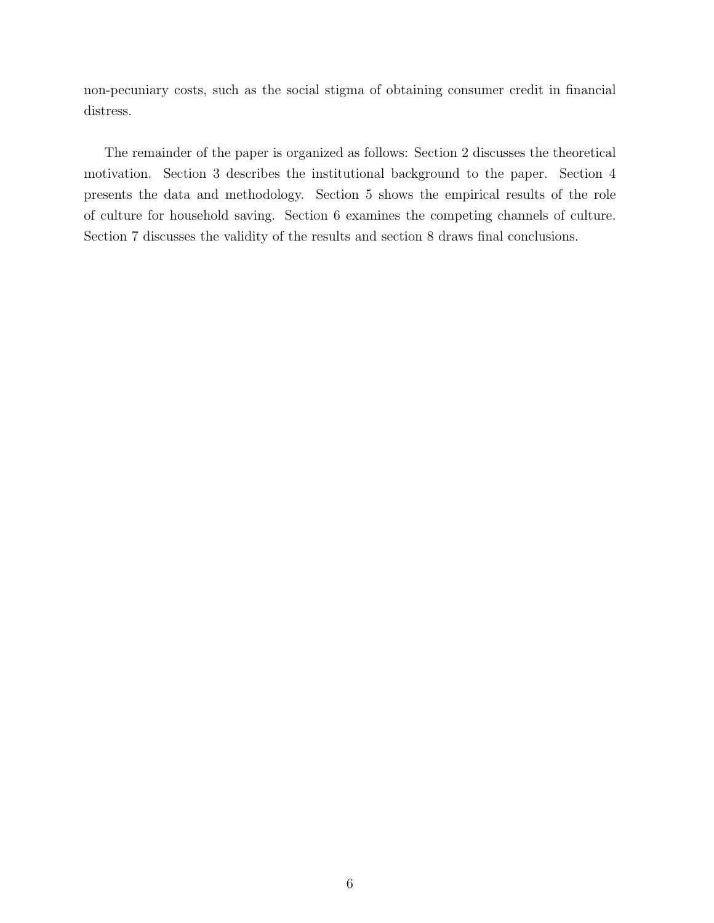non-pecuniary costs, such as the social stigma of obtaining consumer credit in financial distress.

The remainder of the paper is organized as follows: Section 2 discusses the theoretical motivation. Section 3 describes the institutional background to the paper. Section 4 presents the data and methodology. Section 5 shows the empirical results of the role of culture for household saving. Section 6 examines the competing channels of culture. Section 7 discusses the validity of the results and section 8 draws final conclusions.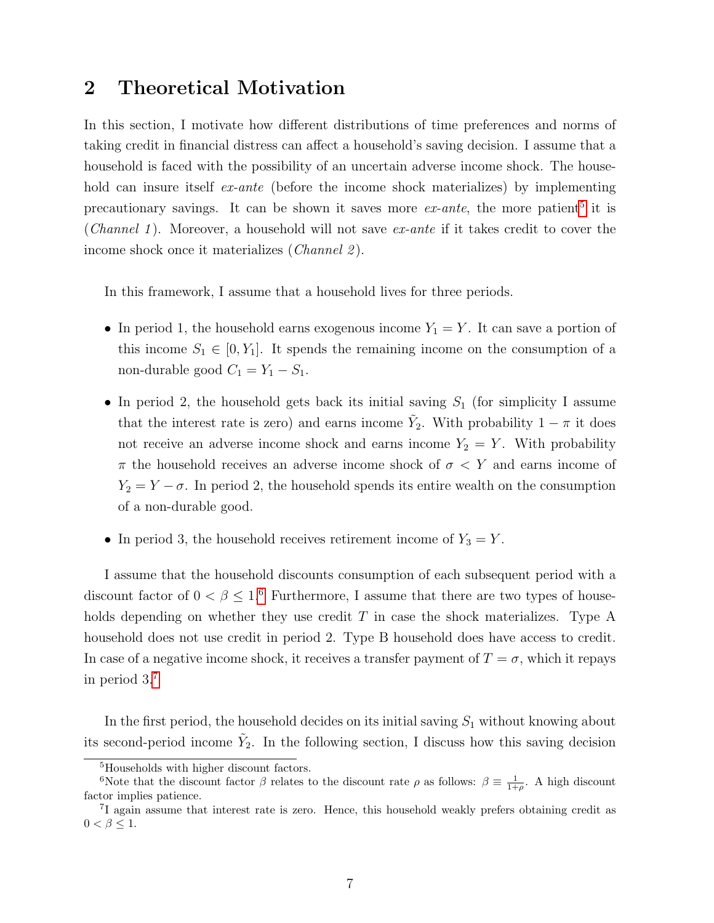## 2 Theoretical Motivation

In this section, I motivate how different distributions of time preferences and norms of taking credit in financial distress can affect a household's saving decision. I assume that a household is faced with the possibility of an uncertain adverse income shock. The household can insure itself *ex-ante* (before the income shock materializes) by implementing precautionary savings. It can be shown it saves more  $ex\text{-}ante$ , the more patient<sup>[5](#page-6-0)</sup> it is (*Channel 1*). Moreover, a household will not save  $ex$ -ante if it takes credit to cover the income shock once it materializes (*Channel 2*).

In this framework, I assume that a household lives for three periods.

- In period 1, the household earns exogenous income  $Y_1 = Y$ . It can save a portion of this income  $S_1 \in [0, Y_1]$ . It spends the remaining income on the consumption of a non-durable good  $C_1 = Y_1 - S_1$ .
- In period 2, the household gets back its initial saving  $S_1$  (for simplicity I assume that the interest rate is zero) and earns income  $\tilde{Y}_2$ . With probability  $1 - \pi$  it does not receive an adverse income shock and earns income  $Y_2 = Y$ . With probability  $\pi$  the household receives an adverse income shock of  $\sigma < Y$  and earns income of  $Y_2 = Y - \sigma$ . In period 2, the household spends its entire wealth on the consumption of a non-durable good.
- In period 3, the household receives retirement income of  $Y_3 = Y$ .

I assume that the household discounts consumption of each subsequent period with a discount factor of  $0 < \beta \leq 1.6$  $0 < \beta \leq 1.6$  Furthermore, I assume that there are two types of households depending on whether they use credit  $T$  in case the shock materializes. Type A household does not use credit in period 2. Type B household does have access to credit. In case of a negative income shock, it receives a transfer payment of  $T = \sigma$ , which it repays in period 3.[7](#page-6-2)

In the first period, the household decides on its initial saving  $S_1$  without knowing about its second-period income  $\tilde{Y}_2$ . In the following section, I discuss how this saving decision

<span id="page-6-1"></span><span id="page-6-0"></span><sup>5</sup>Households with higher discount factors.

<sup>&</sup>lt;sup>6</sup>Note that the discount factor  $\beta$  relates to the discount rate  $\rho$  as follows:  $\beta \equiv \frac{1}{1+\rho}$ . A high discount factor implies patience.

<span id="page-6-2"></span><sup>&</sup>lt;sup>7</sup>I again assume that interest rate is zero. Hence, this household weakly prefers obtaining credit as  $0 < \beta \leq 1$ .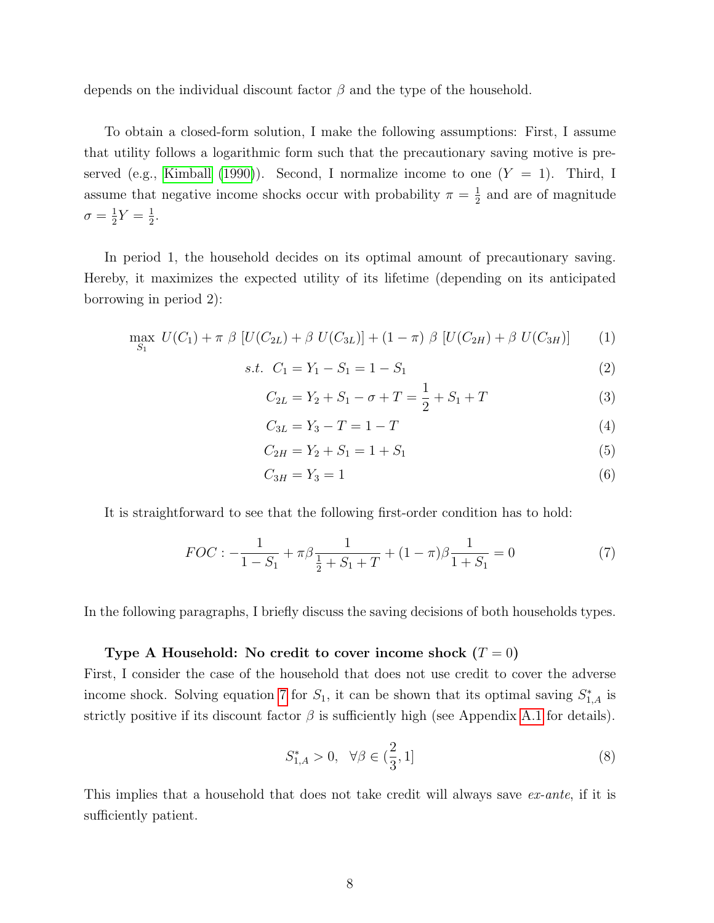depends on the individual discount factor  $\beta$  and the type of the household.

To obtain a closed-form solution, I make the following assumptions: First, I assume that utility follows a logarithmic form such that the precautionary saving motive is pre-served (e.g., [Kimball](#page-27-8) [\(1990\)](#page-27-8)). Second, I normalize income to one  $(Y = 1)$ . Third, I assume that negative income shocks occur with probability  $\pi = \frac{1}{2}$  $\frac{1}{2}$  and are of magnitude  $\sigma = \frac{1}{2}$  $\frac{1}{2}Y = \frac{1}{2}$  $\frac{1}{2}$ .

In period 1, the household decides on its optimal amount of precautionary saving. Hereby, it maximizes the expected utility of its lifetime (depending on its anticipated borrowing in period 2):

$$
\max_{S_1} U(C_1) + \pi \beta \left[ U(C_{2L}) + \beta U(C_{3L}) \right] + (1 - \pi) \beta \left[ U(C_{2H}) + \beta U(C_{3H}) \right] \tag{1}
$$

$$
s.t. \quad C_1 = Y_1 - S_1 = 1 - S_1 \tag{2}
$$

$$
C_{2L} = Y_2 + S_1 - \sigma + T = \frac{1}{2} + S_1 + T \tag{3}
$$

$$
C_{3L} = Y_3 - T = 1 - T \tag{4}
$$

$$
C_{2H} = Y_2 + S_1 = 1 + S_1 \tag{5}
$$

<span id="page-7-0"></span>
$$
C_{3H} = Y_3 = 1\tag{6}
$$

It is straightforward to see that the following first-order condition has to hold:

$$
FOC: -\frac{1}{1-S_1} + \pi \beta \frac{1}{\frac{1}{2}+S_1+T} + (1-\pi)\beta \frac{1}{1+S_1} = 0
$$
 (7)

In the following paragraphs, I briefly discuss the saving decisions of both households types.

### Type A Household: No credit to cover income shock  $(T = 0)$

First, I consider the case of the household that does not use credit to cover the adverse income shock. Solving equation [7](#page-7-0) for  $S_1$ , it can be shown that its optimal saving  $S_{1,A}^*$  is strictly positive if its discount factor  $\beta$  is sufficiently high (see Appendix [A.1](#page-47-0) for details).

$$
S_{1,A}^* > 0, \ \ \forall \beta \in \left(\frac{2}{3}, 1\right] \tag{8}
$$

This implies that a household that does not take credit will always save ex-ante, if it is sufficiently patient.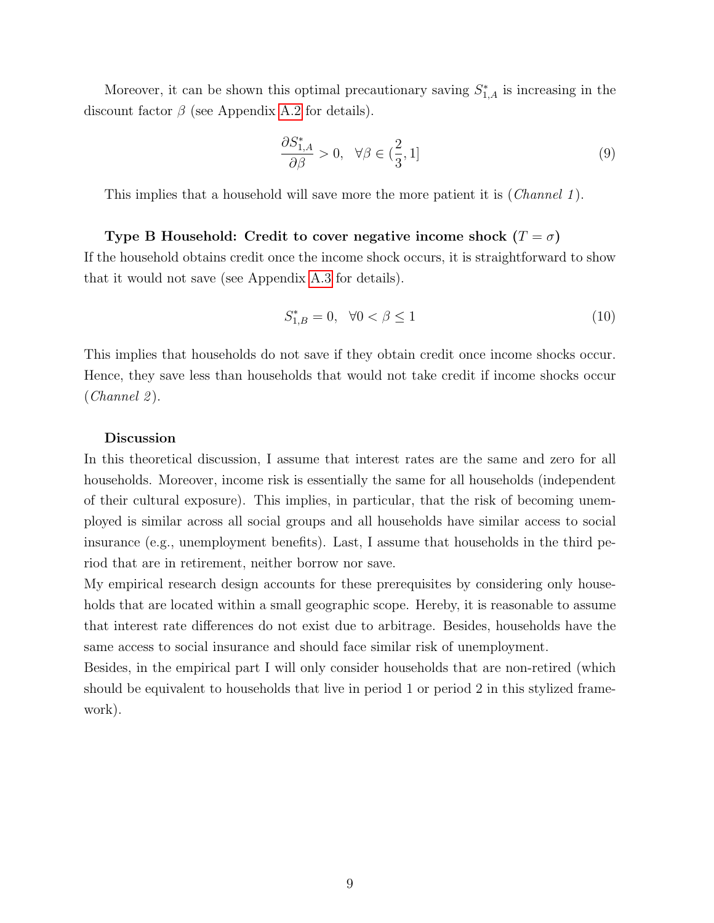Moreover, it can be shown this optimal precautionary saving  $S_{1,A}^*$  is increasing in the discount factor  $\beta$  (see Appendix [A.2](#page-48-0) for details).

$$
\frac{\partial S_{1,A}^*}{\partial \beta} > 0, \quad \forall \beta \in (\frac{2}{3}, 1]
$$
\n(9)

This implies that a household will save more the more patient it is (*Channel 1*).

### Type B Household: Credit to cover negative income shock  $(T = \sigma)$

If the household obtains credit once the income shock occurs, it is straightforward to show that it would not save (see Appendix [A.3](#page-50-0) for details).

$$
S_{1,B}^* = 0, \quad \forall 0 < \beta \le 1 \tag{10}
$$

This implies that households do not save if they obtain credit once income shocks occur. Hence, they save less than households that would not take credit if income shocks occur  $(Channel 2).$ 

#### Discussion

In this theoretical discussion, I assume that interest rates are the same and zero for all households. Moreover, income risk is essentially the same for all households (independent of their cultural exposure). This implies, in particular, that the risk of becoming unemployed is similar across all social groups and all households have similar access to social insurance (e.g., unemployment benefits). Last, I assume that households in the third period that are in retirement, neither borrow nor save.

My empirical research design accounts for these prerequisites by considering only households that are located within a small geographic scope. Hereby, it is reasonable to assume that interest rate differences do not exist due to arbitrage. Besides, households have the same access to social insurance and should face similar risk of unemployment.

Besides, in the empirical part I will only consider households that are non-retired (which should be equivalent to households that live in period 1 or period 2 in this stylized framework).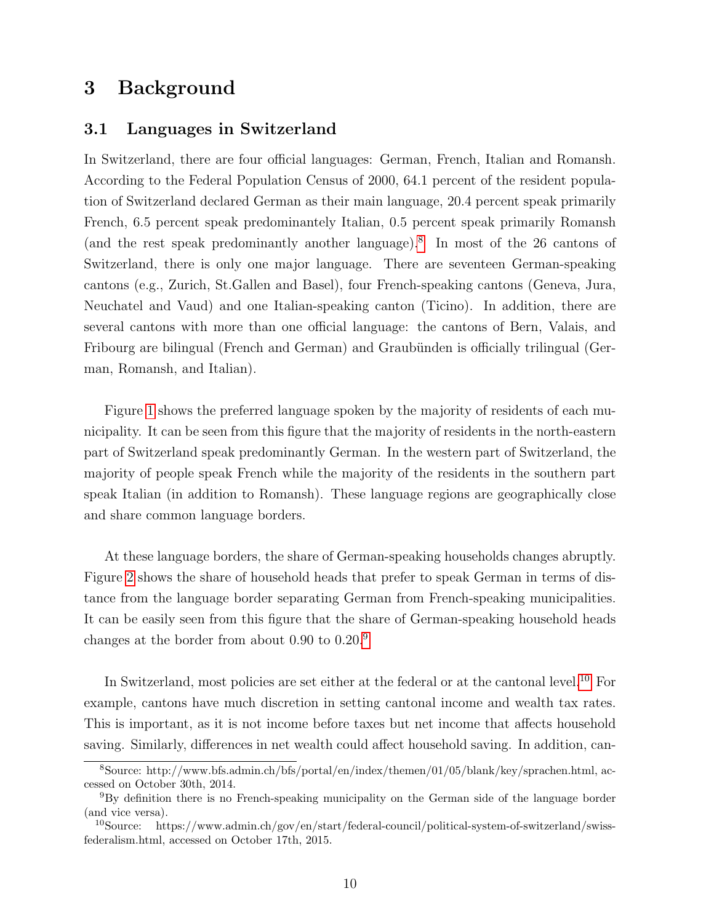## 3 Background

### 3.1 Languages in Switzerland

In Switzerland, there are four official languages: German, French, Italian and Romansh. According to the Federal Population Census of 2000, 64.1 percent of the resident population of Switzerland declared German as their main language, 20.4 percent speak primarily French, 6.5 percent speak predominantely Italian, 0.5 percent speak primarily Romansh (and the rest speak predominantly another language).[8](#page-9-0) In most of the 26 cantons of Switzerland, there is only one major language. There are seventeen German-speaking cantons (e.g., Zurich, St.Gallen and Basel), four French-speaking cantons (Geneva, Jura, Neuchatel and Vaud) and one Italian-speaking canton (Ticino). In addition, there are several cantons with more than one official language: the cantons of Bern, Valais, and Fribourg are bilingual (French and German) and Graubünden is officially trilingual (German, Romansh, and Italian).

Figure [1](#page-29-0) shows the preferred language spoken by the majority of residents of each municipality. It can be seen from this figure that the majority of residents in the north-eastern part of Switzerland speak predominantly German. In the western part of Switzerland, the majority of people speak French while the majority of the residents in the southern part speak Italian (in addition to Romansh). These language regions are geographically close and share common language borders.

At these language borders, the share of German-speaking households changes abruptly. Figure [2](#page-30-0) shows the share of household heads that prefer to speak German in terms of distance from the language border separating German from French-speaking municipalities. It can be easily seen from this figure that the share of German-speaking household heads changes at the border from about 0.90 to 0.20.[9](#page-9-1)

In Switzerland, most policies are set either at the federal or at the cantonal level.<sup>[10](#page-9-2)</sup> For example, cantons have much discretion in setting cantonal income and wealth tax rates. This is important, as it is not income before taxes but net income that affects household saving. Similarly, differences in net wealth could affect household saving. In addition, can-

<span id="page-9-0"></span><sup>8</sup>Source: http://www.bfs.admin.ch/bfs/portal/en/index/themen/01/05/blank/key/sprachen.html, accessed on October 30th, 2014.

<span id="page-9-1"></span><sup>9</sup>By definition there is no French-speaking municipality on the German side of the language border (and vice versa).

<span id="page-9-2"></span><sup>&</sup>lt;sup>10</sup>Source: https://www.admin.ch/gov/en/start/federal-council/political-system-of-switzerland/swissfederalism.html, accessed on October 17th, 2015.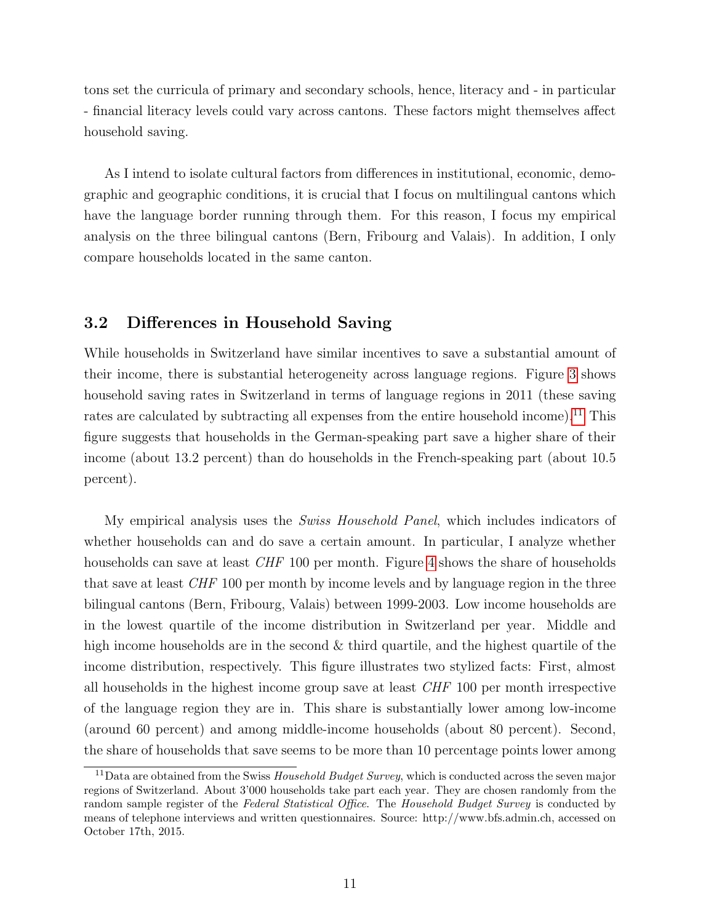tons set the curricula of primary and secondary schools, hence, literacy and - in particular - financial literacy levels could vary across cantons. These factors might themselves affect household saving.

As I intend to isolate cultural factors from differences in institutional, economic, demographic and geographic conditions, it is crucial that I focus on multilingual cantons which have the language border running through them. For this reason, I focus my empirical analysis on the three bilingual cantons (Bern, Fribourg and Valais). In addition, I only compare households located in the same canton.

### 3.2 Differences in Household Saving

While households in Switzerland have similar incentives to save a substantial amount of their income, there is substantial heterogeneity across language regions. Figure [3](#page-31-0) shows household saving rates in Switzerland in terms of language regions in 2011 (these saving rates are calculated by subtracting all expenses from the entire household income).<sup>[11](#page-10-0)</sup> This figure suggests that households in the German-speaking part save a higher share of their income (about 13.2 percent) than do households in the French-speaking part (about 10.5 percent).

My empirical analysis uses the *Swiss Household Panel*, which includes indicators of whether households can and do save a certain amount. In particular, I analyze whether households can save at least *CHF* 100 per month. Figure [4](#page-32-0) shows the share of households that save at least CHF 100 per month by income levels and by language region in the three bilingual cantons (Bern, Fribourg, Valais) between 1999-2003. Low income households are in the lowest quartile of the income distribution in Switzerland per year. Middle and high income households are in the second  $\&$  third quartile, and the highest quartile of the income distribution, respectively. This figure illustrates two stylized facts: First, almost all households in the highest income group save at least CHF 100 per month irrespective of the language region they are in. This share is substantially lower among low-income (around 60 percent) and among middle-income households (about 80 percent). Second, the share of households that save seems to be more than 10 percentage points lower among

<span id="page-10-0"></span><sup>&</sup>lt;sup>11</sup>Data are obtained from the Swiss *Household Budget Survey*, which is conducted across the seven major regions of Switzerland. About 3'000 households take part each year. They are chosen randomly from the random sample register of the Federal Statistical Office. The Household Budget Survey is conducted by means of telephone interviews and written questionnaires. Source: http://www.bfs.admin.ch, accessed on October 17th, 2015.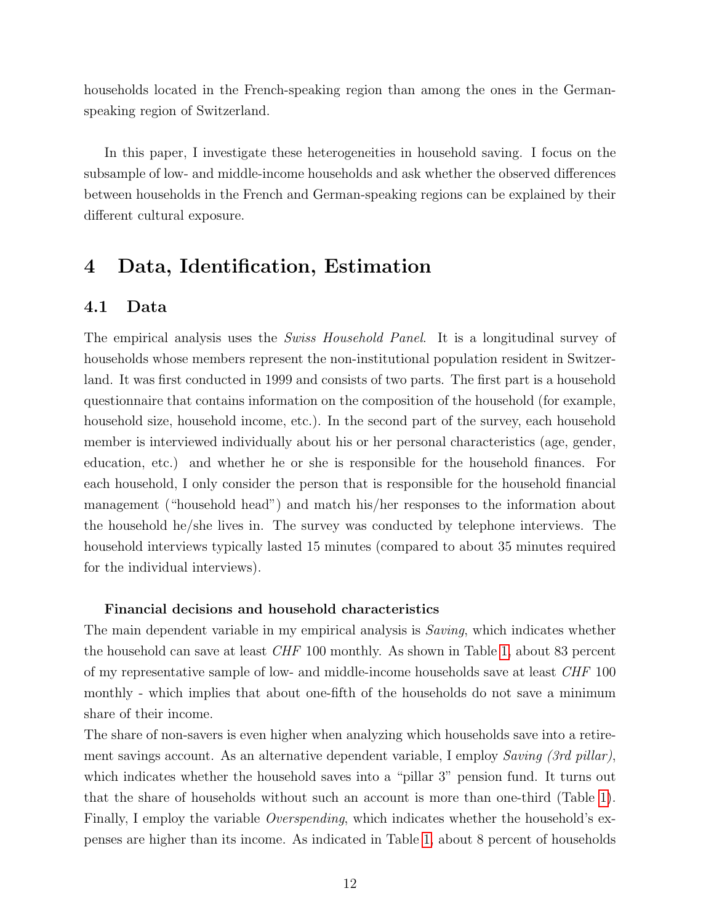households located in the French-speaking region than among the ones in the Germanspeaking region of Switzerland.

In this paper, I investigate these heterogeneities in household saving. I focus on the subsample of low- and middle-income households and ask whether the observed differences between households in the French and German-speaking regions can be explained by their different cultural exposure.

## <span id="page-11-0"></span>4 Data, Identification, Estimation

### 4.1 Data

The empirical analysis uses the *Swiss Household Panel*. It is a longitudinal survey of households whose members represent the non-institutional population resident in Switzerland. It was first conducted in 1999 and consists of two parts. The first part is a household questionnaire that contains information on the composition of the household (for example, household size, household income, etc.). In the second part of the survey, each household member is interviewed individually about his or her personal characteristics (age, gender, education, etc.) and whether he or she is responsible for the household finances. For each household, I only consider the person that is responsible for the household financial management ("household head") and match his/her responses to the information about the household he/she lives in. The survey was conducted by telephone interviews. The household interviews typically lasted 15 minutes (compared to about 35 minutes required for the individual interviews).

### Financial decisions and household characteristics

The main dependent variable in my empirical analysis is *Saving*, which indicates whether the household can save at least CHF 100 monthly. As shown in Table [1,](#page-35-0) about 83 percent of my representative sample of low- and middle-income households save at least CHF 100 monthly - which implies that about one-fifth of the households do not save a minimum share of their income.

The share of non-savers is even higher when analyzing which households save into a retirement savings account. As an alternative dependent variable, I employ Saving (3rd pillar), which indicates whether the household saves into a "pillar 3" pension fund. It turns out that the share of households without such an account is more than one-third (Table [1\)](#page-35-0). Finally, I employ the variable *Overspending*, which indicates whether the household's expenses are higher than its income. As indicated in Table [1,](#page-35-0) about 8 percent of households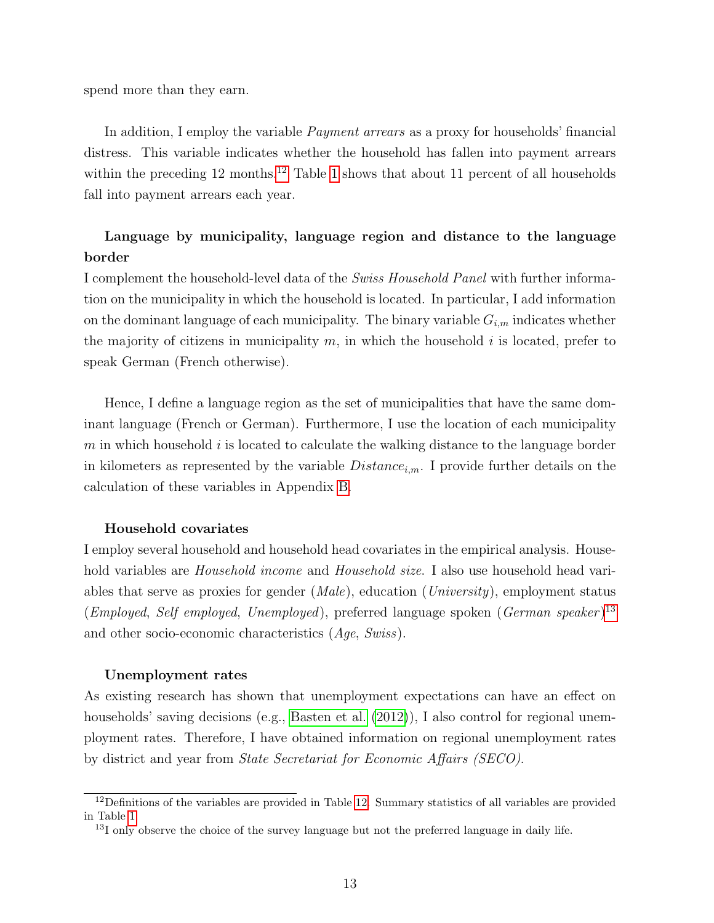spend more than they earn.

In addition, I employ the variable *Payment arrears* as a proxy for households' financial distress. This variable indicates whether the household has fallen into payment arrears within the preceding [12](#page-12-0) months.<sup>12</sup> Table [1](#page-35-0) shows that about 11 percent of all households fall into payment arrears each year.

### Language by municipality, language region and distance to the language border

I complement the household-level data of the Swiss Household Panel with further information on the municipality in which the household is located. In particular, I add information on the dominant language of each municipality. The binary variable  $G_{i,m}$  indicates whether the majority of citizens in municipality  $m$ , in which the household i is located, prefer to speak German (French otherwise).

Hence, I define a language region as the set of municipalities that have the same dominant language (French or German). Furthermore, I use the location of each municipality  $m$  in which household i is located to calculate the walking distance to the language border in kilometers as represented by the variable  $Distance_{i,m}$ . I provide further details on the calculation of these variables in Appendix [B.](#page-51-0)

#### Household covariates

I employ several household and household head covariates in the empirical analysis. Household variables are *Household income* and *Household size*. I also use household head variables that serve as proxies for gender  $(Male)$ , education  $(University)$ , employment status (*Employed, Self employed, Unemployed*), preferred language spoken (*German speaker*)<sup>[13](#page-12-1)</sup> and other socio-economic characteristics (Age, Swiss).

#### Unemployment rates

As existing research has shown that unemployment expectations can have an effect on households' saving decisions (e.g., [Basten et al.](#page-25-3) [\(2012\)](#page-25-3)), I also control for regional unemployment rates. Therefore, I have obtained information on regional unemployment rates by district and year from State Secretariat for Economic Affairs (SECO).

<span id="page-12-0"></span><sup>&</sup>lt;sup>12</sup>Definitions of the variables are provided in Table [12.](#page-46-0) Summary statistics of all variables are provided in Table [1.](#page-35-0)

<span id="page-12-1"></span> $13I$  only observe the choice of the survey language but not the preferred language in daily life.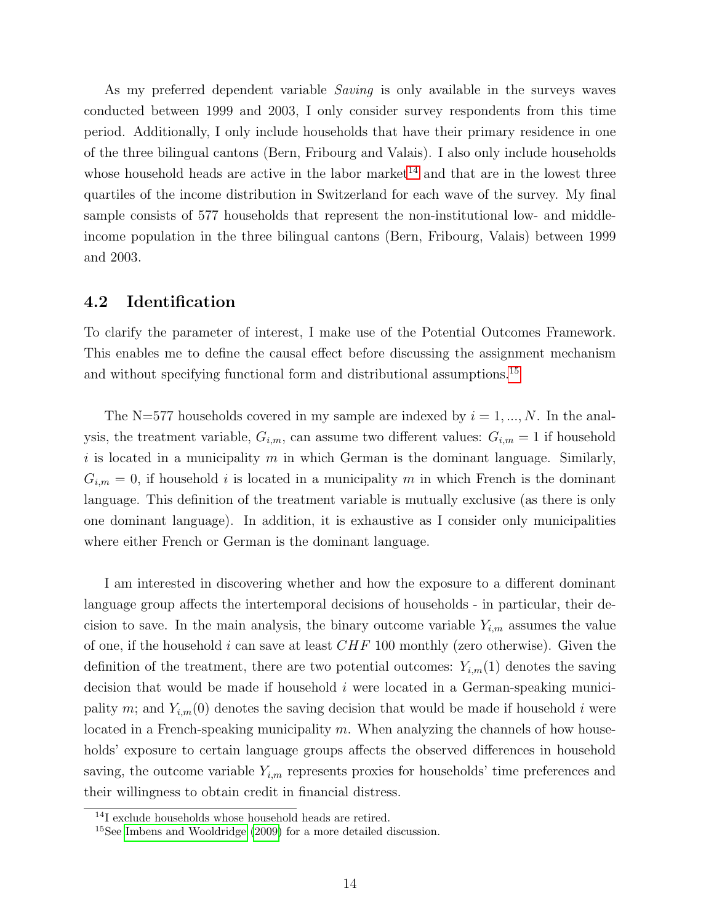As my preferred dependent variable *Saving* is only available in the surveys waves conducted between 1999 and 2003, I only consider survey respondents from this time period. Additionally, I only include households that have their primary residence in one of the three bilingual cantons (Bern, Fribourg and Valais). I also only include households whose household heads are active in the labor market<sup>[14](#page-13-0)</sup> and that are in the lowest three quartiles of the income distribution in Switzerland for each wave of the survey. My final sample consists of 577 households that represent the non-institutional low- and middleincome population in the three bilingual cantons (Bern, Fribourg, Valais) between 1999 and 2003.

### 4.2 Identification

To clarify the parameter of interest, I make use of the Potential Outcomes Framework. This enables me to define the causal effect before discussing the assignment mechanism and without specifying functional form and distributional assumptions.<sup>[15](#page-13-1)</sup>

The N=577 households covered in my sample are indexed by  $i = 1, ..., N$ . In the analysis, the treatment variable,  $G_{i,m}$ , can assume two different values:  $G_{i,m} = 1$  if household i is located in a municipality  $m$  in which German is the dominant language. Similarly,  $G_{i,m} = 0$ , if household i is located in a municipality m in which French is the dominant language. This definition of the treatment variable is mutually exclusive (as there is only one dominant language). In addition, it is exhaustive as I consider only municipalities where either French or German is the dominant language.

I am interested in discovering whether and how the exposure to a different dominant language group affects the intertemporal decisions of households - in particular, their decision to save. In the main analysis, the binary outcome variable  $Y_{i,m}$  assumes the value of one, if the household i can save at least  $CHF$  100 monthly (zero otherwise). Given the definition of the treatment, there are two potential outcomes:  $Y_{i,m}(1)$  denotes the saving decision that would be made if household  $i$  were located in a German-speaking municipality m; and  $Y_{i,m}(0)$  denotes the saving decision that would be made if household i were located in a French-speaking municipality  $m$ . When analyzing the channels of how households' exposure to certain language groups affects the observed differences in household saving, the outcome variable  $Y_{i,m}$  represents proxies for households' time preferences and their willingness to obtain credit in financial distress.

<span id="page-13-0"></span><sup>&</sup>lt;sup>14</sup>I exclude households whose household heads are retired.

<span id="page-13-1"></span><sup>&</sup>lt;sup>15</sup>See [Imbens and Wooldridge](#page-27-9) [\(2009\)](#page-27-9) for a more detailed discussion.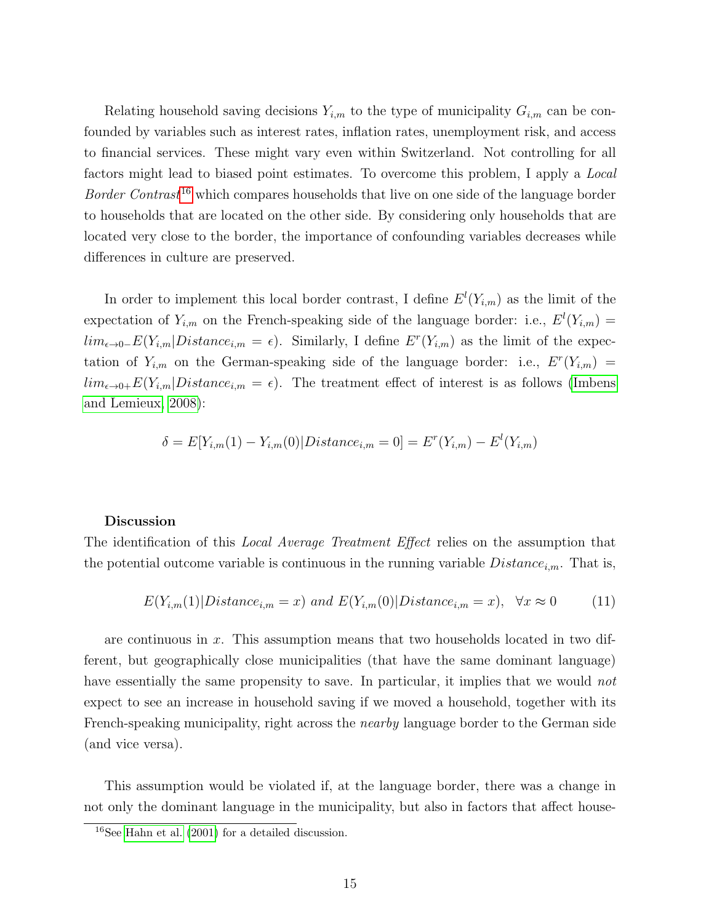Relating household saving decisions  $Y_{i,m}$  to the type of municipality  $G_{i,m}$  can be confounded by variables such as interest rates, inflation rates, unemployment risk, and access to financial services. These might vary even within Switzerland. Not controlling for all factors might lead to biased point estimates. To overcome this problem, I apply a Local Border Contrast<sup>[16](#page-14-0)</sup> which compares households that live on one side of the language border to households that are located on the other side. By considering only households that are located very close to the border, the importance of confounding variables decreases while differences in culture are preserved.

In order to implement this local border contrast, I define  $E^l(Y_{i,m})$  as the limit of the expectation of  $Y_{i,m}$  on the French-speaking side of the language border: i.e.,  $E^{l}(Y_{i,m}) =$  $\lim_{\epsilon \to 0^-} E(Y_{i,m} | Distance_{i,m} = \epsilon)$ . Similarly, I define  $E^r(Y_{i,m})$  as the limit of the expectation of  $Y_{i,m}$  on the German-speaking side of the language border: i.e.,  $E^r(Y_{i,m}) =$  $lim_{\epsilon \to 0+} E(Y_{i,m} | Distance_{i,m} = \epsilon)$ . The treatment effect of interest is as follows [\(Imbens](#page-27-10) [and Lemieux, 2008\)](#page-27-10):

$$
\delta = E[Y_{i,m}(1) - Y_{i,m}(0)|Distance_{i,m} = 0] = E^{r}(Y_{i,m}) - E^{l}(Y_{i,m})
$$

#### Discussion

The identification of this *Local Average Treatment Effect* relies on the assumption that the potential outcome variable is continuous in the running variable  $Distance_{i,m}$ . That is,

$$
E(Y_{i,m}(1)|Distance_{i,m} = x) \text{ and } E(Y_{i,m}(0)|Distance_{i,m} = x), \forall x \approx 0 \tag{11}
$$

are continuous in x. This assumption means that two households located in two different, but geographically close municipalities (that have the same dominant language) have essentially the same propensity to save. In particular, it implies that we would not expect to see an increase in household saving if we moved a household, together with its French-speaking municipality, right across the *nearby* language border to the German side (and vice versa).

This assumption would be violated if, at the language border, there was a change in not only the dominant language in the municipality, but also in factors that affect house-

<span id="page-14-0"></span> $16$ See [Hahn et al.](#page-27-11) [\(2001\)](#page-27-11) for a detailed discussion.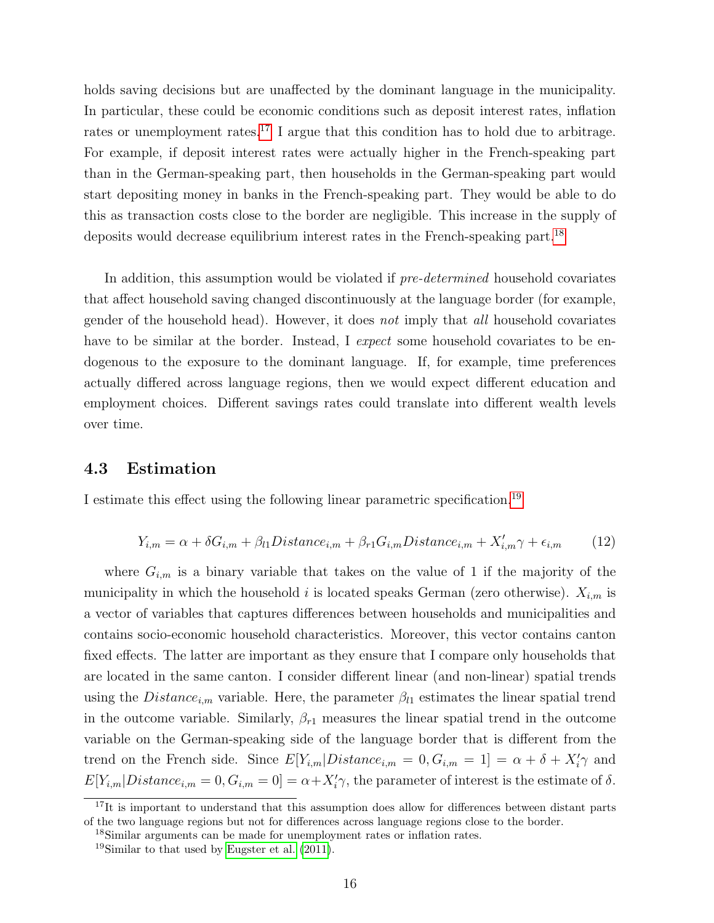holds saving decisions but are unaffected by the dominant language in the municipality. In particular, these could be economic conditions such as deposit interest rates, inflation rates or unemployment rates.<sup>[17](#page-15-0)</sup> I argue that this condition has to hold due to arbitrage. For example, if deposit interest rates were actually higher in the French-speaking part than in the German-speaking part, then households in the German-speaking part would start depositing money in banks in the French-speaking part. They would be able to do this as transaction costs close to the border are negligible. This increase in the supply of deposits would decrease equilibrium interest rates in the French-speaking part.<sup>[18](#page-15-1)</sup>

In addition, this assumption would be violated if *pre-determined* household covariates that affect household saving changed discontinuously at the language border (for example, gender of the household head). However, it does not imply that all household covariates have to be similar at the border. Instead, I expect some household covariates to be endogenous to the exposure to the dominant language. If, for example, time preferences actually differed across language regions, then we would expect different education and employment choices. Different savings rates could translate into different wealth levels over time.

### 4.3 Estimation

I estimate this effect using the following linear parametric specification.[19](#page-15-2)

<span id="page-15-3"></span>
$$
Y_{i,m} = \alpha + \delta G_{i,m} + \beta_{l1} Distance_{i,m} + \beta_{r1} G_{i,m} Distance_{i,m} + X'_{i,m} \gamma + \epsilon_{i,m}
$$
 (12)

where  $G_{i,m}$  is a binary variable that takes on the value of 1 if the majority of the municipality in which the household i is located speaks German (zero otherwise).  $X_{i,m}$  is a vector of variables that captures differences between households and municipalities and contains socio-economic household characteristics. Moreover, this vector contains canton fixed effects. The latter are important as they ensure that I compare only households that are located in the same canton. I consider different linear (and non-linear) spatial trends using the  $Distance_{i,m}$  variable. Here, the parameter  $\beta_{l1}$  estimates the linear spatial trend in the outcome variable. Similarly,  $\beta_{r1}$  measures the linear spatial trend in the outcome variable on the German-speaking side of the language border that is different from the trend on the French side. Since  $E[Y_{i,m} | Distance_{i,m} = 0, G_{i,m} = 1] = \alpha + \delta + X'_{i}\gamma$  and  $E[Y_{i,m}|Distance_{i,m} = 0, G_{i,m} = 0] = \alpha + X_i' \gamma$ , the parameter of interest is the estimate of  $\delta$ .

<span id="page-15-0"></span> $17$ It is important to understand that this assumption does allow for differences between distant parts of the two language regions but not for differences across language regions close to the border.

<span id="page-15-1"></span><sup>18</sup>Similar arguments can be made for unemployment rates or inflation rates.

<span id="page-15-2"></span> $19$ Similar to that used by [Eugster et al.](#page-26-12) [\(2011\)](#page-26-12).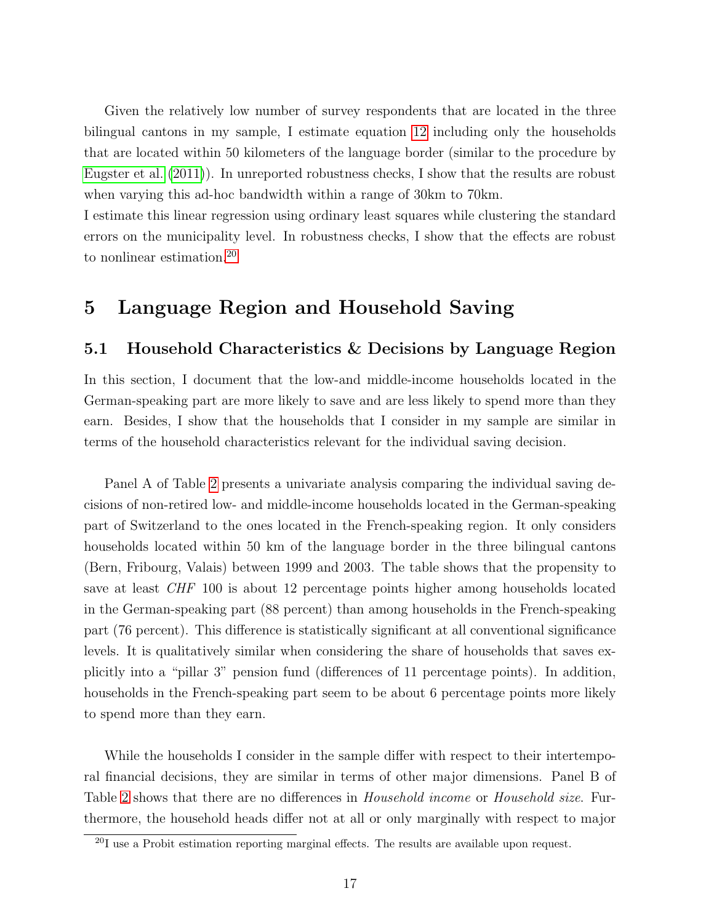Given the relatively low number of survey respondents that are located in the three bilingual cantons in my sample, I estimate equation [12](#page-15-3) including only the households that are located within 50 kilometers of the language border (similar to the procedure by [Eugster et al.](#page-26-12) [\(2011\)](#page-26-12)). In unreported robustness checks, I show that the results are robust when varying this ad-hoc bandwidth within a range of 30km to 70km.

I estimate this linear regression using ordinary least squares while clustering the standard errors on the municipality level. In robustness checks, I show that the effects are robust to nonlinear estimation.[20](#page-16-0)

## 5 Language Region and Household Saving

### 5.1 Household Characteristics & Decisions by Language Region

In this section, I document that the low-and middle-income households located in the German-speaking part are more likely to save and are less likely to spend more than they earn. Besides, I show that the households that I consider in my sample are similar in terms of the household characteristics relevant for the individual saving decision.

Panel A of Table [2](#page-36-0) presents a univariate analysis comparing the individual saving decisions of non-retired low- and middle-income households located in the German-speaking part of Switzerland to the ones located in the French-speaking region. It only considers households located within 50 km of the language border in the three bilingual cantons (Bern, Fribourg, Valais) between 1999 and 2003. The table shows that the propensity to save at least CHF 100 is about 12 percentage points higher among households located in the German-speaking part (88 percent) than among households in the French-speaking part (76 percent). This difference is statistically significant at all conventional significance levels. It is qualitatively similar when considering the share of households that saves explicitly into a "pillar 3" pension fund (differences of 11 percentage points). In addition, households in the French-speaking part seem to be about 6 percentage points more likely to spend more than they earn.

While the households I consider in the sample differ with respect to their intertemporal financial decisions, they are similar in terms of other major dimensions. Panel B of Table [2](#page-36-0) shows that there are no differences in *Household income* or *Household size*. Furthermore, the household heads differ not at all or only marginally with respect to major

<span id="page-16-0"></span><sup>&</sup>lt;sup>20</sup>I use a Probit estimation reporting marginal effects. The results are available upon request.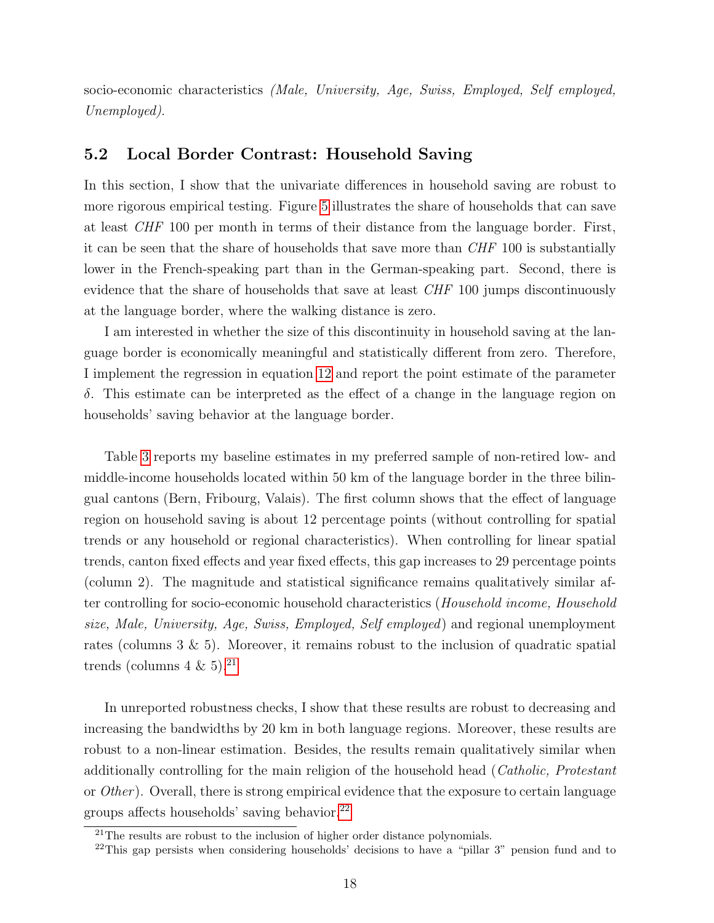socio-economic characteristics (Male, University, Age, Swiss, Employed, Self employed, Unemployed).

### 5.2 Local Border Contrast: Household Saving

In this section, I show that the univariate differences in household saving are robust to more rigorous empirical testing. Figure [5](#page-33-0) illustrates the share of households that can save at least CHF 100 per month in terms of their distance from the language border. First, it can be seen that the share of households that save more than CHF 100 is substantially lower in the French-speaking part than in the German-speaking part. Second, there is evidence that the share of households that save at least CHF 100 jumps discontinuously at the language border, where the walking distance is zero.

I am interested in whether the size of this discontinuity in household saving at the language border is economically meaningful and statistically different from zero. Therefore, I implement the regression in equation [12](#page-15-3) and report the point estimate of the parameter δ. This estimate can be interpreted as the effect of a change in the language region on households' saving behavior at the language border.

Table [3](#page-37-0) reports my baseline estimates in my preferred sample of non-retired low- and middle-income households located within 50 km of the language border in the three bilingual cantons (Bern, Fribourg, Valais). The first column shows that the effect of language region on household saving is about 12 percentage points (without controlling for spatial trends or any household or regional characteristics). When controlling for linear spatial trends, canton fixed effects and year fixed effects, this gap increases to 29 percentage points (column 2). The magnitude and statistical significance remains qualitatively similar after controlling for socio-economic household characteristics (Household income, Household size, Male, University, Age, Swiss, Employed, Self employed) and regional unemployment rates (columns  $3 \& 5$ ). Moreover, it remains robust to the inclusion of quadratic spatial trends (columns  $4 \& 5$ ).<sup>[21](#page-17-0)</sup>

In unreported robustness checks, I show that these results are robust to decreasing and increasing the bandwidths by 20 km in both language regions. Moreover, these results are robust to a non-linear estimation. Besides, the results remain qualitatively similar when additionally controlling for the main religion of the household head (Catholic, Protestant or  $Other$ ). Overall, there is strong empirical evidence that the exposure to certain language groups affects households' saving behavior.[22](#page-17-1)

<span id="page-17-0"></span> $21$ The results are robust to the inclusion of higher order distance polynomials.

<span id="page-17-1"></span><sup>&</sup>lt;sup>22</sup>This gap persists when considering households' decisions to have a "pillar 3" pension fund and to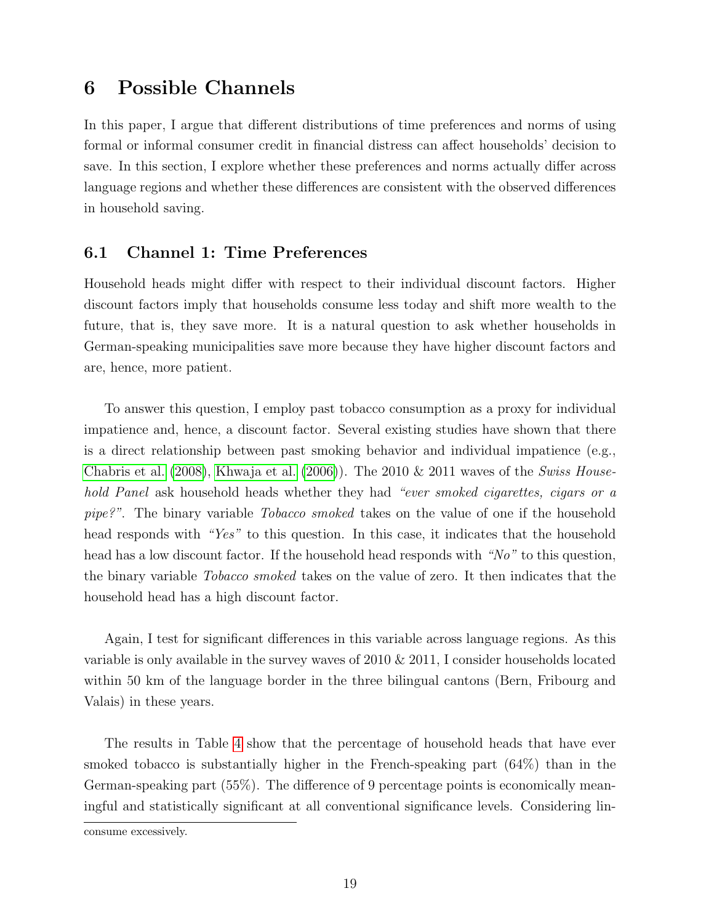## 6 Possible Channels

In this paper, I argue that different distributions of time preferences and norms of using formal or informal consumer credit in financial distress can affect households' decision to save. In this section, I explore whether these preferences and norms actually differ across language regions and whether these differences are consistent with the observed differences in household saving.

### 6.1 Channel 1: Time Preferences

Household heads might differ with respect to their individual discount factors. Higher discount factors imply that households consume less today and shift more wealth to the future, that is, they save more. It is a natural question to ask whether households in German-speaking municipalities save more because they have higher discount factors and are, hence, more patient.

To answer this question, I employ past tobacco consumption as a proxy for individual impatience and, hence, a discount factor. Several existing studies have shown that there is a direct relationship between past smoking behavior and individual impatience (e.g., [Chabris et al.](#page-26-5) [\(2008\)](#page-26-5), [Khwaja et al.](#page-27-1) [\(2006\)](#page-27-1)). The 2010  $\&$  2011 waves of the Swiss Household Panel ask household heads whether they had "ever smoked cigarettes, cigars or a pipe?". The binary variable Tobacco smoked takes on the value of one if the household head responds with "Yes" to this question. In this case, it indicates that the household head has a low discount factor. If the household head responds with "No" to this question, the binary variable Tobacco smoked takes on the value of zero. It then indicates that the household head has a high discount factor.

Again, I test for significant differences in this variable across language regions. As this variable is only available in the survey waves of 2010 & 2011, I consider households located within 50 km of the language border in the three bilingual cantons (Bern, Fribourg and Valais) in these years.

The results in Table [4](#page-38-0) show that the percentage of household heads that have ever smoked tobacco is substantially higher in the French-speaking part (64%) than in the German-speaking part (55%). The difference of 9 percentage points is economically meaningful and statistically significant at all conventional significance levels. Considering lin-

consume excessively.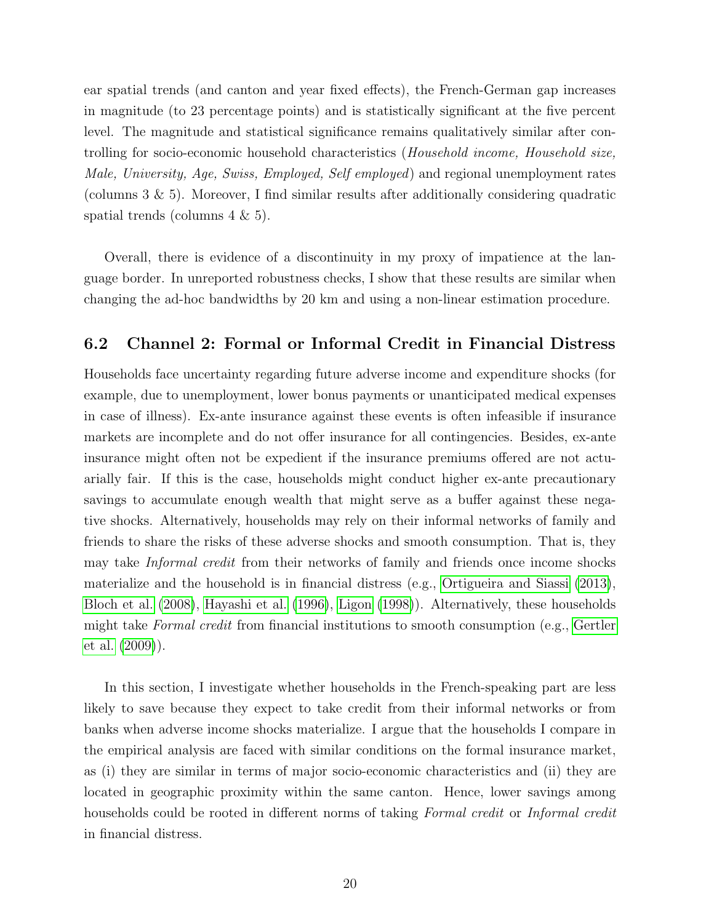ear spatial trends (and canton and year fixed effects), the French-German gap increases in magnitude (to 23 percentage points) and is statistically significant at the five percent level. The magnitude and statistical significance remains qualitatively similar after controlling for socio-economic household characteristics (Household income, Household size, Male, University, Age, Swiss, Employed, Self employed) and regional unemployment rates (columns  $3 \& 5$ ). Moreover, I find similar results after additionally considering quadratic spatial trends (columns 4 & 5).

Overall, there is evidence of a discontinuity in my proxy of impatience at the language border. In unreported robustness checks, I show that these results are similar when changing the ad-hoc bandwidths by 20 km and using a non-linear estimation procedure.

### 6.2 Channel 2: Formal or Informal Credit in Financial Distress

Households face uncertainty regarding future adverse income and expenditure shocks (for example, due to unemployment, lower bonus payments or unanticipated medical expenses in case of illness). Ex-ante insurance against these events is often infeasible if insurance markets are incomplete and do not offer insurance for all contingencies. Besides, ex-ante insurance might often not be expedient if the insurance premiums offered are not actuarially fair. If this is the case, households might conduct higher ex-ante precautionary savings to accumulate enough wealth that might serve as a buffer against these negative shocks. Alternatively, households may rely on their informal networks of family and friends to share the risks of these adverse shocks and smooth consumption. That is, they may take Informal credit from their networks of family and friends once income shocks materialize and the household is in financial distress (e.g., [Ortigueira and Siassi](#page-28-1) [\(2013\)](#page-28-1), [Bloch et al.](#page-25-0) [\(2008\)](#page-25-0), [Hayashi et al.](#page-27-12) [\(1996\)](#page-27-12), [Ligon](#page-27-13) [\(1998\)](#page-27-13)). Alternatively, these households might take Formal credit from financial institutions to smooth consumption (e.g., [Gertler](#page-26-13) [et al.](#page-26-13) [\(2009\)](#page-26-13)).

In this section, I investigate whether households in the French-speaking part are less likely to save because they expect to take credit from their informal networks or from banks when adverse income shocks materialize. I argue that the households I compare in the empirical analysis are faced with similar conditions on the formal insurance market, as (i) they are similar in terms of major socio-economic characteristics and (ii) they are located in geographic proximity within the same canton. Hence, lower savings among households could be rooted in different norms of taking Formal credit or Informal credit in financial distress.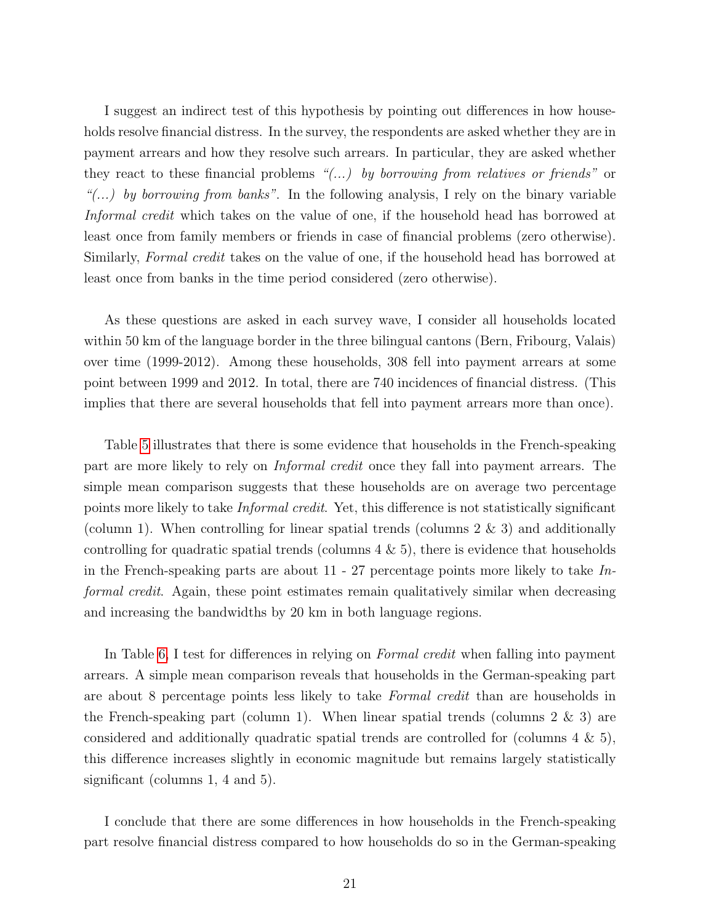I suggest an indirect test of this hypothesis by pointing out differences in how households resolve financial distress. In the survey, the respondents are asked whether they are in payment arrears and how they resolve such arrears. In particular, they are asked whether they react to these financial problems " $(...)$  by borrowing from relatives or friends" or "(...) by borrowing from banks". In the following analysis, I rely on the binary variable Informal credit which takes on the value of one, if the household head has borrowed at least once from family members or friends in case of financial problems (zero otherwise). Similarly, Formal credit takes on the value of one, if the household head has borrowed at least once from banks in the time period considered (zero otherwise).

As these questions are asked in each survey wave, I consider all households located within 50 km of the language border in the three bilingual cantons (Bern, Fribourg, Valais) over time (1999-2012). Among these households, 308 fell into payment arrears at some point between 1999 and 2012. In total, there are 740 incidences of financial distress. (This implies that there are several households that fell into payment arrears more than once).

Table [5](#page-39-0) illustrates that there is some evidence that households in the French-speaking part are more likely to rely on Informal credit once they fall into payment arrears. The simple mean comparison suggests that these households are on average two percentage points more likely to take Informal credit. Yet, this difference is not statistically significant (column 1). When controlling for linear spatial trends (columns  $2 \& 3$ ) and additionally controlling for quadratic spatial trends (columns  $4 \& 5$ ), there is evidence that households in the French-speaking parts are about  $11 - 27$  percentage points more likely to take Informal credit. Again, these point estimates remain qualitatively similar when decreasing and increasing the bandwidths by 20 km in both language regions.

In Table [6,](#page-40-0) I test for differences in relying on *Formal credit* when falling into payment arrears. A simple mean comparison reveals that households in the German-speaking part are about 8 percentage points less likely to take Formal credit than are households in the French-speaking part (column 1). When linear spatial trends (columns  $2 \& 3$ ) are considered and additionally quadratic spatial trends are controlled for (columns  $4 \& 5$ ), this difference increases slightly in economic magnitude but remains largely statistically significant (columns 1, 4 and 5).

I conclude that there are some differences in how households in the French-speaking part resolve financial distress compared to how households do so in the German-speaking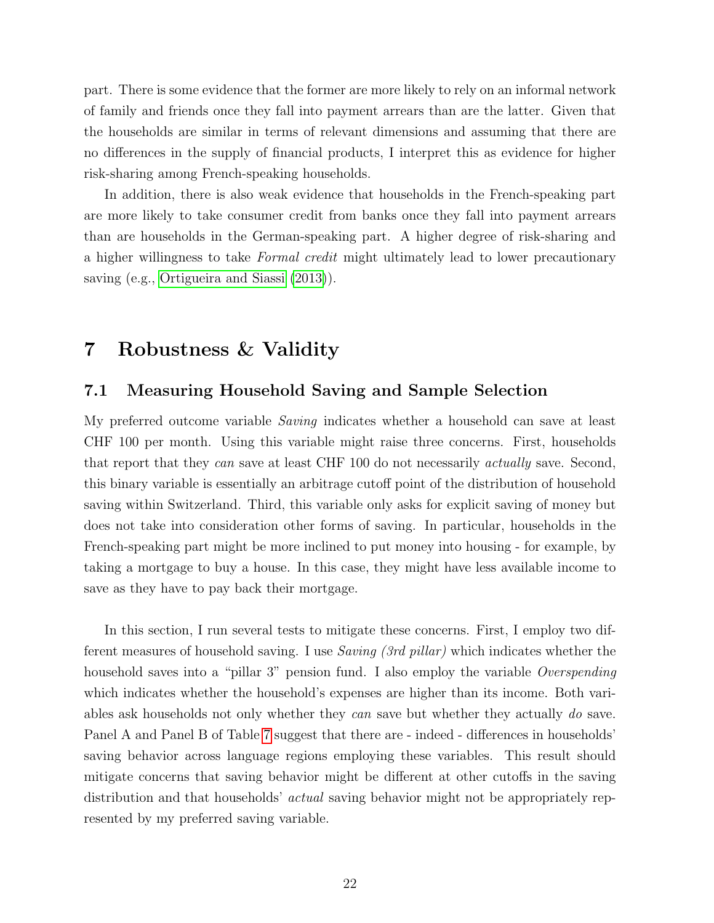part. There is some evidence that the former are more likely to rely on an informal network of family and friends once they fall into payment arrears than are the latter. Given that the households are similar in terms of relevant dimensions and assuming that there are no differences in the supply of financial products, I interpret this as evidence for higher risk-sharing among French-speaking households.

In addition, there is also weak evidence that households in the French-speaking part are more likely to take consumer credit from banks once they fall into payment arrears than are households in the German-speaking part. A higher degree of risk-sharing and a higher willingness to take Formal credit might ultimately lead to lower precautionary saving (e.g., [Ortigueira and Siassi](#page-28-1) [\(2013\)](#page-28-1)).

## 7 Robustness & Validity

### 7.1 Measuring Household Saving and Sample Selection

My preferred outcome variable Saving indicates whether a household can save at least CHF 100 per month. Using this variable might raise three concerns. First, households that report that they can save at least CHF 100 do not necessarily actually save. Second, this binary variable is essentially an arbitrage cutoff point of the distribution of household saving within Switzerland. Third, this variable only asks for explicit saving of money but does not take into consideration other forms of saving. In particular, households in the French-speaking part might be more inclined to put money into housing - for example, by taking a mortgage to buy a house. In this case, they might have less available income to save as they have to pay back their mortgage.

In this section, I run several tests to mitigate these concerns. First, I employ two different measures of household saving. I use Saving (3rd pillar) which indicates whether the household saves into a "pillar 3" pension fund. I also employ the variable *Overspending* which indicates whether the household's expenses are higher than its income. Both variables ask households not only whether they can save but whether they actually do save. Panel A and Panel B of Table [7](#page-41-0) suggest that there are - indeed - differences in households' saving behavior across language regions employing these variables. This result should mitigate concerns that saving behavior might be different at other cutoffs in the saving distribution and that households' *actual* saving behavior might not be appropriately represented by my preferred saving variable.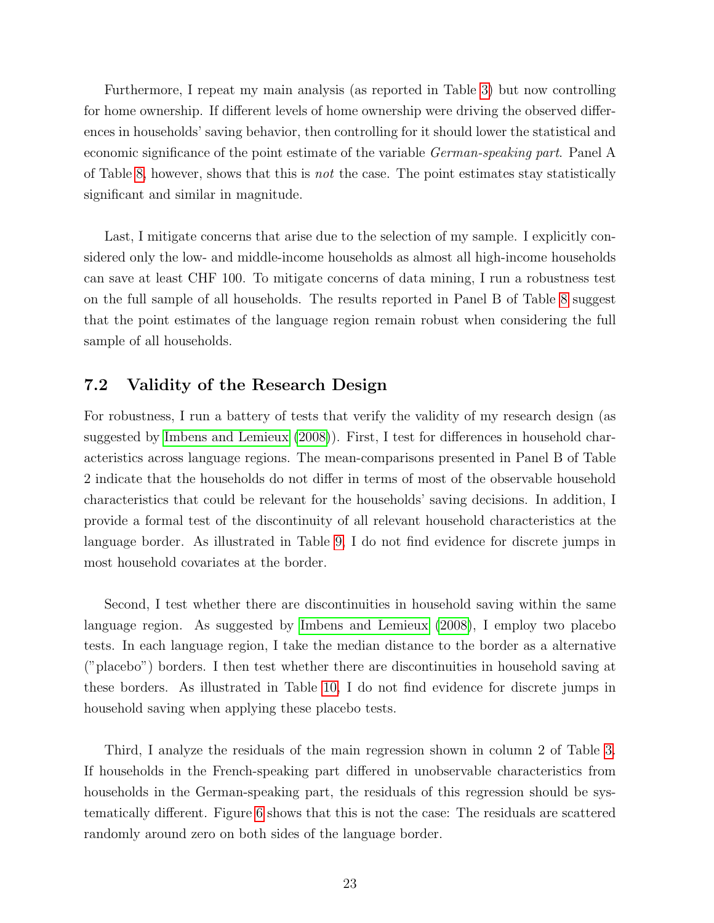Furthermore, I repeat my main analysis (as reported in Table [3\)](#page-37-0) but now controlling for home ownership. If different levels of home ownership were driving the observed differences in households' saving behavior, then controlling for it should lower the statistical and economic significance of the point estimate of the variable German-speaking part. Panel A of Table [8,](#page-42-0) however, shows that this is *not* the case. The point estimates stay statistically significant and similar in magnitude.

Last, I mitigate concerns that arise due to the selection of my sample. I explicitly considered only the low- and middle-income households as almost all high-income households can save at least CHF 100. To mitigate concerns of data mining, I run a robustness test on the full sample of all households. The results reported in Panel B of Table [8](#page-42-0) suggest that the point estimates of the language region remain robust when considering the full sample of all households.

### 7.2 Validity of the Research Design

For robustness, I run a battery of tests that verify the validity of my research design (as suggested by [Imbens and Lemieux](#page-27-10) [\(2008\)](#page-27-10)). First, I test for differences in household characteristics across language regions. The mean-comparisons presented in Panel B of Table 2 indicate that the households do not differ in terms of most of the observable household characteristics that could be relevant for the households' saving decisions. In addition, I provide a formal test of the discontinuity of all relevant household characteristics at the language border. As illustrated in Table [9,](#page-43-0) I do not find evidence for discrete jumps in most household covariates at the border.

Second, I test whether there are discontinuities in household saving within the same language region. As suggested by [Imbens and Lemieux](#page-27-10) [\(2008\)](#page-27-10), I employ two placebo tests. In each language region, I take the median distance to the border as a alternative ("placebo") borders. I then test whether there are discontinuities in household saving at these borders. As illustrated in Table [10,](#page-44-0) I do not find evidence for discrete jumps in household saving when applying these placebo tests.

Third, I analyze the residuals of the main regression shown in column 2 of Table [3.](#page-37-0) If households in the French-speaking part differed in unobservable characteristics from households in the German-speaking part, the residuals of this regression should be systematically different. Figure [6](#page-34-0) shows that this is not the case: The residuals are scattered randomly around zero on both sides of the language border.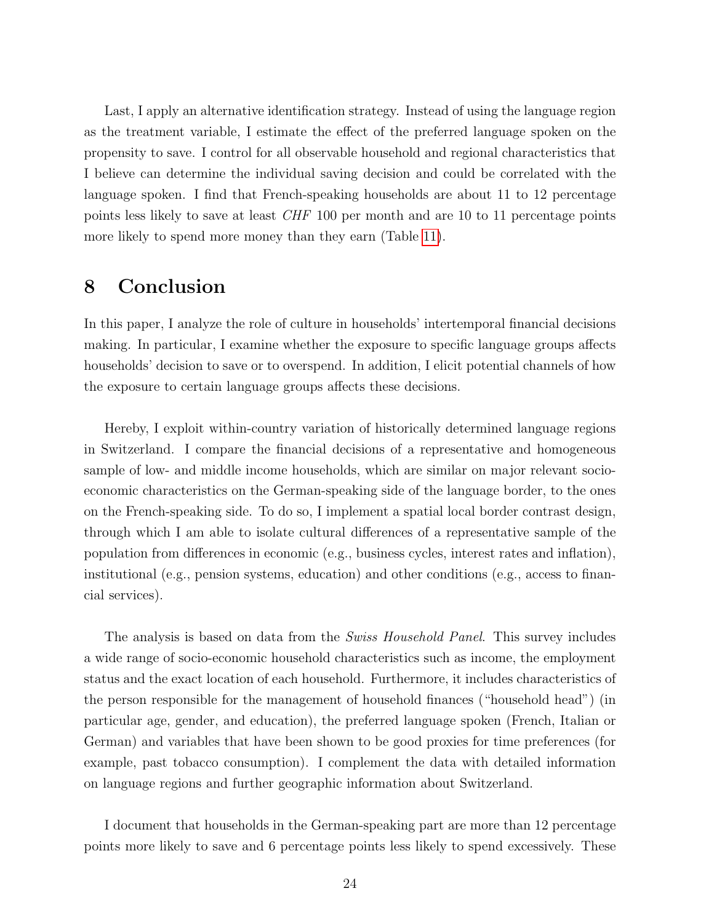Last, I apply an alternative identification strategy. Instead of using the language region as the treatment variable, I estimate the effect of the preferred language spoken on the propensity to save. I control for all observable household and regional characteristics that I believe can determine the individual saving decision and could be correlated with the language spoken. I find that French-speaking households are about 11 to 12 percentage points less likely to save at least CHF 100 per month and are 10 to 11 percentage points more likely to spend more money than they earn (Table [11\)](#page-45-0).

## 8 Conclusion

In this paper, I analyze the role of culture in households' intertemporal financial decisions making. In particular, I examine whether the exposure to specific language groups affects households' decision to save or to overspend. In addition, I elicit potential channels of how the exposure to certain language groups affects these decisions.

Hereby, I exploit within-country variation of historically determined language regions in Switzerland. I compare the financial decisions of a representative and homogeneous sample of low- and middle income households, which are similar on major relevant socioeconomic characteristics on the German-speaking side of the language border, to the ones on the French-speaking side. To do so, I implement a spatial local border contrast design, through which I am able to isolate cultural differences of a representative sample of the population from differences in economic (e.g., business cycles, interest rates and inflation), institutional (e.g., pension systems, education) and other conditions (e.g., access to financial services).

The analysis is based on data from the *Swiss Household Panel*. This survey includes a wide range of socio-economic household characteristics such as income, the employment status and the exact location of each household. Furthermore, it includes characteristics of the person responsible for the management of household finances ("household head") (in particular age, gender, and education), the preferred language spoken (French, Italian or German) and variables that have been shown to be good proxies for time preferences (for example, past tobacco consumption). I complement the data with detailed information on language regions and further geographic information about Switzerland.

I document that households in the German-speaking part are more than 12 percentage points more likely to save and 6 percentage points less likely to spend excessively. These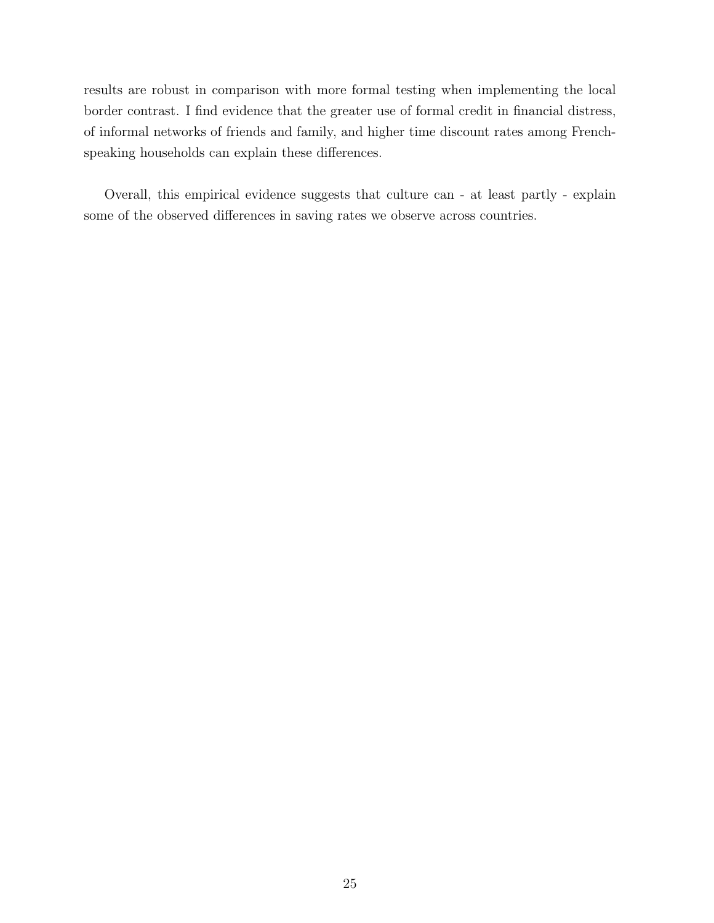results are robust in comparison with more formal testing when implementing the local border contrast. I find evidence that the greater use of formal credit in financial distress, of informal networks of friends and family, and higher time discount rates among Frenchspeaking households can explain these differences.

Overall, this empirical evidence suggests that culture can - at least partly - explain some of the observed differences in saving rates we observe across countries.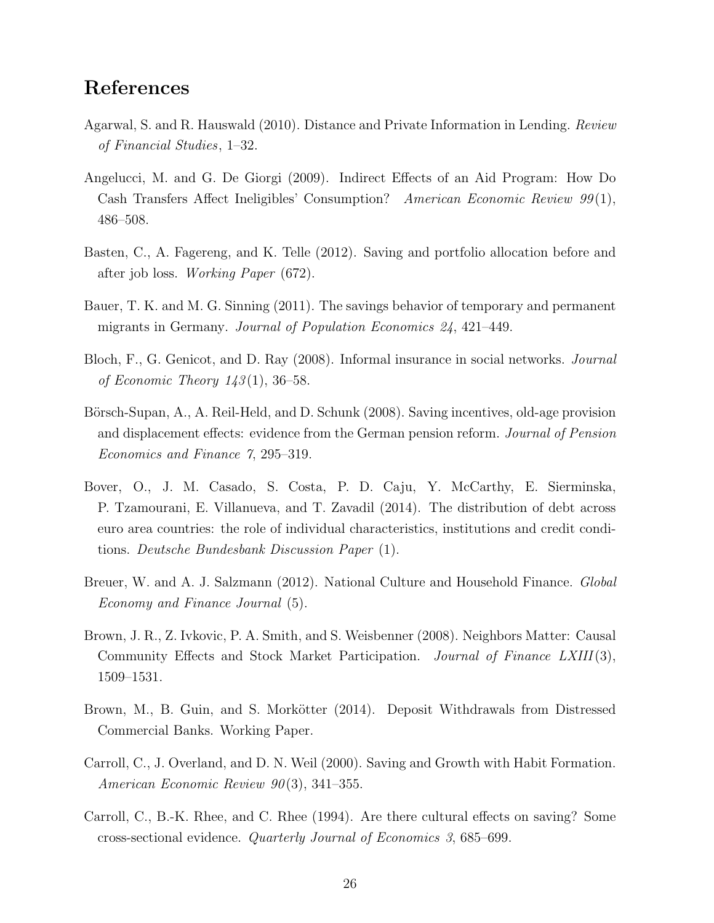## References

- <span id="page-25-4"></span>Agarwal, S. and R. Hauswald (2010). Distance and Private Information in Lending. Review of Financial Studies, 1–32.
- <span id="page-25-6"></span>Angelucci, M. and G. De Giorgi (2009). Indirect Effects of an Aid Program: How Do Cash Transfers Affect Ineligibles' Consumption? American Economic Review 99(1), 486–508.
- <span id="page-25-3"></span>Basten, C., A. Fagereng, and K. Telle (2012). Saving and portfolio allocation before and after job loss. Working Paper (672).
- <span id="page-25-11"></span>Bauer, T. K. and M. G. Sinning (2011). The savings behavior of temporary and permanent migrants in Germany. Journal of Population Economics 24, 421–449.
- <span id="page-25-0"></span>Bloch, F., G. Genicot, and D. Ray (2008). Informal insurance in social networks. Journal of Economic Theory  $143(1)$ , 36–58.
- <span id="page-25-1"></span>Börsch-Supan, A., A. Reil-Held, and D. Schunk (2008). Saving incentives, old-age provision and displacement effects: evidence from the German pension reform. Journal of Pension Economics and Finance 7, 295–319.
- <span id="page-25-8"></span>Bover, O., J. M. Casado, S. Costa, P. D. Caju, Y. McCarthy, E. Sierminska, P. Tzamourani, E. Villanueva, and T. Zavadil (2014). The distribution of debt across euro area countries: the role of individual characteristics, institutions and credit conditions. Deutsche Bundesbank Discussion Paper (1).
- <span id="page-25-9"></span>Breuer, W. and A. J. Salzmann (2012). National Culture and Household Finance. Global Economy and Finance Journal (5).
- <span id="page-25-7"></span>Brown, J. R., Z. Ivkovic, P. A. Smith, and S. Weisbenner (2008). Neighbors Matter: Causal Community Effects and Stock Market Participation. Journal of Finance LXIII(3), 1509–1531.
- <span id="page-25-5"></span>Brown, M., B. Guin, and S. Morkötter (2014). Deposit Withdrawals from Distressed Commercial Banks. Working Paper.
- <span id="page-25-2"></span>Carroll, C., J. Overland, and D. N. Weil (2000). Saving and Growth with Habit Formation. American Economic Review 90(3), 341–355.
- <span id="page-25-10"></span>Carroll, C., B.-K. Rhee, and C. Rhee (1994). Are there cultural effects on saving? Some cross-sectional evidence. Quarterly Journal of Economics 3, 685–699.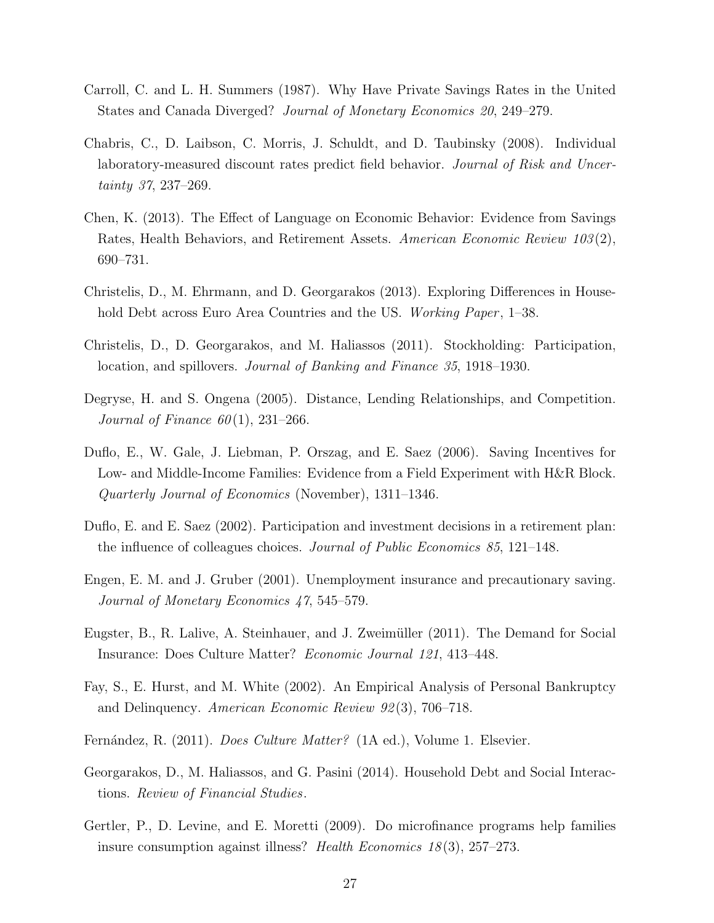- <span id="page-26-3"></span>Carroll, C. and L. H. Summers (1987). Why Have Private Savings Rates in the United States and Canada Diverged? Journal of Monetary Economics 20, 249–279.
- <span id="page-26-5"></span>Chabris, C., D. Laibson, C. Morris, J. Schuldt, and D. Taubinsky (2008). Individual laboratory-measured discount rates predict field behavior. Journal of Risk and Uncertainty 37, 237–269.
- <span id="page-26-10"></span>Chen, K. (2013). The Effect of Language on Economic Behavior: Evidence from Savings Rates, Health Behaviors, and Retirement Assets. American Economic Review 103(2), 690–731.
- <span id="page-26-9"></span>Christelis, D., M. Ehrmann, and D. Georgarakos (2013). Exploring Differences in Household Debt across Euro Area Countries and the US. Working Paper, 1–38.
- <span id="page-26-8"></span>Christelis, D., D. Georgarakos, and M. Haliassos (2011). Stockholding: Participation, location, and spillovers. Journal of Banking and Finance 35, 1918–1930.
- <span id="page-26-4"></span>Degryse, H. and S. Ongena (2005). Distance, Lending Relationships, and Competition. Journal of Finance  $60(1)$ , 231–266.
- <span id="page-26-1"></span>Duflo, E., W. Gale, J. Liebman, P. Orszag, and E. Saez (2006). Saving Incentives for Low- and Middle-Income Families: Evidence from a Field Experiment with H&R Block. Quarterly Journal of Economics (November), 1311–1346.
- <span id="page-26-7"></span>Duflo, E. and E. Saez (2002). Participation and investment decisions in a retirement plan: the influence of colleagues choices. Journal of Public Economics 85, 121–148.
- <span id="page-26-2"></span>Engen, E. M. and J. Gruber (2001). Unemployment insurance and precautionary saving. Journal of Monetary Economics 47, 545–579.
- <span id="page-26-12"></span>Eugster, B., R. Lalive, A. Steinhauer, and J. Zweimüller (2011). The Demand for Social Insurance: Does Culture Matter? Economic Journal 121, 413–448.
- <span id="page-26-11"></span>Fay, S., E. Hurst, and M. White (2002). An Empirical Analysis of Personal Bankruptcy and Delinquency. American Economic Review 92 (3), 706–718.
- <span id="page-26-0"></span>Fernández, R. (2011). *Does Culture Matter?* (1A ed.), Volume 1. Elsevier.
- <span id="page-26-6"></span>Georgarakos, D., M. Haliassos, and G. Pasini (2014). Household Debt and Social Interactions. Review of Financial Studies.
- <span id="page-26-13"></span>Gertler, P., D. Levine, and E. Moretti (2009). Do microfinance programs help families insure consumption against illness? Health Economics  $18(3)$ ,  $257-273$ .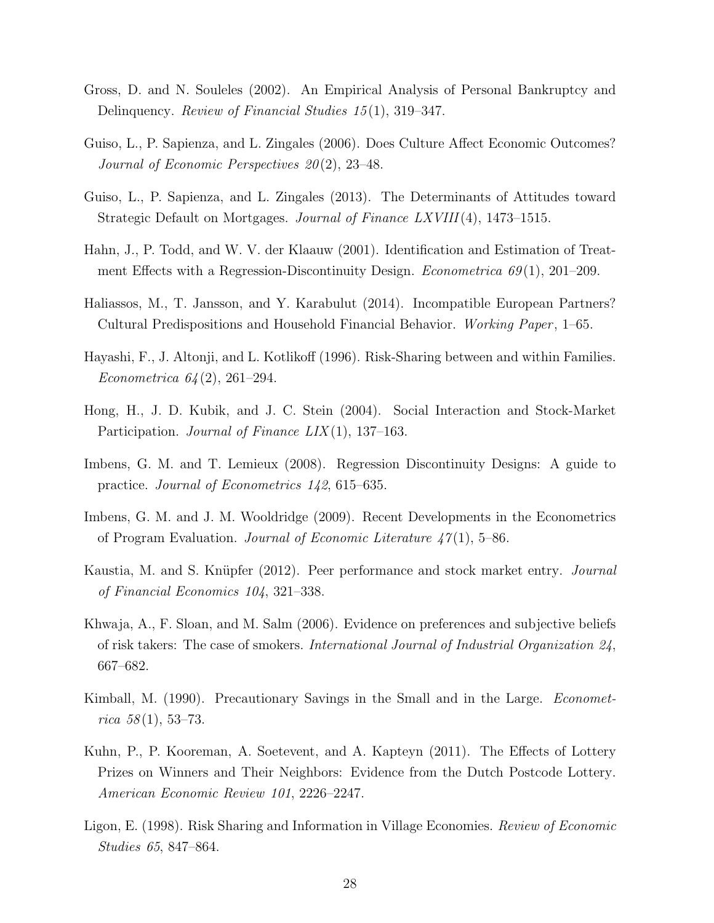- <span id="page-27-7"></span>Gross, D. and N. Souleles (2002). An Empirical Analysis of Personal Bankruptcy and Delinquency. Review of Financial Studies 15(1), 319–347.
- <span id="page-27-0"></span>Guiso, L., P. Sapienza, and L. Zingales (2006). Does Culture Affect Economic Outcomes? Journal of Economic Perspectives 20 (2), 23–48.
- <span id="page-27-6"></span>Guiso, L., P. Sapienza, and L. Zingales (2013). The Determinants of Attitudes toward Strategic Default on Mortgages. Journal of Finance LXVIII(4), 1473–1515.
- <span id="page-27-11"></span>Hahn, J., P. Todd, and W. V. der Klaauw (2001). Identification and Estimation of Treatment Effects with a Regression-Discontinuity Design. *Econometrica 69*(1), 201–209.
- <span id="page-27-5"></span>Haliassos, M., T. Jansson, and Y. Karabulut (2014). Incompatible European Partners? Cultural Predispositions and Household Financial Behavior. Working Paper, 1–65.
- <span id="page-27-12"></span>Hayashi, F., J. Altonji, and L. Kotlikoff (1996). Risk-Sharing between and within Families. Econometrica 64 (2), 261–294.
- <span id="page-27-4"></span>Hong, H., J. D. Kubik, and J. C. Stein (2004). Social Interaction and Stock-Market Participation. Journal of Finance  $LIX(1)$ , 137–163.
- <span id="page-27-10"></span>Imbens, G. M. and T. Lemieux (2008). Regression Discontinuity Designs: A guide to practice. Journal of Econometrics 142, 615–635.
- <span id="page-27-9"></span>Imbens, G. M. and J. M. Wooldridge (2009). Recent Developments in the Econometrics of Program Evaluation. Journal of Economic Literature  $47(1)$ , 5–86.
- <span id="page-27-3"></span>Kaustia, M. and S. Knüpfer (2012). Peer performance and stock market entry. *Journal* of Financial Economics 104, 321–338.
- <span id="page-27-1"></span>Khwaja, A., F. Sloan, and M. Salm (2006). Evidence on preferences and subjective beliefs of risk takers: The case of smokers. International Journal of Industrial Organization 24, 667–682.
- <span id="page-27-8"></span>Kimball, M. (1990). Precautionary Savings in the Small and in the Large. *Economet*rica  $58(1), 53-73.$
- <span id="page-27-2"></span>Kuhn, P., P. Kooreman, A. Soetevent, and A. Kapteyn (2011). The Effects of Lottery Prizes on Winners and Their Neighbors: Evidence from the Dutch Postcode Lottery. American Economic Review 101, 2226–2247.
- <span id="page-27-13"></span>Ligon, E. (1998). Risk Sharing and Information in Village Economies. Review of Economic Studies 65, 847–864.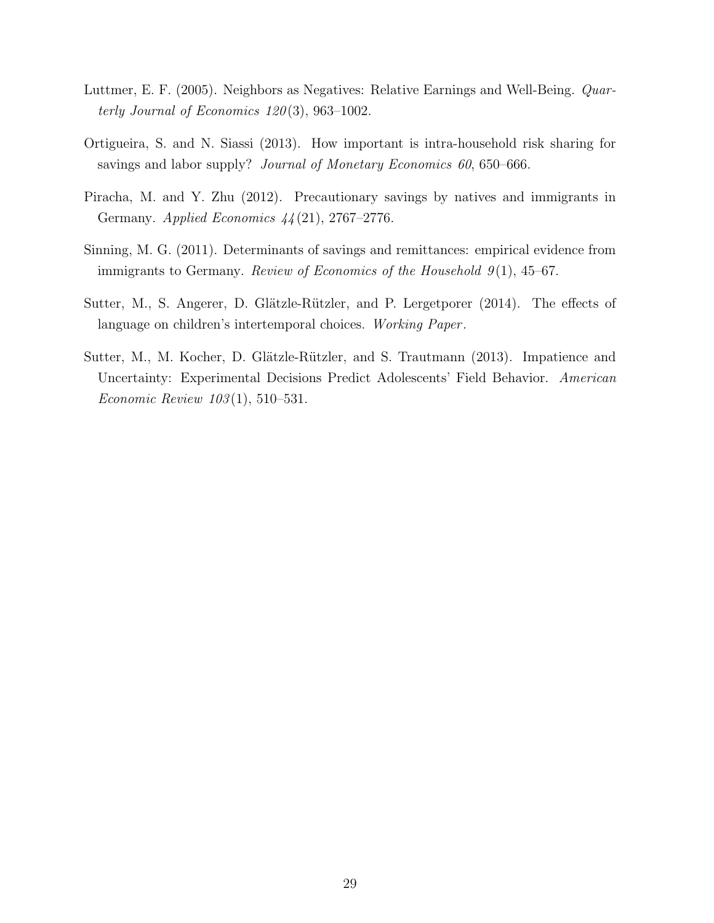- <span id="page-28-2"></span>Luttmer, E. F. (2005). Neighbors as Negatives: Relative Earnings and Well-Being. Quarterly Journal of Economics  $120(3)$ , 963-1002.
- <span id="page-28-1"></span>Ortigueira, S. and N. Siassi (2013). How important is intra-household risk sharing for savings and labor supply? *Journal of Monetary Economics 60*, 650–666.
- <span id="page-28-4"></span>Piracha, M. and Y. Zhu (2012). Precautionary savings by natives and immigrants in Germany. Applied Economics 44 (21), 2767–2776.
- <span id="page-28-3"></span>Sinning, M. G. (2011). Determinants of savings and remittances: empirical evidence from immigrants to Germany. Review of Economics of the Household  $9(1)$ , 45–67.
- <span id="page-28-5"></span>Sutter, M., S. Angerer, D. Glätzle-Rützler, and P. Lergetporer (2014). The effects of language on children's intertemporal choices. Working Paper.
- <span id="page-28-0"></span>Sutter, M., M. Kocher, D. Glätzle-Rützler, and S. Trautmann (2013). Impatience and Uncertainty: Experimental Decisions Predict Adolescents' Field Behavior. American Economic Review 103 (1), 510–531.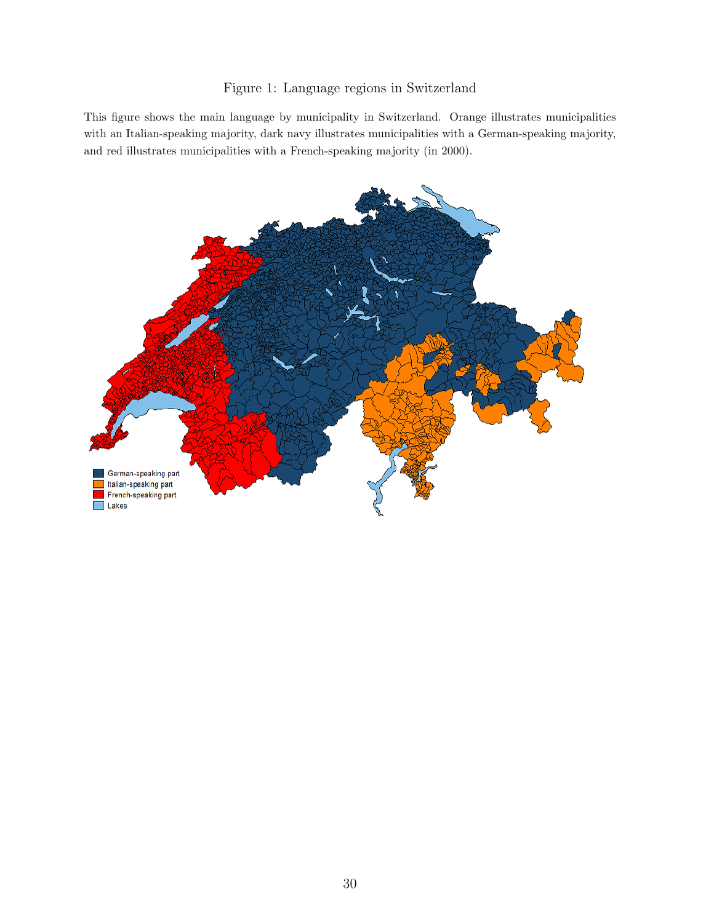## Figure 1: Language regions in Switzerland

<span id="page-29-0"></span>This figure shows the main language by municipality in Switzerland. Orange illustrates municipalities with an Italian-speaking majority, dark navy illustrates municipalities with a German-speaking majority, and red illustrates municipalities with a French-speaking majority (in 2000).

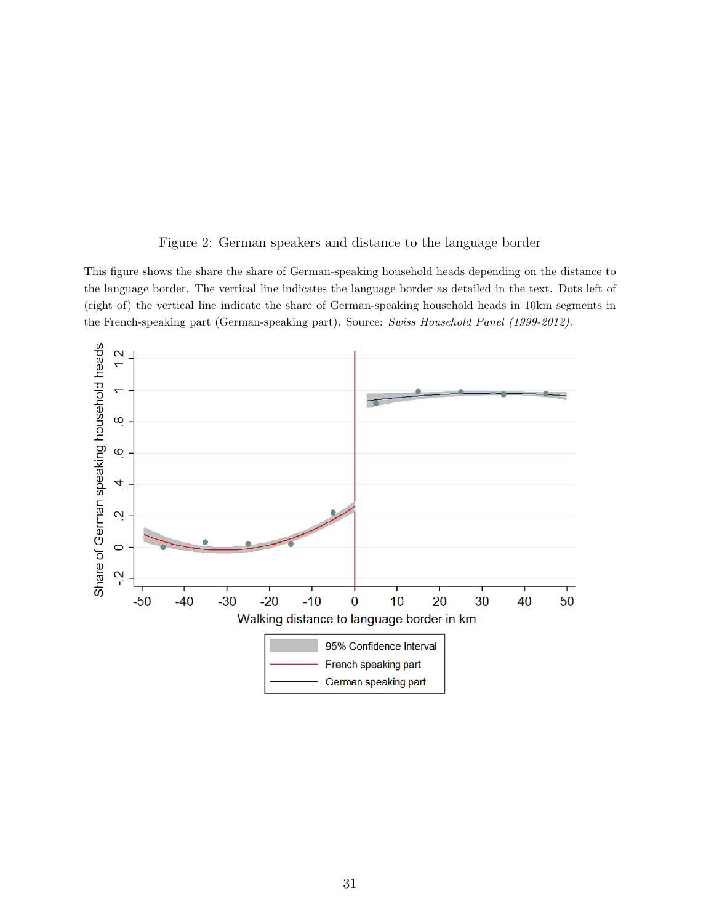### Figure 2: German speakers and distance to the language border

<span id="page-30-0"></span>This figure shows the share the share of German-speaking household heads depending on the distance to the language border. The vertical line indicates the language border as detailed in the text. Dots left of (right of) the vertical line indicate the share of German-speaking household heads in 10km segments in the French-speaking part (German-speaking part). Source: Swiss Household Panel (1999-2012).

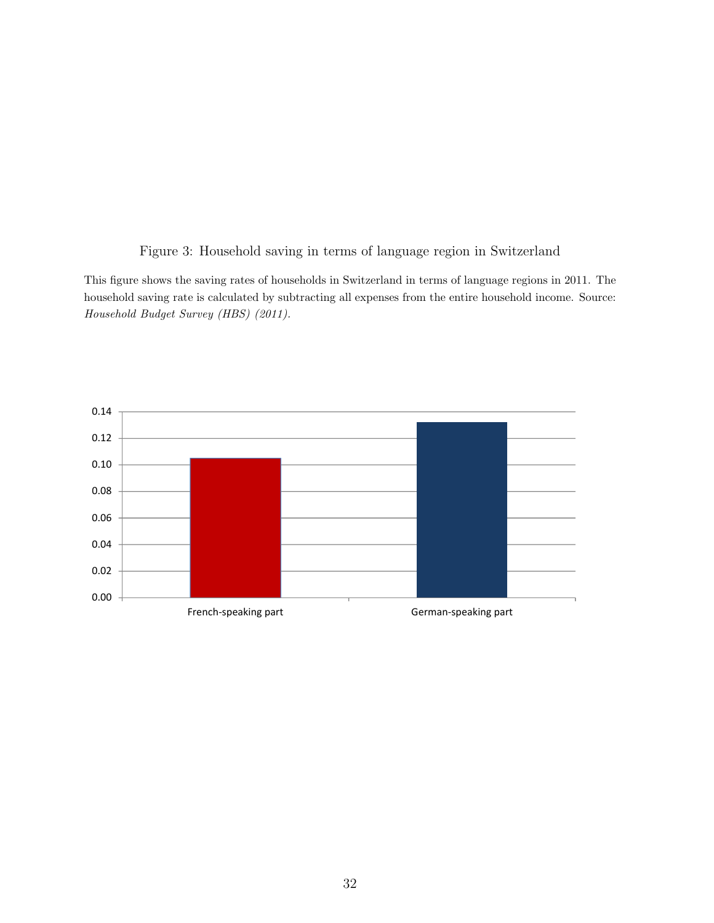Figure 3: Household saving in terms of language region in Switzerland

<span id="page-31-0"></span>This figure shows the saving rates of households in Switzerland in terms of language regions in 2011. The household saving rate is calculated by subtracting all expenses from the entire household income. Source: Household Budget Survey (HBS) (2011).

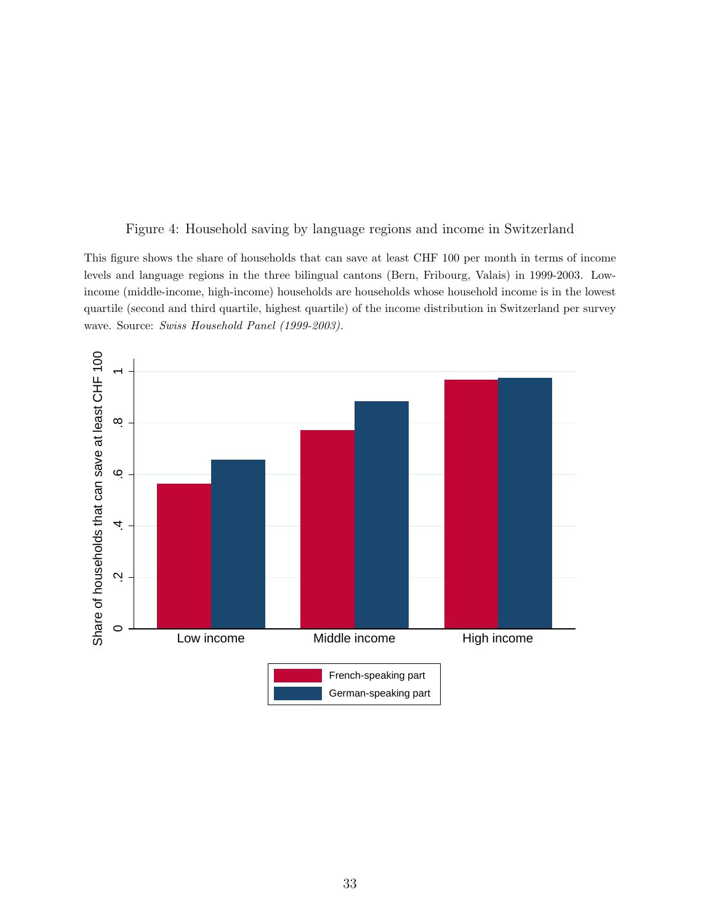#### Figure 4: Household saving by language regions and income in Switzerland

<span id="page-32-0"></span>This figure shows the share of households that can save at least CHF 100 per month in terms of income levels and language regions in the three bilingual cantons (Bern, Fribourg, Valais) in 1999-2003. Lowincome (middle-income, high-income) households are households whose household income is in the lowest quartile (second and third quartile, highest quartile) of the income distribution in Switzerland per survey wave. Source: Swiss Household Panel (1999-2003).

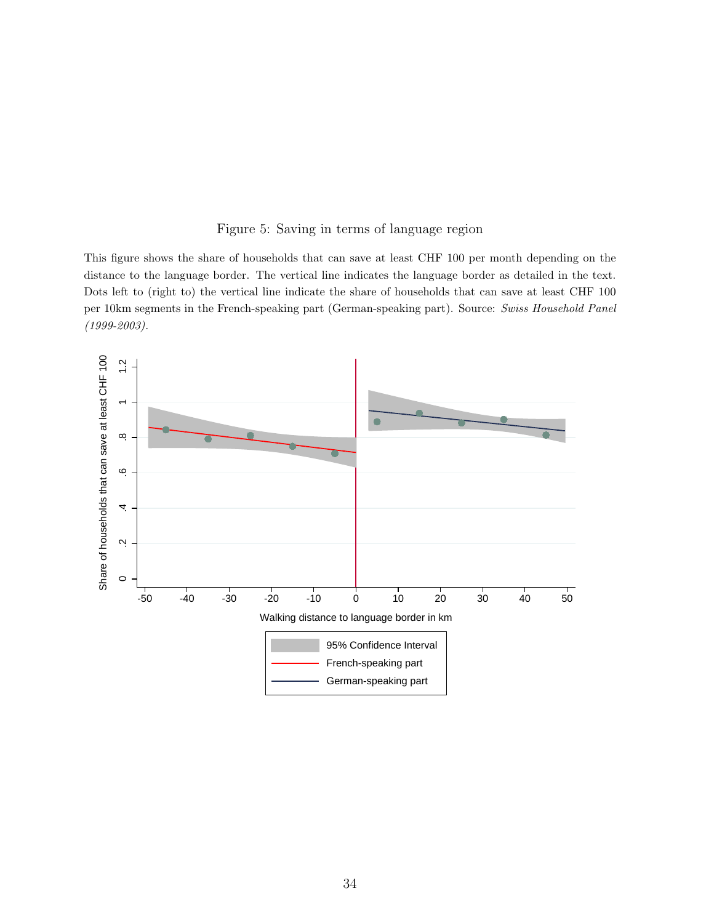### Figure 5: Saving in terms of language region

<span id="page-33-0"></span>This figure shows the share of households that can save at least CHF 100 per month depending on the distance to the language border. The vertical line indicates the language border as detailed in the text. Dots left to (right to) the vertical line indicate the share of households that can save at least CHF 100 per 10km segments in the French-speaking part (German-speaking part). Source: Swiss Household Panel (1999-2003).

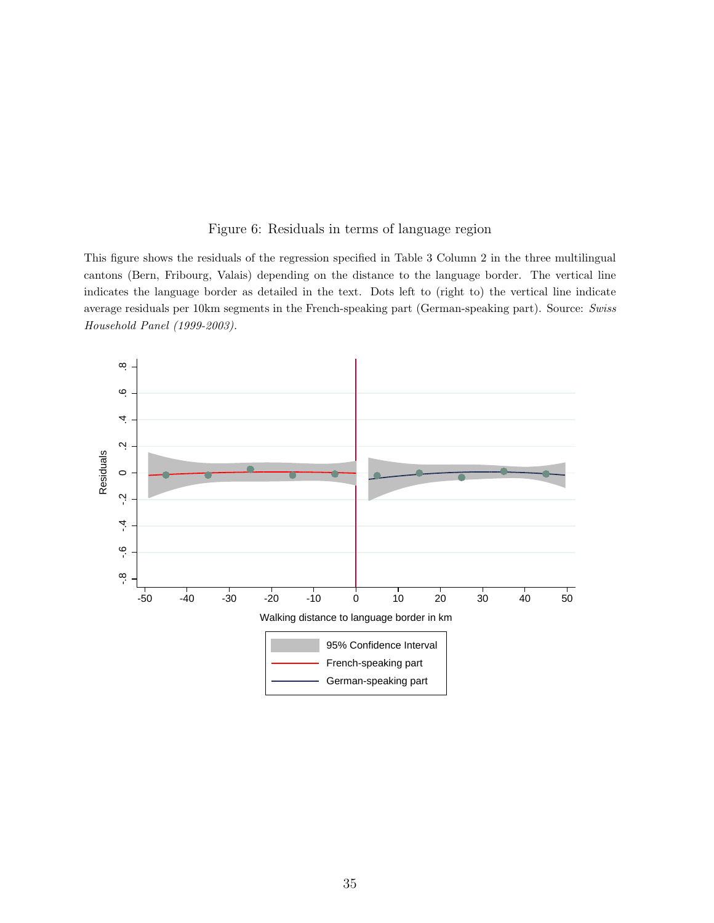### Figure 6: Residuals in terms of language region

<span id="page-34-0"></span>This figure shows the residuals of the regression specified in Table 3 Column 2 in the three multilingual cantons (Bern, Fribourg, Valais) depending on the distance to the language border. The vertical line indicates the language border as detailed in the text. Dots left to (right to) the vertical line indicate average residuals per 10km segments in the French-speaking part (German-speaking part). Source: Swiss Household Panel (1999-2003).

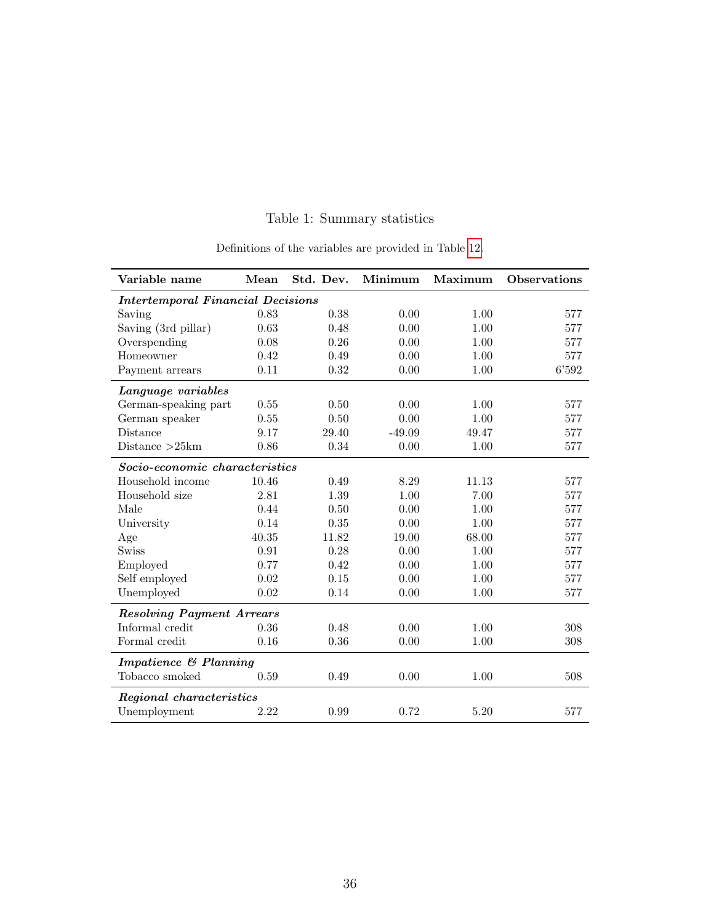<span id="page-35-0"></span>

| Variable name                            | Mean  | Std. Dev. | Minimum  | Maximum | <b>Observations</b> |
|------------------------------------------|-------|-----------|----------|---------|---------------------|
| <b>Intertemporal Financial Decisions</b> |       |           |          |         |                     |
| Saving                                   | 0.83  | 0.38      | 0.00     | 1.00    | 577                 |
| Saving (3rd pillar)                      | 0.63  | 0.48      | 0.00     | 1.00    | 577                 |
| Overspending                             | 0.08  | 0.26      | 0.00     | 1.00    | 577                 |
| Homeowner                                | 0.42  | 0.49      | 0.00     | 1.00    | 577                 |
| Payment arrears                          | 0.11  | 0.32      | 0.00     | 1.00    | 6'592               |
| Language variables                       |       |           |          |         |                     |
| German-speaking part                     | 0.55  | 0.50      | 0.00     | 1.00    | 577                 |
| German speaker                           | 0.55  | 0.50      | 0.00     | 1.00    | 577                 |
| Distance                                 | 9.17  | 29.40     | $-49.09$ | 49.47   | 577                 |
| Distance $>25km$                         | 0.86  | 0.34      | 0.00     | 1.00    | 577                 |
| Socio-economic characteristics           |       |           |          |         |                     |
| Household income                         | 10.46 | 0.49      | 8.29     | 11.13   | 577                 |
| Household size                           | 2.81  | 1.39      | 1.00     | 7.00    | 577                 |
| Male                                     | 0.44  | 0.50      | 0.00     | 1.00    | 577                 |
| University                               | 0.14  | 0.35      | 0.00     | 1.00    | 577                 |
| Age                                      | 40.35 | 11.82     | 19.00    | 68.00   | 577                 |
| Swiss                                    | 0.91  | 0.28      | 0.00     | 1.00    | 577                 |
| Employed                                 | 0.77  | 0.42      | 0.00     | 1.00    | 577                 |
| Self employed                            | 0.02  | 0.15      | 0.00     | 1.00    | 577                 |
| Unemployed                               | 0.02  | 0.14      | 0.00     | 1.00    | 577                 |
| <b>Resolving Payment Arrears</b>         |       |           |          |         |                     |
| Informal credit                          | 0.36  | 0.48      | 0.00     | 1.00    | 308                 |
| Formal credit                            | 0.16  | 0.36      | 0.00     | 1.00    | 308                 |
| Impatience & Planning                    |       |           |          |         |                     |
| Tobacco smoked                           | 0.59  | 0.49      | 0.00     | 1.00    | 508                 |
| Regional characteristics                 |       |           |          |         |                     |
| Unemployment                             | 2.22  | 0.99      | 0.72     | 5.20    | 577                 |

## Table 1: Summary statistics

Definitions of the variables are provided in Table [12.](#page-46-0)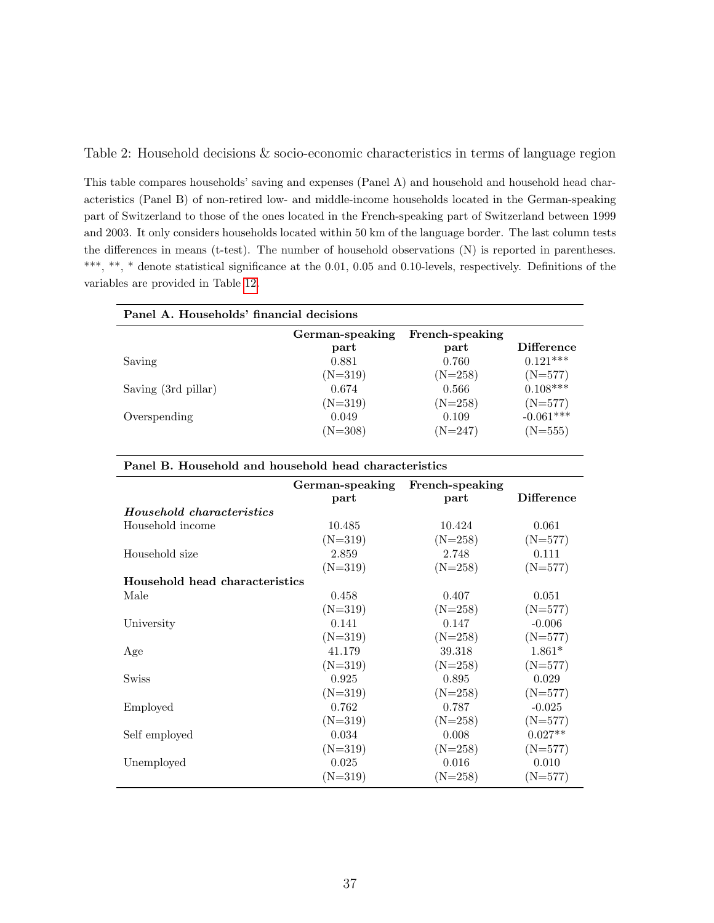<span id="page-36-0"></span>Table 2: Household decisions & socio-economic characteristics in terms of language region

This table compares households' saving and expenses (Panel A) and household and household head characteristics (Panel B) of non-retired low- and middle-income households located in the German-speaking part of Switzerland to those of the ones located in the French-speaking part of Switzerland between 1999 and 2003. It only considers households located within 50 km of the language border. The last column tests the differences in means (t-test). The number of household observations (N) is reported in parentheses. \*\*\*, \*\*, \* denote statistical significance at the 0.01, 0.05 and 0.10-levels, respectively. Definitions of the variables are provided in Table [12.](#page-46-0)

| Panel A. Households' financial decisions |                         |                         |                   |
|------------------------------------------|-------------------------|-------------------------|-------------------|
|                                          | German-speaking<br>part | French-speaking<br>part | <b>Difference</b> |
| Saving                                   | 0.881                   | 0.760                   | $0.121***$        |
|                                          | $(N=319)$               | $(N=258)$               | $(N=577)$         |
| Saving (3rd pillar)                      | 0.674                   | 0.566                   | $0.108***$        |
|                                          | $(N=319)$               | $(N=258)$               | $(N=577)$         |
| Overspending                             | 0.049                   | 0.109                   | $-0.061***$       |
|                                          | $(N=308)$               | $(N=247)$               | $(N=555)$         |

| Panel B. Household and household head characteristics |  |  |  |
|-------------------------------------------------------|--|--|--|
|-------------------------------------------------------|--|--|--|

|                                | French-speaking<br>German-speaking |           |                   |
|--------------------------------|------------------------------------|-----------|-------------------|
|                                | part                               | part      | <b>Difference</b> |
| Household characteristics      |                                    |           |                   |
| Household income               | 10.485                             | 10.424    | 0.061             |
|                                | $(N=319)$                          | $(N=258)$ | $(N=577)$         |
| Household size                 | 2.859                              | 2.748     | 0.111             |
|                                | $(N=319)$                          | $(N=258)$ | $(N=577)$         |
| Household head characteristics |                                    |           |                   |
| Male                           | 0.458                              | 0.407     | 0.051             |
|                                | $(N=319)$                          | $(N=258)$ | $(N=577)$         |
| University                     | 0.141                              | 0.147     | $-0.006$          |
|                                | $(N=319)$                          | $(N=258)$ | $(N=577)$         |
| Age                            | 41.179                             | 39.318    | $1.861*$          |
|                                | $(N=319)$                          | $(N=258)$ | $(N=577)$         |
| <b>Swiss</b>                   | 0.925                              | 0.895     | 0.029             |
|                                | $(N=319)$                          | $(N=258)$ | $(N=577)$         |
| Employed                       | 0.762                              | 0.787     | $-0.025$          |
|                                | $(N=319)$                          | $(N=258)$ | $(N=577)$         |
| Self employed                  | 0.034                              | 0.008     | $0.027**$         |
|                                | $(N=319)$                          | $(N=258)$ | $(N=577)$         |
| Unemployed                     | 0.025                              | 0.016     | 0.010             |
|                                | $(N=319)$                          | $(N=258)$ | $(N=577)$         |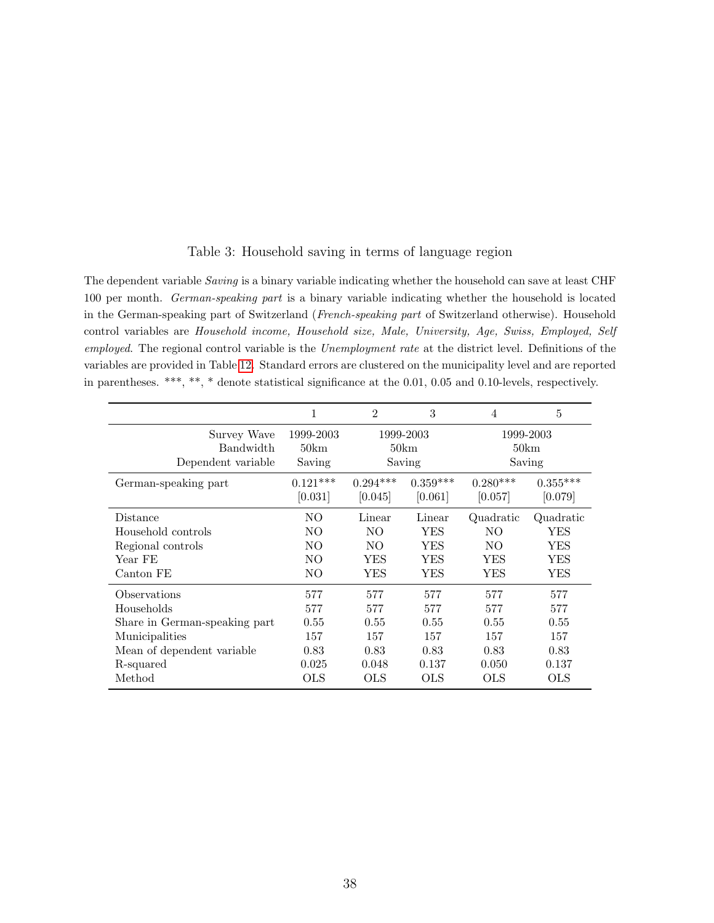<span id="page-37-0"></span>

| The dependent variable <i>Saving</i> is a binary variable indicating whether the household can save at least CHF  |
|-------------------------------------------------------------------------------------------------------------------|
| 100 per month. <i>German-speaking part</i> is a binary variable indicating whether the household is located       |
| in the German-speaking part of Switzerland (French-speaking part of Switzerland otherwise). Household             |
| control variables are Household income, Household size, Male, University, Age, Swiss, Employed, Self              |
| employed. The regional control variable is the <i>Unemployment rate</i> at the district level. Definitions of the |
| variables are provided in Table 12. Standard errors are clustered on the municipality level and are reported      |
| in parentheses. ***, **, * denote statistical significance at the 0.01, 0.05 and 0.10-levels, respectively.       |

Table 3: Household saving in terms of language region

|                                                | 1                           | $\mathfrak{D}$ | 3                           | 4          | 5                           |
|------------------------------------------------|-----------------------------|----------------|-----------------------------|------------|-----------------------------|
| Survey Wave<br>Bandwidth<br>Dependent variable | 1999-2003<br>50km<br>Saving |                | 1999-2003<br>50km<br>Saving |            | 1999-2003<br>50km<br>Saving |
| German-speaking part                           | $0.121***$                  | $0.294***$     | $0.359***$                  | $0.280***$ | $0.355***$                  |
|                                                | [0.031]                     | [0.045]        | [0.061]                     | [0.057]    | [0.079]                     |
| Distance                                       | NΟ                          | Linear         | Linear                      | Quadratic  | Quadratic                   |
| Household controls                             | NO                          | N <sub>O</sub> | YES                         | NO.        | YES                         |
| Regional controls                              | NO                          | NO.            | YES                         | NO.        | YES                         |
| Year FE                                        | NO                          | YES            | YES                         | YES        | YES                         |
| Canton FE                                      | NO                          | YES            | YES                         | YES        | YES                         |
| Observations                                   | 577                         | 577            | 577                         | 577        | 577                         |
| Households                                     | 577                         | 577            | 577                         | 577        | 577                         |
| Share in German-speaking part                  | 0.55                        | 0.55           | 0.55                        | 0.55       | 0.55                        |
| Municipalities                                 | 157                         | 157            | 157                         | 157        | 157                         |
| Mean of dependent variable                     | 0.83                        | 0.83           | 0.83                        | 0.83       | 0.83                        |
| R-squared                                      | 0.025                       | 0.048          | 0.137                       | 0.050      | 0.137                       |
| Method                                         | <b>OLS</b>                  | <b>OLS</b>     | OLS                         | <b>OLS</b> | OLS                         |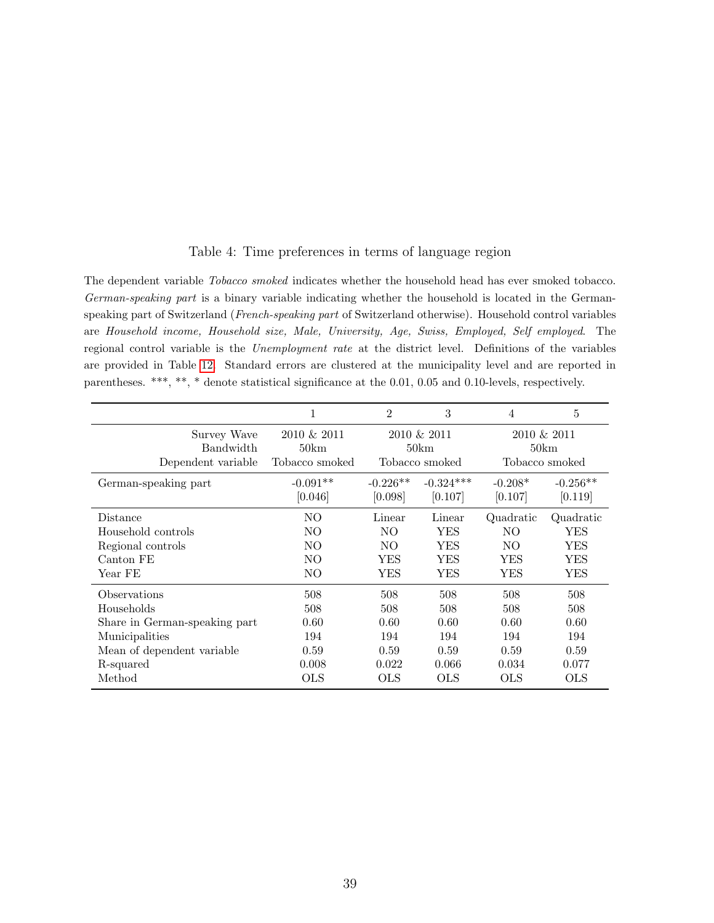<span id="page-38-0"></span>

| The dependent variable <i>Tobacco smoked</i> indicates whether the household head has ever smoked tobacco.    |
|---------------------------------------------------------------------------------------------------------------|
| German-speaking part is a binary variable indicating whether the household is located in the German-          |
| speaking part of Switzerland (French-speaking part of Switzerland otherwise). Household control variables     |
| are Household income, Household size, Male, University, Age, Swiss, Employed, Self employed. The              |
| regional control variable is the <i>Unemployment rate</i> at the district level. Definitions of the variables |
| are provided in Table 12. Standard errors are clustered at the municipality level and are reported in         |
| parentheses. ***, **, * denote statistical significance at the 0.01, 0.05 and 0.10-levels, respectively.      |

|                                                                                                                                           |                                                   | $\overline{2}$                                    | 3                                                 | 4                                                 | 5                                                 |
|-------------------------------------------------------------------------------------------------------------------------------------------|---------------------------------------------------|---------------------------------------------------|---------------------------------------------------|---------------------------------------------------|---------------------------------------------------|
| Survey Wave<br><b>Bandwidth</b><br>Dependent variable                                                                                     | 2010 & 2011<br>50km<br>Tobacco smoked             |                                                   | 2010 & 2011<br>50km<br>Tobacco smoked             |                                                   | 2010 & 2011<br>50km<br>Tobacco smoked             |
| German-speaking part                                                                                                                      | $-0.091**$<br>[0.046]                             | $-0.226**$<br>[0.098]                             | $-0.324***$<br>[0.107]                            | $-0.208*$<br>[0.107]                              | $-0.256**$<br>[0.119]                             |
| Distance<br>Household controls<br>Regional controls<br>Canton FE<br>Year FE                                                               | NO.<br>NO.<br>NO.<br>N <sub>O</sub><br>NO.        | Linear<br>NO.<br>NO.<br><b>YES</b><br>YES         | Linear<br><b>YES</b><br>YES<br>YES<br>YES         | Quadratic<br>NO.<br>NO.<br>YES<br>YES             | Quadratic<br>YES<br>YES<br><b>YES</b><br>YES      |
| <b>Observations</b><br>Households<br>Share in German-speaking part<br>Municipalities<br>Mean of dependent variable<br>R-squared<br>Method | 508<br>508<br>0.60<br>194<br>0.59<br>0.008<br>OLS | 508<br>508<br>0.60<br>194<br>0.59<br>0.022<br>OLS | 508<br>508<br>0.60<br>194<br>0.59<br>0.066<br>OLS | 508<br>508<br>0.60<br>194<br>0.59<br>0.034<br>OLS | 508<br>508<br>0.60<br>194<br>0.59<br>0.077<br>OLS |
|                                                                                                                                           |                                                   |                                                   |                                                   |                                                   |                                                   |

## Table 4: Time preferences in terms of language region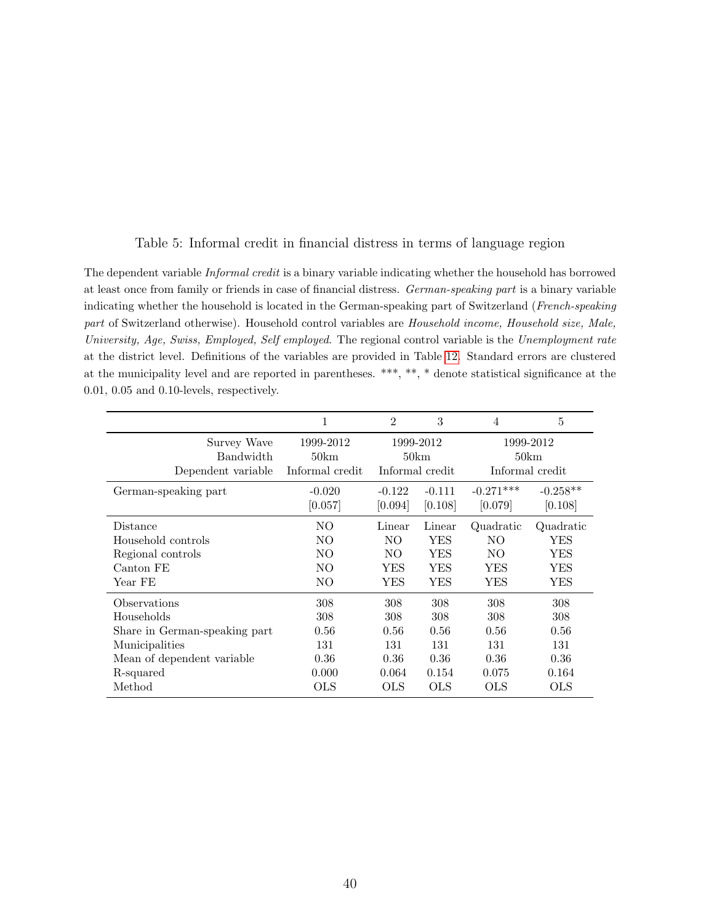### Table 5: Informal credit in financial distress in terms of language region

<span id="page-39-0"></span>The dependent variable Informal credit is a binary variable indicating whether the household has borrowed at least once from family or friends in case of financial distress. German-speaking part is a binary variable indicating whether the household is located in the German-speaking part of Switzerland (French-speaking part of Switzerland otherwise). Household control variables are Household income, Household size, Male, University, Age, Swiss, Employed, Self employed. The regional control variable is the Unemployment rate at the district level. Definitions of the variables are provided in Table [12.](#page-46-0) Standard errors are clustered at the municipality level and are reported in parentheses. \*\*\*, \*\*, \* denote statistical significance at the 0.01, 0.05 and 0.10-levels, respectively.

|                                                       | 1                                    | $\overline{2}$ | 3                                    | 4           | 5                                    |
|-------------------------------------------------------|--------------------------------------|----------------|--------------------------------------|-------------|--------------------------------------|
| Survey Wave<br><b>Bandwidth</b><br>Dependent variable | 1999-2012<br>50km<br>Informal credit |                | 1999-2012<br>50km<br>Informal credit |             | 1999-2012<br>50km<br>Informal credit |
| German-speaking part                                  | $-0.020$                             | $-0.122$       | $-0.111$                             | $-0.271***$ | $-0.258**$                           |
|                                                       | [0.057]                              | [0.094]        | [0.108]                              | [0.079]     | [0.108]                              |
| Distance                                              | NO                                   | Linear         | Linear                               | Quadratic   | Quadratic                            |
| Household controls                                    | NO.                                  | NO.            | YES                                  | NO.         | YES                                  |
| Regional controls                                     | NO.                                  | NO.            | YES                                  | NO.         | YES                                  |
| Canton FE                                             | NO.                                  | YES            | YES                                  | YES         | YES                                  |
| Year FE                                               | NO.                                  | YES            | YES                                  | YES         | YES                                  |
| Observations                                          | 308                                  | 308            | 308                                  | 308         | 308                                  |
| Households                                            | 308                                  | 308            | 308                                  | 308         | 308                                  |
| Share in German-speaking part                         | 0.56                                 | 0.56           | 0.56                                 | 0.56        | 0.56                                 |
| Municipalities                                        | 131                                  | 131            | 131                                  | 131         | 131                                  |
| Mean of dependent variable                            | 0.36                                 | 0.36           | 0.36                                 | 0.36        | 0.36                                 |
| R-squared                                             | 0.000                                | 0.064          | 0.154                                | 0.075       | 0.164                                |
| Method                                                | OLS                                  | OLS            | OLS                                  | OLS         | OLS                                  |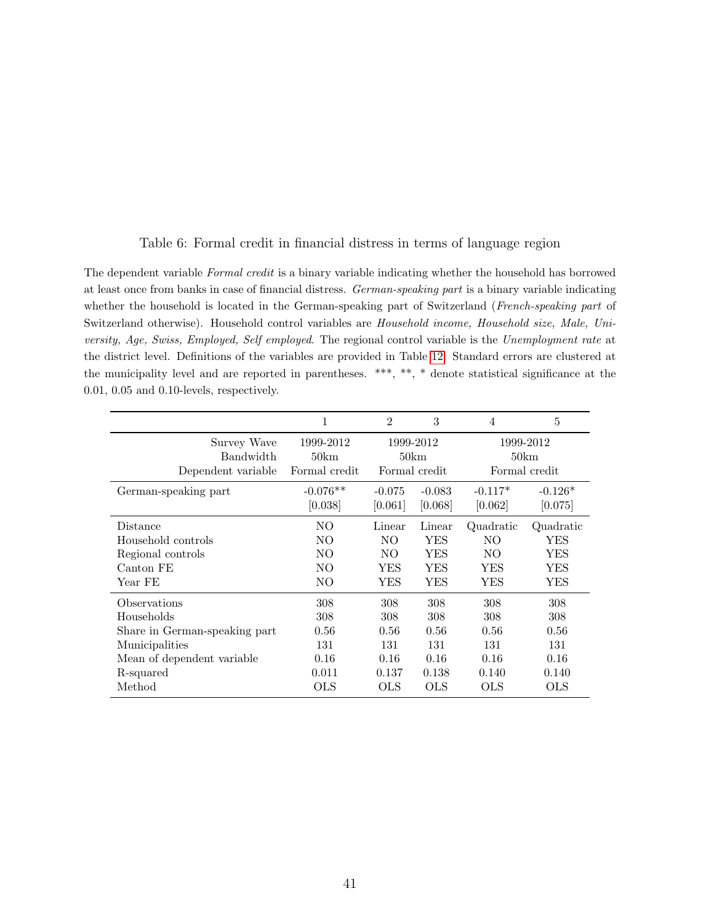#### Table 6: Formal credit in financial distress in terms of language region

<span id="page-40-0"></span>The dependent variable Formal credit is a binary variable indicating whether the household has borrowed at least once from banks in case of financial distress. German-speaking part is a binary variable indicating whether the household is located in the German-speaking part of Switzerland (French-speaking part of Switzerland otherwise). Household control variables are Household income, Household size, Male, University, Age, Swiss, Employed, Self employed. The regional control variable is the Unemployment rate at the district level. Definitions of the variables are provided in Table [12.](#page-46-0) Standard errors are clustered at the municipality level and are reported in parentheses. \*\*\*, \*\*, \* denote statistical significance at the 0.01, 0.05 and 0.10-levels, respectively.

|                                                       | 1                                  | $\mathfrak{D}$ | 3                                  | $\overline{4}$ | 5                                  |
|-------------------------------------------------------|------------------------------------|----------------|------------------------------------|----------------|------------------------------------|
| Survey Wave<br><b>Bandwidth</b><br>Dependent variable | 1999-2012<br>50km<br>Formal credit |                | 1999-2012<br>50km<br>Formal credit |                | 1999-2012<br>50km<br>Formal credit |
| German-speaking part                                  | $-0.076**$                         | $-0.075$       | $-0.083$                           | $-0.117*$      | $-0.126*$                          |
|                                                       | [0.038]                            | [0.061]        | [0.068]                            | [0.062]        | [0.075]                            |
| Distance                                              | NO.                                | Linear         | Linear                             | Quadratic      | Quadratic                          |
| Household controls                                    | NO.                                | NO.            | <b>YES</b>                         | NO.            | YES                                |
| Regional controls                                     | NO                                 | NO.            | YES                                | NO.            | YES                                |
| Canton FE                                             | NO.                                | YES            | YES                                | YES            | YES                                |
| Year FE                                               | NO                                 | YES            | YES                                | YES            | YES                                |
| Observations                                          | 308                                | 308            | 308                                | 308            | 308                                |
| Households                                            | 308                                | 308            | 308                                | 308            | 308                                |
| Share in German-speaking part                         | 0.56                               | 0.56           | 0.56                               | 0.56           | 0.56                               |
| Municipalities                                        | 131                                | 131            | 131                                | 131            | 131                                |
| Mean of dependent variable                            | 0.16                               | 0.16           | 0.16                               | 0.16           | 0.16                               |
| R-squared                                             | 0.011                              | 0.137          | 0.138                              | 0.140          | 0.140                              |
| Method                                                | OLS                                | OLS            | OLS                                | OLS            | OLS                                |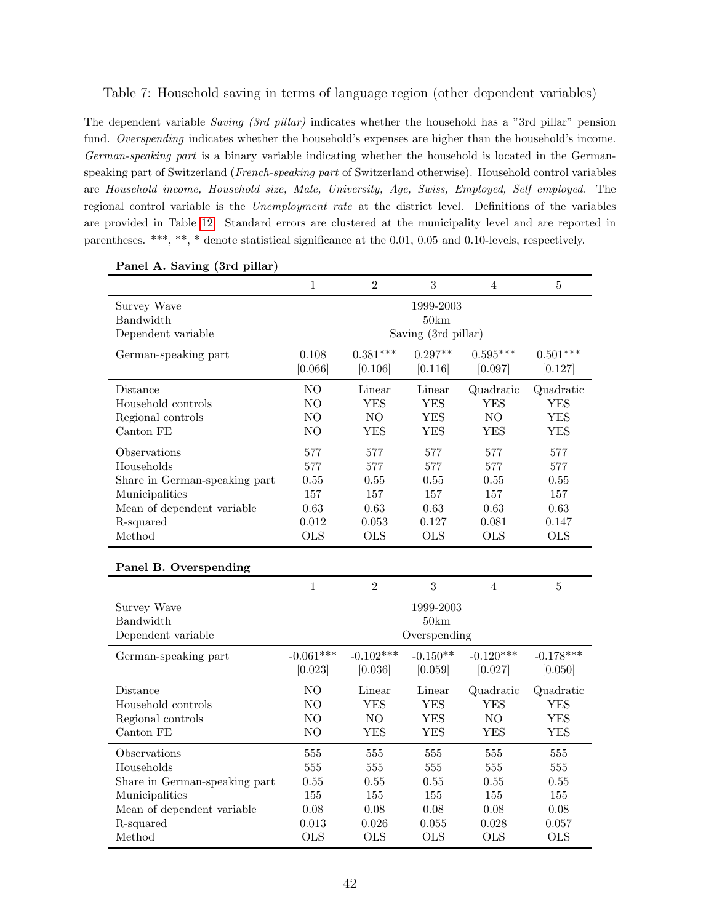#### <span id="page-41-0"></span>Table 7: Household saving in terms of language region (other dependent variables)

The dependent variable Saving (3rd pillar) indicates whether the household has a "3rd pillar" pension fund. Overspending indicates whether the household's expenses are higher than the household's income. German-speaking part is a binary variable indicating whether the household is located in the Germanspeaking part of Switzerland (French-speaking part of Switzerland otherwise). Household control variables are Household income, Household size, Male, University, Age, Swiss, Employed, Self employed. The regional control variable is the Unemployment rate at the district level. Definitions of the variables are provided in Table [12.](#page-46-0) Standard errors are clustered at the municipality level and are reported in parentheses. \*\*\*, \*\*, \* denote statistical significance at the 0.01, 0.05 and 0.10-levels, respectively.

| $\mathbf{r}$ and $\mathbf{r}$ , baying (or phan) |                |                |                     |                |                |
|--------------------------------------------------|----------------|----------------|---------------------|----------------|----------------|
|                                                  | $\mathbf{1}$   | $\overline{2}$ | 3                   | $\overline{4}$ | $\overline{5}$ |
| Survey Wave                                      |                |                | 1999-2003           |                |                |
| Bandwidth                                        |                |                | 50km                |                |                |
| Dependent variable                               |                |                | Saving (3rd pillar) |                |                |
| German-speaking part                             | 0.108          | $0.381***$     | $0.297**$           | $0.595***$     | $0.501***$     |
|                                                  | [0.066]        | [0.106]        | [0.116]             | [0.097]        | [0.127]        |
| Distance                                         | N <sub>O</sub> | Linear         | Linear              | Quadratic      | Quadratic      |
| Household controls                               | NO             | <b>YES</b>     | <b>YES</b>          | <b>YES</b>     | <b>YES</b>     |
| Regional controls                                | NO             | N <sub>O</sub> | <b>YES</b>          | NO             | <b>YES</b>     |
| Canton FE                                        | NO             | <b>YES</b>     | <b>YES</b>          | <b>YES</b>     | <b>YES</b>     |
| Observations                                     | 577            | 577            | 577                 | 577            | 577            |
| Households                                       | 577            | 577            | 577                 | 577            | 577            |
| Share in German-speaking part                    | 0.55           | 0.55           | 0.55                | 0.55           | 0.55           |
| Municipalities                                   | 157            | 157            | 157                 | 157            | 157            |
| Mean of dependent variable                       | 0.63           | 0.63           | 0.63                | 0.63           | 0.63           |
| R-squared                                        | 0.012          | 0.053          | 0.127               | 0.081          | 0.147          |
| Method                                           | <b>OLS</b>     | <b>OLS</b>     | <b>OLS</b>          | <b>OLS</b>     | <b>OLS</b>     |
| Panel B. Overspending                            |                |                |                     |                |                |
|                                                  | $\mathbf{1}$   | $\overline{2}$ | $\sqrt{3}$          | $\overline{4}$ | $\bf 5$        |
| Survey Wave                                      |                |                | 1999-2003           |                |                |
| Bandwidth                                        |                |                | 50km                |                |                |
| Dependent variable                               |                |                | Overspending        |                |                |
| German-speaking part                             | $-0.061***$    | $-0.102***$    | $-0.150**$          | $-0.120***$    | $-0.178***$    |
|                                                  | [0.023]        | [0.036]        | [0.059]             | [0.027]        | [0.050]        |
| Distance                                         | NO             | Linear         | Linear              | Quadratic      | Quadratic      |
| Household controls                               | NO             | <b>YES</b>     | <b>YES</b>          | <b>YES</b>     | <b>YES</b>     |
| Regional controls                                | NO             | NO             | <b>YES</b>          | NO             | <b>YES</b>     |
| Canton FE                                        | NO             | <b>YES</b>     | <b>YES</b>          | <b>YES</b>     | <b>YES</b>     |
| Observations                                     | 555            | 555            | 555                 | 555            | 555            |
| Households                                       | 555            | 555            | 555                 | 555            | 555            |
| Share in German-speaking part                    | 0.55           | 0.55           | 0.55                | 0.55           | 0.55           |
| Municipalities                                   | 155            | 155            | 155                 | 155            | 155            |
| Mean of dependent variable                       | 0.08           | 0.08           | 0.08                | 0.08           | 0.08           |
| R-squared                                        | 0.013          | 0.026          | 0.055               | 0.028          | 0.057          |
| Method                                           | <b>OLS</b>     | <b>OLS</b>     | <b>OLS</b>          | <b>OLS</b>     | <b>OLS</b>     |

Panel A. Saving (3rd pillar)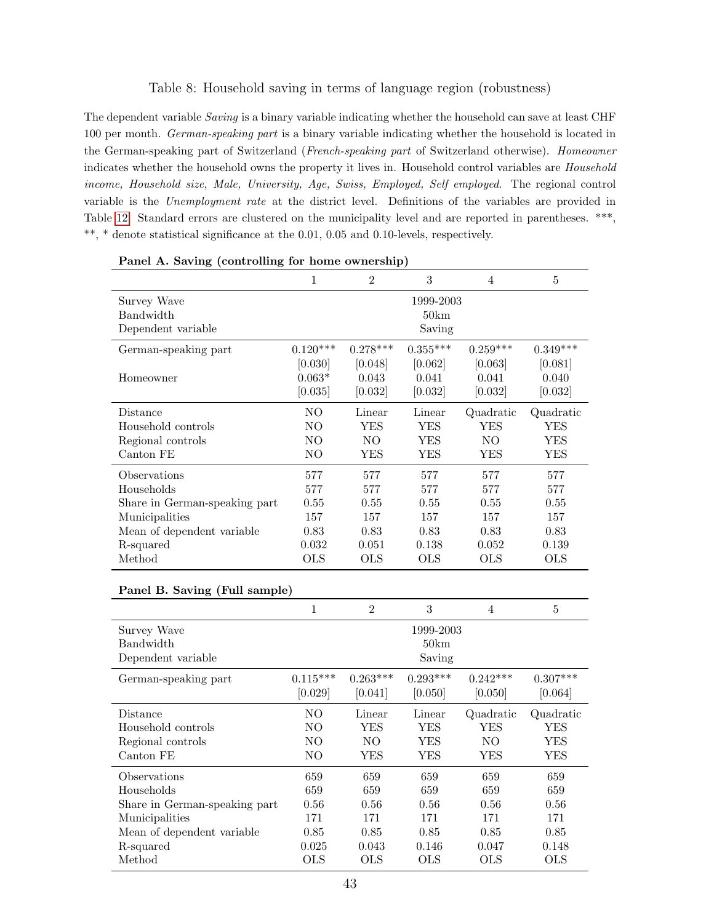#### Table 8: Household saving in terms of language region (robustness)

<span id="page-42-0"></span>The dependent variable *Saving* is a binary variable indicating whether the household can save at least CHF 100 per month. German-speaking part is a binary variable indicating whether the household is located in the German-speaking part of Switzerland (French-speaking part of Switzerland otherwise). Homeowner indicates whether the household owns the property it lives in. Household control variables are Household income, Household size, Male, University, Age, Swiss, Employed, Self employed. The regional control variable is the Unemployment rate at the district level. Definitions of the variables are provided in Table [12.](#page-46-0) Standard errors are clustered on the municipality level and are reported in parentheses. \*\*\*,  $^{**},\,^*$  denote statistical significance at the 0.01, 0.05 and 0.10-levels, respectively.

|                               | 1          | $\mathfrak{D}$ | 3          | 4          | 5          |  |  |  |
|-------------------------------|------------|----------------|------------|------------|------------|--|--|--|
| Survey Wave                   | 1999-2003  |                |            |            |            |  |  |  |
| Bandwidth                     |            |                | 50km       |            |            |  |  |  |
| Dependent variable            | Saving     |                |            |            |            |  |  |  |
| German-speaking part          | $0.120***$ | $0.278***$     | $0.355***$ | $0.259***$ | $0.349***$ |  |  |  |
|                               | [0.030]    | [0.048]        | [0.062]    | [0.063]    | [0.081]    |  |  |  |
| Homeowner                     | $0.063*$   | 0.043          | 0.041      | 0.041      | 0.040      |  |  |  |
|                               | [0.035]    | [0.032]        | [0.032]    | [0.032]    | [0.032]    |  |  |  |
| Distance                      | NO.        | Linear         | Linear     | Quadratic  | Quadratic  |  |  |  |
| Household controls            | NO.        | YES            | YES        | YES        | YES        |  |  |  |
| Regional controls             | NO.        | NO.            | <b>YES</b> | NO.        | YES        |  |  |  |
| Canton FE                     | NO.        | YES            | YES        | YES        | YES        |  |  |  |
| Observations                  | 577        | 577            | 577        | 577        | 577        |  |  |  |
| Households                    | 577        | 577            | 577        | 577        | 577        |  |  |  |
| Share in German-speaking part | 0.55       | 0.55           | 0.55       | 0.55       | 0.55       |  |  |  |
| Municipalities                | 157        | 157            | 157        | 157        | 157        |  |  |  |
| Mean of dependent variable    | 0.83       | 0.83           | 0.83       | 0.83       | 0.83       |  |  |  |
| R-squared                     | 0.032      | 0.051          | 0.138      | 0.052      | 0.139      |  |  |  |
| Method                        | <b>OLS</b> | OLS            | OLS        | OLS        | <b>OLS</b> |  |  |  |

| Panel A. Saving (controlling for home ownership) |
|--------------------------------------------------|
|--------------------------------------------------|

| Panel B. Saving (Full sample)                                                                                             |                                            |                                            |                                            |                                            |                                            |  |  |  |
|---------------------------------------------------------------------------------------------------------------------------|--------------------------------------------|--------------------------------------------|--------------------------------------------|--------------------------------------------|--------------------------------------------|--|--|--|
|                                                                                                                           | 1                                          | $\overline{2}$                             | 3                                          | $\overline{4}$                             | $\overline{5}$                             |  |  |  |
| Survey Wave<br>Bandwidth<br>Dependent variable                                                                            |                                            |                                            | 1999-2003<br>50km<br>Saving                |                                            |                                            |  |  |  |
| German-speaking part                                                                                                      | $0.115***$<br>[0.029]                      | $0.263***$<br>[0.041]                      | $0.293***$<br>[0.050]                      | $0.242***$<br>[0.050]                      | $0.307***$<br>[0.064]                      |  |  |  |
| Distance<br>Household controls<br>Regional controls<br>Canton FE                                                          | NO.<br>NO.<br>NO.<br>NO.                   | Linear<br>YES<br>NO<br>YES                 | Linear<br>YES<br>YES<br>YES                | Quadratic<br>YES<br>NO.<br>YES             | Quadratic<br>YES<br>YES<br>YES             |  |  |  |
| Observations<br>Households<br>Share in German-speaking part<br>Municipalities<br>Mean of dependent variable.<br>R-squared | 659<br>659<br>0.56<br>171<br>0.85<br>0.025 | 659<br>659<br>0.56<br>171<br>0.85<br>0.043 | 659<br>659<br>0.56<br>171<br>0.85<br>0.146 | 659<br>659<br>0.56<br>171<br>0.85<br>0.047 | 659<br>659<br>0.56<br>171<br>0.85<br>0.148 |  |  |  |
| Method                                                                                                                    | <b>OLS</b>                                 | <b>OLS</b>                                 | OLS                                        | OLS                                        | <b>OLS</b>                                 |  |  |  |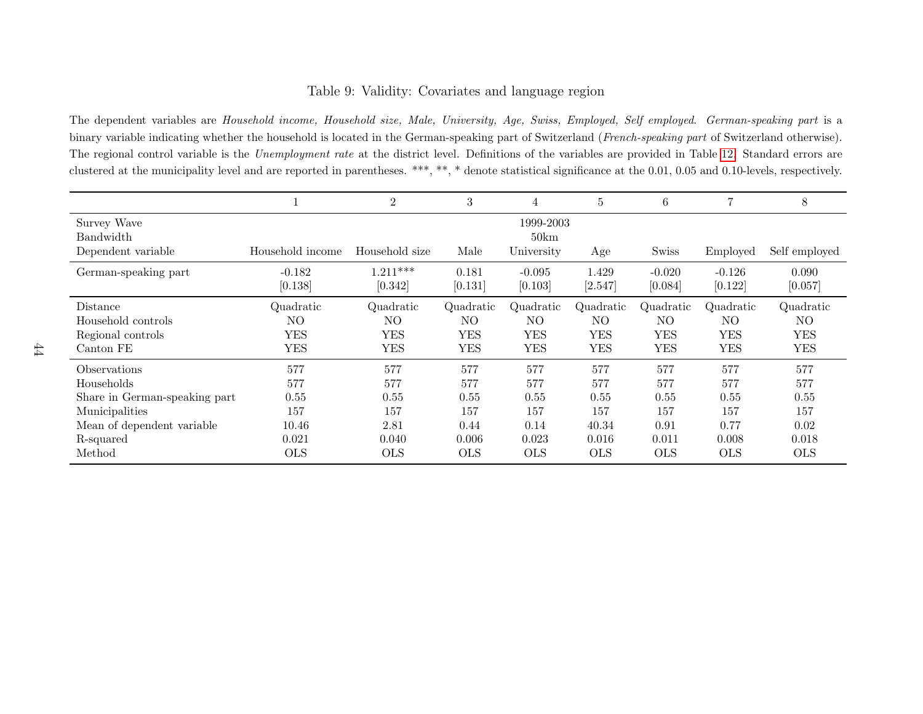### Table 9: Validity: Covariates and language region

The dependent variables are Household income, Household size, Male, University, Age, Swiss, Employed, Self employed. German-speaking part is <sup>a</sup>binary variable indicating whether the household is located in the German-speaking part of Switzerland (French-speaking part of Switzerland otherwise). The regional control variable is the *Unemployment rate* at the district level. Definitions of the variables are provided in Table [12.](#page-46-1) Standard errors are clustered at the municipality level and are reported in parentheses. \*\*\*, \*\*, \* denote statistical significance at the 0.01, 0.05 and 0.10-levels, respectively.

<span id="page-43-0"></span>

|                                 |                     | $\overline{2}$        | 3                | 4                   | 5                | 6                   | 7                   | 8                |
|---------------------------------|---------------------|-----------------------|------------------|---------------------|------------------|---------------------|---------------------|------------------|
| Survey Wave<br><b>Bandwidth</b> |                     |                       |                  | 1999-2003<br>50km   |                  |                     |                     |                  |
| Dependent variable              | Household income    | Household size        | Male             | University          | Age              | Swiss               | Employed            | Self employed    |
| German-speaking part            | $-0.182$<br>[0.138] | $1.211***$<br>[0.342] | 0.181<br>[0.131] | $-0.095$<br>[0.103] | 1.429<br>[2.547] | $-0.020$<br>[0.084] | $-0.126$<br>[0.122] | 0.090<br>[0.057] |
| Distance                        | Quadratic           | Quadratic             | Quadratic        | Quadratic           | Quadratic        | Quadratic           | Quadratic           | Quadratic        |
| Household controls              | NO.                 | NO.                   | NO.              | NO.                 | NO.              | NO.                 | NO.                 | NO.              |
| Regional controls               | <b>YES</b>          | <b>YES</b>            | <b>YES</b>       | YES                 | <b>YES</b>       | YES                 | <b>YES</b>          | <b>YES</b>       |
| Canton FE                       | <b>YES</b>          | <b>YES</b>            | <b>YES</b>       | <b>YES</b>          | <b>YES</b>       | <b>YES</b>          | <b>YES</b>          | <b>YES</b>       |
| <i><b>Observations</b></i>      | 577                 | 577                   | 577              | 577                 | 577              | 577                 | 577                 | 577              |
| Households                      | 577                 | 577                   | 577              | 577                 | 577              | 577                 | 577                 | 577              |
| Share in German-speaking part   | 0.55                | 0.55                  | 0.55             | 0.55                | 0.55             | 0.55                | 0.55                | 0.55             |
| Municipalities                  | 157                 | 157                   | 157              | 157                 | 157              | 157                 | 157                 | 157              |
| Mean of dependent variable      | 10.46               | 2.81                  | 0.44             | 0.14                | 40.34            | 0.91                | 0.77                | 0.02             |
| R-squared                       | 0.021               | 0.040                 | 0.006            | 0.023               | 0.016            | 0.011               | 0.008               | 0.018            |
| Method                          | <b>OLS</b>          | <b>OLS</b>            | <b>OLS</b>       | <b>OLS</b>          | <b>OLS</b>       | <b>OLS</b>          | <b>OLS</b>          | <b>OLS</b>       |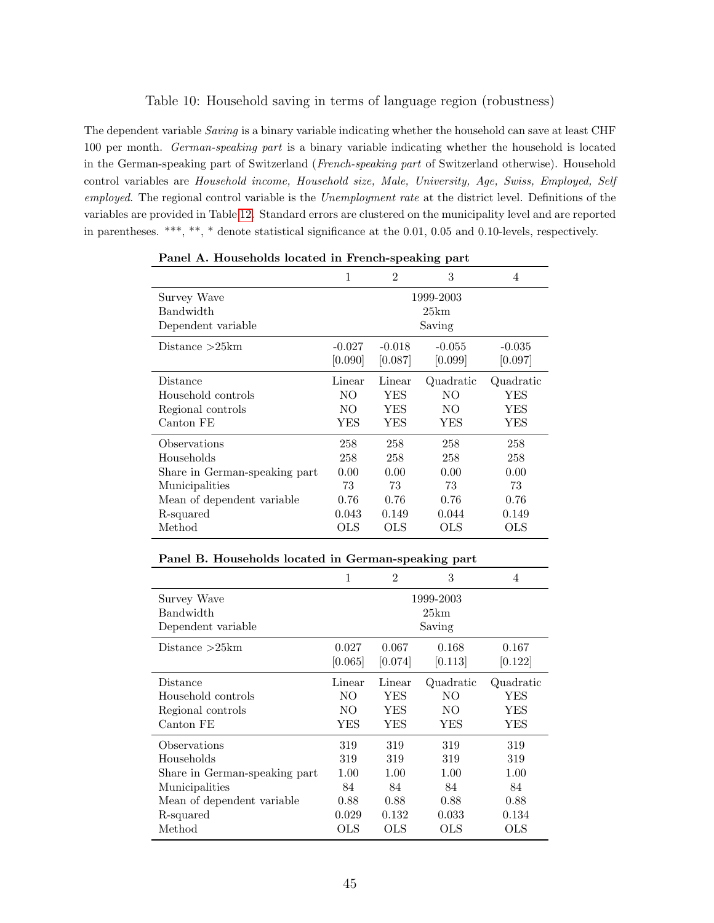#### Table 10: Household saving in terms of language region (robustness)

<span id="page-44-0"></span>The dependent variable *Saving* is a binary variable indicating whether the household can save at least CHF 100 per month. German-speaking part is a binary variable indicating whether the household is located in the German-speaking part of Switzerland (French-speaking part of Switzerland otherwise). Household control variables are Household income, Household size, Male, University, Age, Swiss, Employed, Self employed. The regional control variable is the Unemployment rate at the district level. Definitions of the variables are provided in Table [12.](#page-46-0) Standard errors are clustered on the municipality level and are reported in parentheses. \*\*\*, \*\*, \* denote statistical significance at the 0.01, 0.05 and 0.10-levels, respectively.

|                                                |          |                | ັ້                          |            |
|------------------------------------------------|----------|----------------|-----------------------------|------------|
|                                                | 1        | $\overline{2}$ | 3                           | 4          |
| Survey Wave<br>Bandwidth<br>Dependent variable |          |                | 1999-2003<br>25km<br>Saving |            |
|                                                |          |                |                             |            |
| Distance $>25km$                               | $-0.027$ | $-0.018$       | $-0.055$                    | $-0.035$   |
|                                                | [0.090]  | [0.087]        | [0.099]                     | [0.097]    |
| Distance                                       | Linear   | Linear         | Quadratic                   | Quadratic  |
| Household controls                             | NΟ       | YES            | NO                          | YES        |
| Regional controls                              | NO       | YES            | NO.                         | YES        |
| Canton FE                                      | YES      | YES            | YES                         | YES        |
| Observations                                   | 258      | 258            | 258                         | 258        |
| Households                                     | 258      | 258            | 258                         | 258        |
| Share in German-speaking part                  | 0.00     | 0.00           | 0.00                        | 0.00       |
| Municipalities                                 | 73       | 73             | 73                          | 73         |
| Mean of dependent variable.                    | 0.76     | 0.76           | 0.76                        | 0.76       |
| R-squared                                      | 0.043    | 0.149          | 0.044                       | 0.149      |
| Method                                         | OLS      | OLS            | OLS                         | <b>OLS</b> |

Panel A. Households located in French-speaking part

|                               | 1         | $\mathfrak{D}$ | 3         | 4          |  |
|-------------------------------|-----------|----------------|-----------|------------|--|
| Survey Wave                   | 1999-2003 |                |           |            |  |
| Bandwidth                     | 25km      |                |           |            |  |
| Dependent variable            | Saving    |                |           |            |  |
| Distance > 25km               | 0.027     | 0.067          | 0.168     | 0.167      |  |
|                               | [0.065]   | [0.074]        | [0.113]   | [0.122]    |  |
| Distance                      | Linear    | Linear         | Quadratic | Quadratic  |  |
| Household controls            | NO.       | <b>YES</b>     | NO.       | YES        |  |
| Regional controls             | NO.       | <b>YES</b>     | NO.       | YES        |  |
| Canton FE                     | YES       | <b>YES</b>     | YES       | YES        |  |
| Observations                  | 319       | 319            | 319       | 319        |  |
| Households                    | 319       | 319            | 319       | 319        |  |
| Share in German-speaking part | 1.00      | 1.00           | 1.00      | 1.00       |  |
| Municipalities                | 84        | 84             | 84        | 84         |  |
| Mean of dependent variable.   | 0.88      | 0.88           | 0.88      | 0.88       |  |
| R-squared                     | 0.029     | 0.132          | 0.033     | 0.134      |  |
| Method                        | OLS       | OLS            | OLS       | <b>OLS</b> |  |

Panel B. Households located in German-speaking part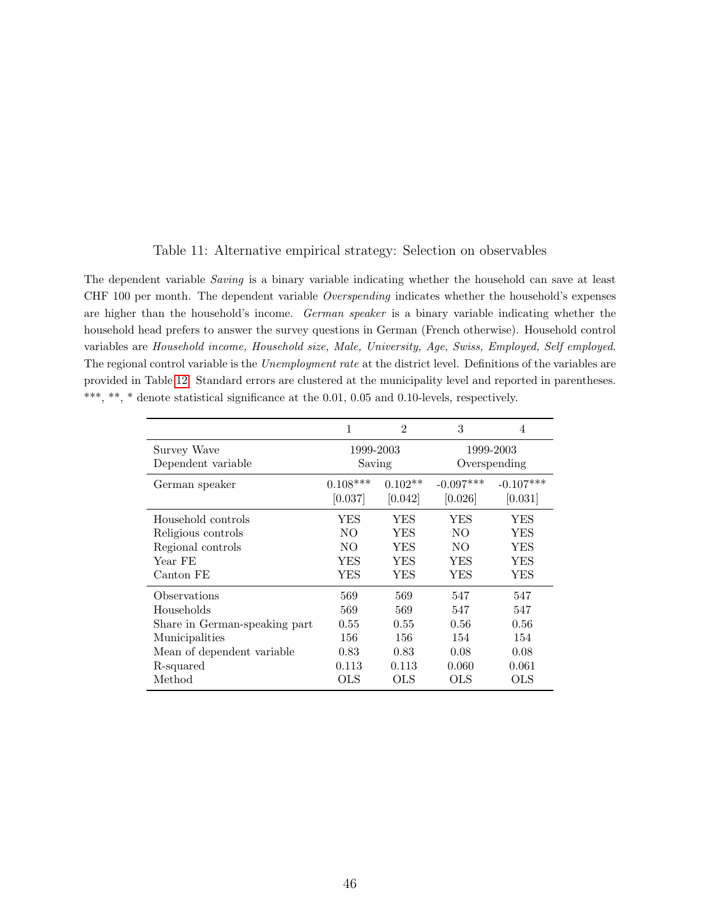<span id="page-45-0"></span>

| The dependent variable Saving is a binary variable indicating whether the household can save at least                 |
|-----------------------------------------------------------------------------------------------------------------------|
| CHF 100 per month. The dependent variable <i>Overspending</i> indicates whether the household's expenses              |
| are higher than the household's income. German speaker is a binary variable indicating whether the                    |
| household head prefers to answer the survey questions in German (French otherwise). Household control                 |
| variables are Household income, Household size, Male, University, Age, Swiss, Employed, Self employed.                |
| The regional control variable is the <i>Unemployment rate</i> at the district level. Definitions of the variables are |
| provided in Table 12. Standard errors are clustered at the municipality level and reported in parentheses.            |
| ***, **, * denote statistical significance at the 0.01, 0.05 and 0.10-levels, respectively.                           |
|                                                                                                                       |

| Table 11: Alternative empirical strategy: Selection on observables |  |
|--------------------------------------------------------------------|--|
|--------------------------------------------------------------------|--|

|                               | 1          | $\mathfrak{D}$ | 3            | 4           |  |
|-------------------------------|------------|----------------|--------------|-------------|--|
| Survey Wave                   | 1999-2003  |                | 1999-2003    |             |  |
| Dependent variable            | Saving     |                | Overspending |             |  |
| German speaker                | $0.108***$ | $0.102**$      | $-0.097***$  | $-0.107***$ |  |
|                               | [0.037]    | [0.042]        | [0.026]      | [0.031]     |  |
| Household controls            | YES        | YES            | YES          | YES         |  |
| Religious controls            | NO         | YES            | NO.          | YES         |  |
| Regional controls             | NO.        | YES            | NO.          | YES         |  |
| Year FE                       | YES        | <b>YES</b>     | YES          | YES         |  |
| Canton FE                     | YES        | YES            | YES          | YES         |  |
| Observations                  | 569        | 569            | 547          | 547         |  |
| Households                    | 569        | 569            | 547          | 547         |  |
| Share in German-speaking part | 0.55       | 0.55           | 0.56         | 0.56        |  |
| Municipalities                | 156        | 156            | 154          | 154         |  |
| Mean of dependent variable    | 0.83       | 0.83           | 0.08         | 0.08        |  |
| R-squared                     | 0.113      | 0.113          | 0.060        | 0.061       |  |
| Method                        | <b>OLS</b> | OLS            | <b>OLS</b>   | OLS         |  |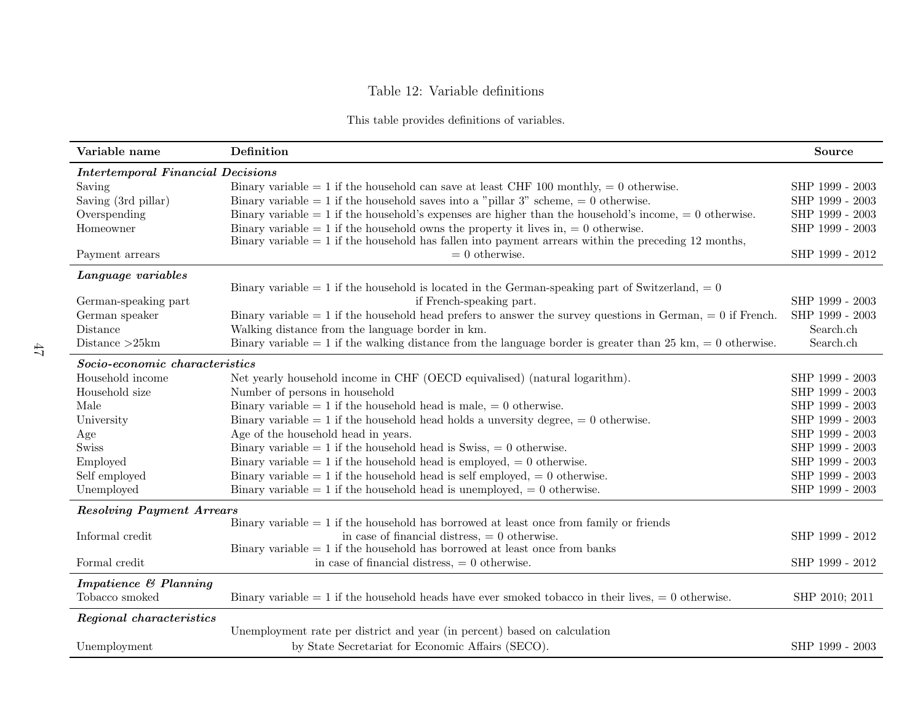### Table 12: Variable definitions

|  |  | This table provides definitions of variables. |  |  |
|--|--|-----------------------------------------------|--|--|
|--|--|-----------------------------------------------|--|--|

<span id="page-46-1"></span><span id="page-46-0"></span>

| Variable name                            | Definition                                                                                                                                                                                   | <b>Source</b>   |
|------------------------------------------|----------------------------------------------------------------------------------------------------------------------------------------------------------------------------------------------|-----------------|
| <b>Intertemporal Financial Decisions</b> |                                                                                                                                                                                              |                 |
| Saving                                   | Binary variable = 1 if the household can save at least CHF 100 monthly, = 0 otherwise.                                                                                                       | SHP 1999 - 2003 |
| Saving (3rd pillar)                      | Binary variable = 1 if the household saves into a "pillar 3" scheme, = 0 otherwise.                                                                                                          | SHP 1999 - 2003 |
| Overspending                             | Binary variable = 1 if the household's expenses are higher than the household's income, = 0 otherwise.                                                                                       | SHP 1999 - 2003 |
| Homeowner                                | Binary variable = 1 if the household owns the property it lives in, = 0 otherwise.<br>Binary variable $= 1$ if the household has fallen into payment arrears within the preceding 12 months, | SHP 1999 - 2003 |
| Payment arrears                          | $= 0$ otherwise.                                                                                                                                                                             | SHP 1999 - 2012 |
| Language variables                       |                                                                                                                                                                                              |                 |
|                                          | Binary variable = 1 if the household is located in the German-speaking part of Switzerland, = 0                                                                                              |                 |
| German-speaking part                     | if French-speaking part.                                                                                                                                                                     | SHP 1999 - 2003 |
| German speaker                           | Binary variable $= 1$ if the household head prefers to answer the survey questions in German, $= 0$ if French.                                                                               | SHP 1999 - 2003 |
| Distance                                 | Walking distance from the language border in km.                                                                                                                                             | Search.ch       |
| Distance $>25$ km                        | Binary variable = 1 if the walking distance from the language border is greater than 25 km, = 0 otherwise.                                                                                   | Search.ch       |
| Socio-economic characteristics           |                                                                                                                                                                                              |                 |
| Household income                         | Net yearly household income in CHF (OECD equivalised) (natural logarithm).                                                                                                                   | SHP 1999 - 2003 |
| Household size                           | Number of persons in household                                                                                                                                                               | SHP 1999 - 2003 |
| Male                                     | Binary variable = 1 if the household head is male, = 0 otherwise.                                                                                                                            | SHP 1999 - 2003 |
| University                               | Binary variable = 1 if the household head holds a unversity degree, = 0 otherwise.                                                                                                           | SHP 1999 - 2003 |
| Age                                      | Age of the household head in years.                                                                                                                                                          | SHP 1999 - 2003 |
| <b>Swiss</b>                             | Binary variable = 1 if the household head is Swiss, = 0 otherwise.                                                                                                                           | SHP 1999 - 2003 |
| Employed                                 | Binary variable = 1 if the household head is employed, = 0 otherwise.                                                                                                                        | SHP 1999 - 2003 |
| Self employed                            | Binary variable = 1 if the household head is self employed, = 0 otherwise.                                                                                                                   | SHP 1999 - 2003 |
| Unemployed                               | Binary variable = 1 if the household head is unemployed, = 0 otherwise.                                                                                                                      | SHP 1999 - 2003 |
| <b>Resolving Payment Arrears</b>         |                                                                                                                                                                                              |                 |
|                                          | Binary variable $= 1$ if the household has borrowed at least once from family or friends                                                                                                     |                 |
| Informal credit                          | in case of financial distress, $= 0$ otherwise.                                                                                                                                              | SHP 1999 - 2012 |
|                                          | Binary variable $= 1$ if the household has borrowed at least once from banks                                                                                                                 |                 |
| Formal credit                            | in case of financial distress, $= 0$ otherwise.                                                                                                                                              | SHP 1999 - 2012 |
| Impatience & Planning                    |                                                                                                                                                                                              |                 |
| Tobacco smoked                           | Binary variable $= 1$ if the household heads have ever smoked to bacco in their lives, $= 0$ otherwise.                                                                                      | SHP 2010; 2011  |
| Regional characteristics                 |                                                                                                                                                                                              |                 |
|                                          | Unemployment rate per district and year (in percent) based on calculation                                                                                                                    |                 |
| Unemployment                             | by State Secretariat for Economic Affairs (SECO).                                                                                                                                            | SHP 1999 - 2003 |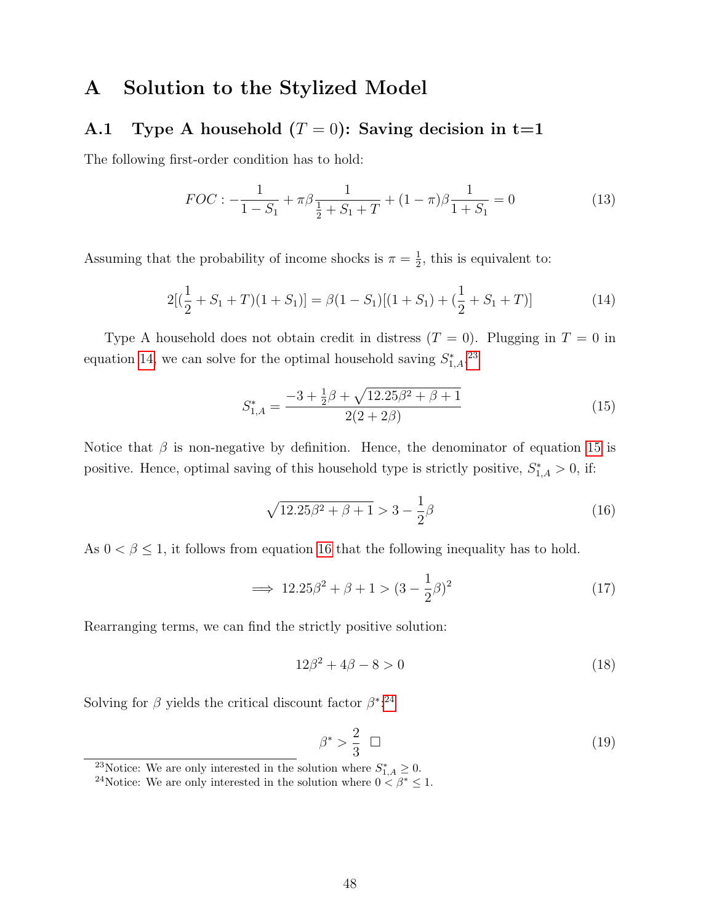## A Solution to the Stylized Model

# <span id="page-47-0"></span>A.1 Type A household  $(T = 0)$ : Saving decision in t=1

The following first-order condition has to hold:

<span id="page-47-6"></span>
$$
FOC: -\frac{1}{1-S_1} + \pi \beta \frac{1}{\frac{1}{2}+S_1+T} + (1-\pi)\beta \frac{1}{1+S_1} = 0
$$
\n(13)

Assuming that the probability of income shocks is  $\pi = \frac{1}{2}$  $\frac{1}{2}$ , this is equivalent to:

$$
2[(\frac{1}{2} + S_1 + T)(1 + S_1)] = \beta(1 - S_1)[(1 + S_1) + (\frac{1}{2} + S_1 + T)]
$$
\n(14)

Type A household does not obtain credit in distress  $(T = 0)$ . Plugging in  $T = 0$  in equation [14,](#page-47-1) we can solve for the optimal household saving  $S_{1,A}^*$ <sup>[23](#page-47-2)</sup>

<span id="page-47-1"></span>
$$
S_{1,A}^* = \frac{-3 + \frac{1}{2}\beta + \sqrt{12.25\beta^2 + \beta + 1}}{2(2 + 2\beta)}
$$
(15)

Notice that  $\beta$  is non-negative by definition. Hence, the denominator of equation [15](#page-47-3) is positive. Hence, optimal saving of this household type is strictly positive,  $S_{1,A}^* > 0$ , if:

<span id="page-47-4"></span><span id="page-47-3"></span>
$$
\sqrt{12.25\beta^2 + \beta + 1} > 3 - \frac{1}{2}\beta
$$
\n(16)

As  $0 < \beta \leq 1$ , it follows from equation [16](#page-47-4) that the following inequality has to hold.

$$
\implies 12.25\beta^2 + \beta + 1 > (3 - \frac{1}{2}\beta)^2 \tag{17}
$$

Rearranging terms, we can find the strictly positive solution:

$$
12\beta^2 + 4\beta - 8 > 0\tag{18}
$$

Solving for  $\beta$  yields the critical discount factor  $\beta^{*}$ <sup>[24](#page-47-5)</sup>

$$
\beta^* > \frac{2}{3} \quad \Box \tag{19}
$$

<span id="page-47-2"></span><sup>23</sup>Notice: We are only interested in the solution where  $S_{1,A}^* \geq 0$ .

<span id="page-47-5"></span><sup>&</sup>lt;sup>24</sup>Notice: We are only interested in the solution where  $0 < \beta^* \leq 1$ .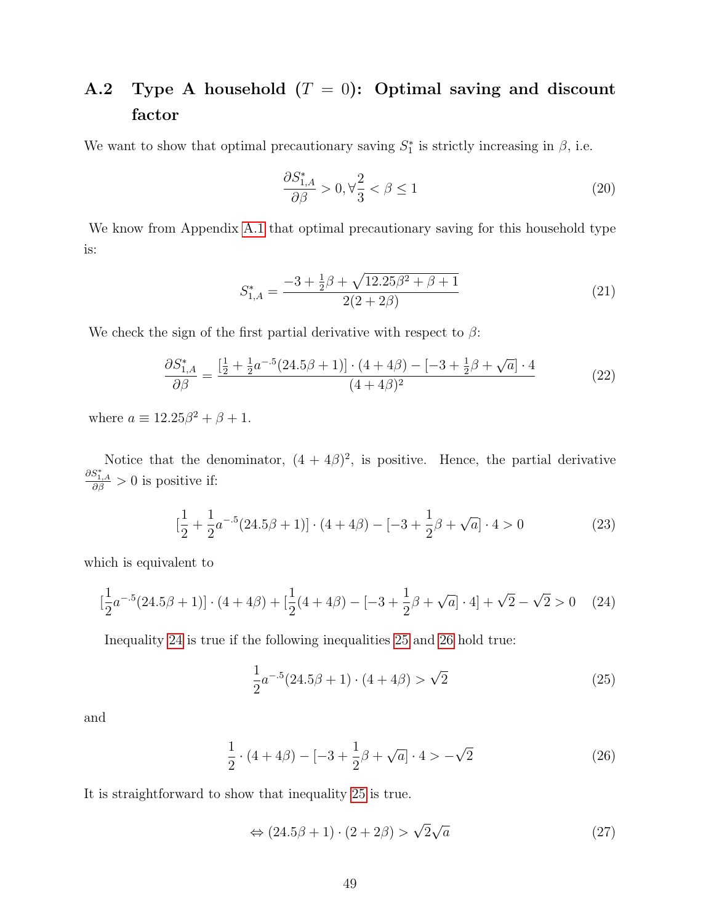# <span id="page-48-0"></span>A.2 Type A household  $(T = 0)$ : Optimal saving and discount factor

We want to show that optimal precautionary saving  $S_1^*$  is strictly increasing in  $\beta$ , i.e.

$$
\frac{\partial S_{1,A}^*}{\partial \beta} > 0, \forall \frac{2}{3} < \beta \le 1 \tag{20}
$$

We know from Appendix [A.1](#page-47-0) that optimal precautionary saving for this household type is:

$$
S_{1,A}^* = \frac{-3 + \frac{1}{2}\beta + \sqrt{12.25\beta^2 + \beta + 1}}{2(2 + 2\beta)}
$$
(21)

We check the sign of the first partial derivative with respect to  $\beta$ :

$$
\frac{\partial S_{1,A}^*}{\partial \beta} = \frac{\left[\frac{1}{2} + \frac{1}{2}a^{-5}(24.5\beta + 1)\right] \cdot (4 + 4\beta) - \left[-3 + \frac{1}{2}\beta + \sqrt{a}\right] \cdot 4}{(4 + 4\beta)^2} \tag{22}
$$

where  $a \equiv 12.25\beta^2 + \beta + 1$ .

Notice that the denominator,  $(4 + 4\beta)^2$ , is positive. Hence, the partial derivative  $\frac{\partial S^*_{1,A}}{\partial \beta} > 0$  is positive if:

$$
\left[\frac{1}{2} + \frac{1}{2}a^{-5}(24.5\beta + 1)\right] \cdot (4 + 4\beta) - \left[-3 + \frac{1}{2}\beta + \sqrt{a}\right] \cdot 4 > 0\tag{23}
$$

which is equivalent to

$$
\left[\frac{1}{2}a^{-.5}(24.5\beta + 1)\right] \cdot (4 + 4\beta) + \left[\frac{1}{2}(4 + 4\beta) - [-3 + \frac{1}{2}\beta + \sqrt{a}] \cdot 4\right] + \sqrt{2} - \sqrt{2} > 0 \quad (24)
$$

Inequality [24](#page-48-1) is true if the following inequalities [25](#page-48-2) and [26](#page-48-3) hold true:

<span id="page-48-3"></span><span id="page-48-2"></span><span id="page-48-1"></span>
$$
\frac{1}{2}a^{-.5}(24.5\beta + 1) \cdot (4 + 4\beta) > \sqrt{2}
$$
 (25)

and

$$
\frac{1}{2} \cdot (4+4\beta) - [-3+\frac{1}{2}\beta+\sqrt{a}] \cdot 4 > -\sqrt{2}
$$
 (26)

It is straightforward to show that inequality [25](#page-48-2) is true.

$$
\Leftrightarrow (24.5\beta + 1) \cdot (2 + 2\beta) > \sqrt{2}\sqrt{a} \tag{27}
$$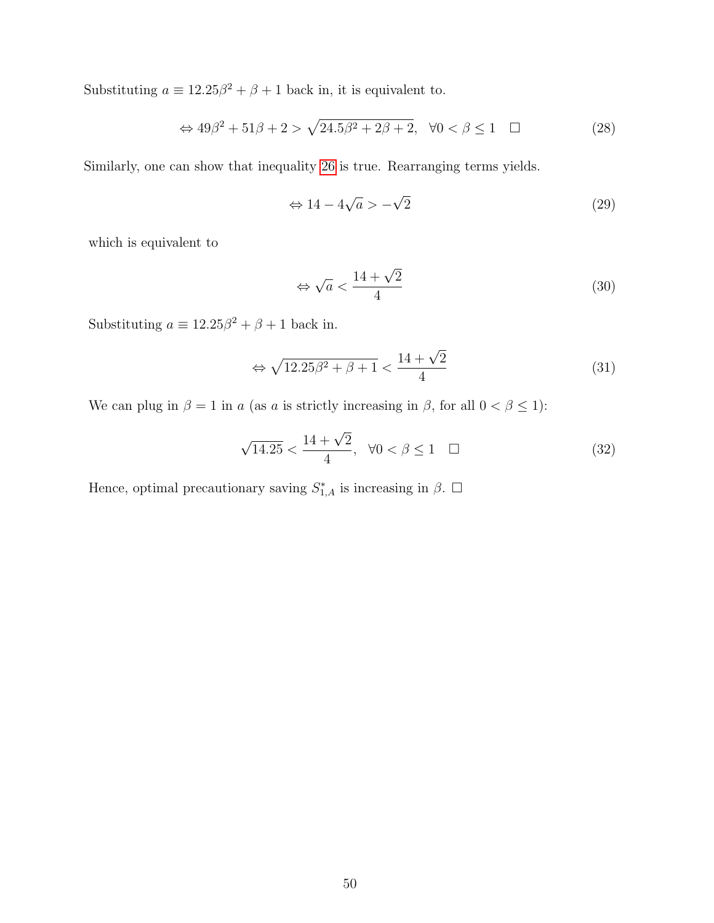Substituting  $a \equiv 12.25\beta^2 + \beta + 1$  back in, it is equivalent to.

$$
\Leftrightarrow 49\beta^2 + 51\beta + 2 > \sqrt{24.5\beta^2 + 2\beta + 2}, \quad \forall 0 < \beta \le 1 \quad \Box \tag{28}
$$

Similarly, one can show that inequality [26](#page-48-3) is true. Rearranging terms yields.

$$
\Leftrightarrow 14 - 4\sqrt{a} > -\sqrt{2} \tag{29}
$$

which is equivalent to

$$
\Leftrightarrow \sqrt{a} < \frac{14 + \sqrt{2}}{4} \tag{30}
$$

Substituting  $a \equiv 12.25\beta^2 + \beta + 1$  back in.

$$
\Leftrightarrow \sqrt{12.25\beta^2 + \beta + 1} < \frac{14 + \sqrt{2}}{4} \tag{31}
$$

We can plug in  $\beta = 1$  in a (as a is strictly increasing in  $\beta$ , for all  $0 < \beta \le 1$ ):

$$
\sqrt{14.25} < \frac{14 + \sqrt{2}}{4}, \ \ \forall 0 < \beta \le 1 \quad \Box \tag{32}
$$

Hence, optimal precautionary saving  $S_{1,A}^*$  is increasing in  $\beta$ .  $\Box$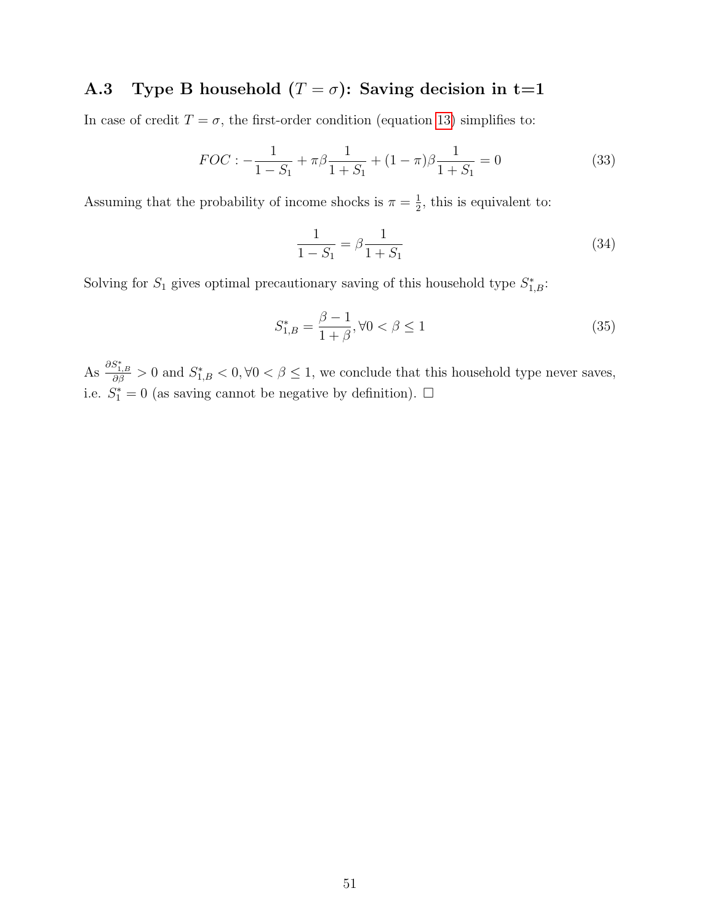## <span id="page-50-0"></span>A.3 Type B household  $(T = \sigma)$ : Saving decision in t=1

In case of credit  $T = \sigma$ , the first-order condition (equation [13\)](#page-47-6) simplifies to:

$$
FOC: -\frac{1}{1 - S_1} + \pi \beta \frac{1}{1 + S_1} + (1 - \pi) \beta \frac{1}{1 + S_1} = 0
$$
\n(33)

Assuming that the probability of income shocks is  $\pi = \frac{1}{2}$  $\frac{1}{2}$ , this is equivalent to:

$$
\frac{1}{1 - S_1} = \beta \frac{1}{1 + S_1} \tag{34}
$$

Solving for  $S_1$  gives optimal precautionary saving of this household type  $S_{1,B}^*$ :

$$
S_{1,B}^* = \frac{\beta - 1}{1 + \beta}, \forall 0 < \beta \le 1 \tag{35}
$$

As  $\frac{\partial S_{1,B}^*}{\partial \beta} > 0$  and  $S_{1,B}^* < 0, \forall 0 < \beta \leq 1$ , we conclude that this household type never saves, i.e.  $S_1^* = 0$  (as saving cannot be negative by definition).  $\Box$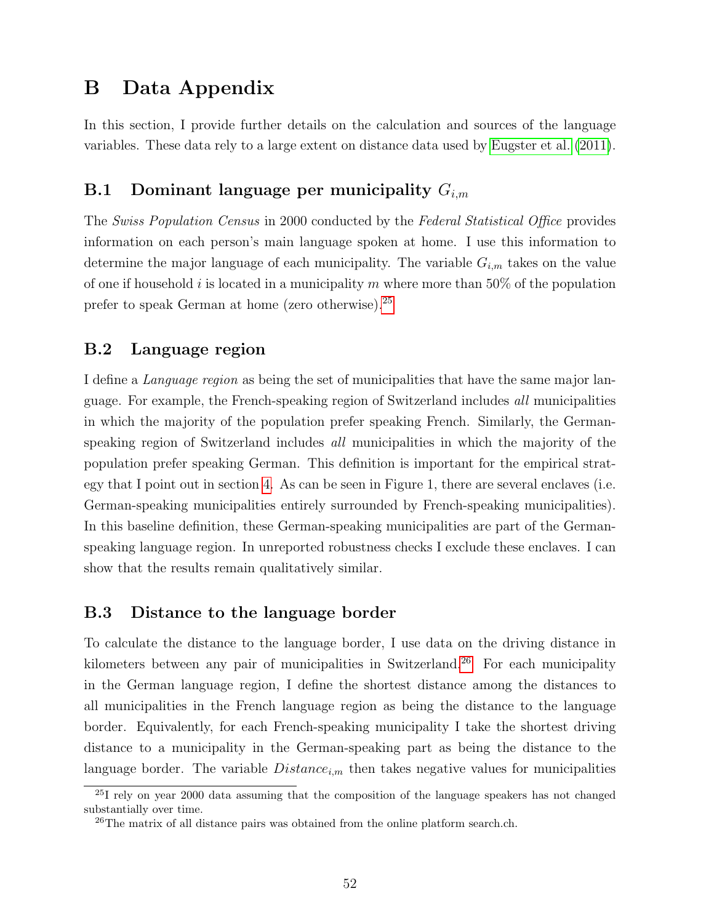## <span id="page-51-0"></span>B Data Appendix

In this section, I provide further details on the calculation and sources of the language variables. These data rely to a large extent on distance data used by [Eugster et al.](#page-26-12) [\(2011\)](#page-26-12).

## B.1 Dominant language per municipality  $G_{i,m}$

The Swiss Population Census in 2000 conducted by the Federal Statistical Office provides information on each person's main language spoken at home. I use this information to determine the major language of each municipality. The variable  $G_{i,m}$  takes on the value of one if household i is located in a municipality m where more than 50% of the population prefer to speak German at home (zero otherwise).[25](#page-51-1)

### B.2 Language region

I define a Language region as being the set of municipalities that have the same major language. For example, the French-speaking region of Switzerland includes all municipalities in which the majority of the population prefer speaking French. Similarly, the Germanspeaking region of Switzerland includes all municipalities in which the majority of the population prefer speaking German. This definition is important for the empirical strategy that I point out in section [4.](#page-11-0) As can be seen in Figure 1, there are several enclaves (i.e. German-speaking municipalities entirely surrounded by French-speaking municipalities). In this baseline definition, these German-speaking municipalities are part of the Germanspeaking language region. In unreported robustness checks I exclude these enclaves. I can show that the results remain qualitatively similar.

### B.3 Distance to the language border

To calculate the distance to the language border, I use data on the driving distance in kilometers between any pair of municipalities in Switzerland.<sup>[26](#page-51-2)</sup> For each municipality in the German language region, I define the shortest distance among the distances to all municipalities in the French language region as being the distance to the language border. Equivalently, for each French-speaking municipality I take the shortest driving distance to a municipality in the German-speaking part as being the distance to the language border. The variable  $Distance_{i,m}$  then takes negative values for municipalities

<span id="page-51-1"></span><sup>25</sup>I rely on year 2000 data assuming that the composition of the language speakers has not changed substantially over time.

<span id="page-51-2"></span> $^{26}$ The matrix of all distance pairs was obtained from the online platform search.ch.